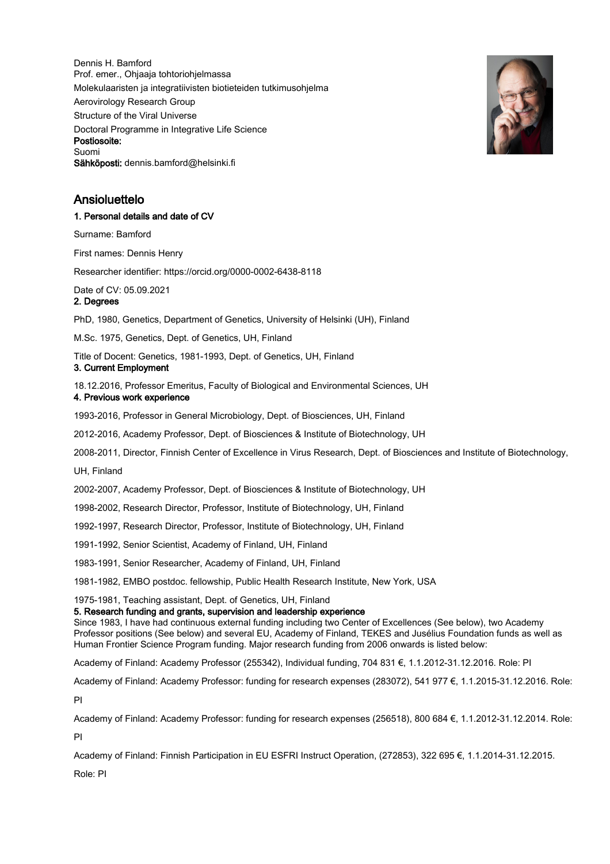Dennis H. Bamford Prof. emer., Ohjaaja tohtoriohjelmassa Molekulaaristen ja integratiivisten biotieteiden tutkimusohjelma Aerovirology Research Group Structure of the Viral Universe Doctoral Programme in Integrative Life Science Postiosoite: Suomi Sähköposti: dennis.bamford@helsinki.fi



# Ansioluettelo

#### 1. Personal details and date of CV

Surname: Bamford

First names: Dennis Henry

Researcher identifier: https://orcid.org/0000-0002-6438-8118

Date of CV: 05.09.2021

2. Degrees

PhD, 1980, Genetics, Department of Genetics, University of Helsinki (UH), Finland

M.Sc. 1975, Genetics, Dept. of Genetics, UH, Finland

Title of Docent: Genetics, 1981-1993, Dept. of Genetics, UH, Finland

# 3. Current Employment

18.12.2016, Professor Emeritus, Faculty of Biological and Environmental Sciences, UH 4. Previous work experience

1993-2016, Professor in General Microbiology, Dept. of Biosciences, UH, Finland

2012-2016, Academy Professor, Dept. of Biosciences & Institute of Biotechnology, UH

2008-2011, Director, Finnish Center of Excellence in Virus Research, Dept. of Biosciences and Institute of Biotechnology,

UH, Finland

2002-2007, Academy Professor, Dept. of Biosciences & Institute of Biotechnology, UH

1998-2002, Research Director, Professor, Institute of Biotechnology, UH, Finland

1992-1997, Research Director, Professor, Institute of Biotechnology, UH, Finland

1991-1992, Senior Scientist, Academy of Finland, UH, Finland

1983-1991, Senior Researcher, Academy of Finland, UH, Finland

1981-1982, EMBO postdoc. fellowship, Public Health Research Institute, New York, USA

1975-1981, Teaching assistant, Dept. of Genetics, UH, Finland

## 5. Research funding and grants, supervision and leadership experience

Since 1983, I have had continuous external funding including two Center of Excellences (See below), two Academy Professor positions (See below) and several EU, Academy of Finland, TEKES and Jusélius Foundation funds as well as Human Frontier Science Program funding. Major research funding from 2006 onwards is listed below:

Academy of Finland: Academy Professor (255342), Individual funding, 704 831 €, 1.1.2012-31.12.2016. Role: PI

Academy of Finland: Academy Professor: funding for research expenses (283072), 541 977 €, 1.1.2015-31.12.2016. Role: PI

Academy of Finland: Academy Professor: funding for research expenses (256518), 800 684 €, 1.1.2012-31.12.2014. Role: PI

Academy of Finland: Finnish Participation in EU ESFRI Instruct Operation, (272853), 322 695 €, 1.1.2014-31.12.2015. Role: PI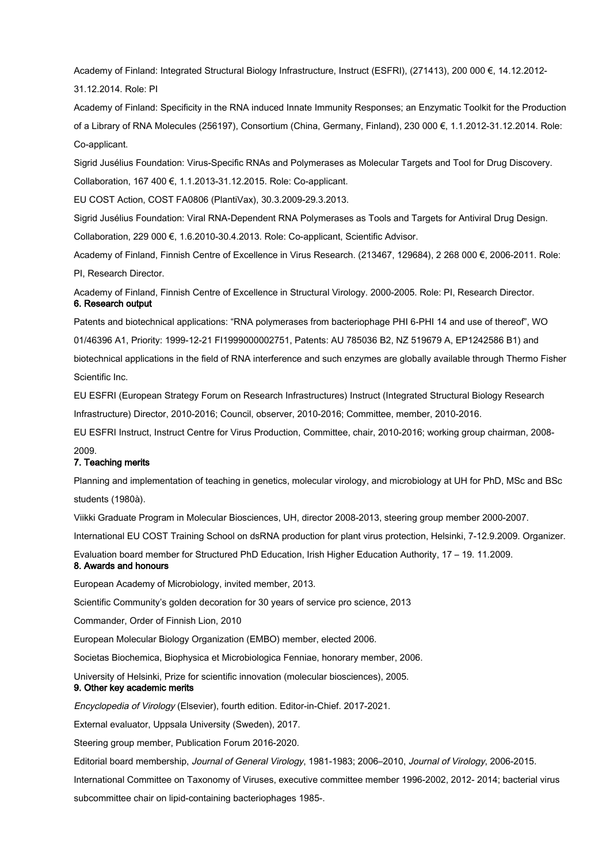Academy of Finland: Integrated Structural Biology Infrastructure, Instruct (ESFRI), (271413), 200 000 €, 14.12.2012- 31.12.2014. Role: PI

Academy of Finland: Specificity in the RNA induced Innate Immunity Responses; an Enzymatic Toolkit for the Production of a Library of RNA Molecules (256197), Consortium (China, Germany, Finland), 230 000 €, 1.1.2012-31.12.2014. Role: Co-applicant.

Sigrid Jusélius Foundation: Virus-Specific RNAs and Polymerases as Molecular Targets and Tool for Drug Discovery.

Collaboration, 167 400 €, 1.1.2013-31.12.2015. Role: Co-applicant.

EU COST Action, COST FA0806 (PlantiVax), 30.3.2009-29.3.2013.

Sigrid Jusélius Foundation: Viral RNA-Dependent RNA Polymerases as Tools and Targets for Antiviral Drug Design. Collaboration, 229 000 €, 1.6.2010-30.4.2013. Role: Co-applicant, Scientific Advisor.

Academy of Finland, Finnish Centre of Excellence in Virus Research. (213467, 129684), 2 268 000 €, 2006-2011. Role: PI, Research Director.

Academy of Finland, Finnish Centre of Excellence in Structural Virology. 2000-2005. Role: PI, Research Director. 6. Research output

Patents and biotechnical applications: "RNA polymerases from bacteriophage PHI 6-PHI 14 and use of thereof", WO 01/46396 A1, Priority: 1999-12-21 FI1999000002751, Patents: AU 785036 B2, NZ 519679 A, EP1242586 B1) and biotechnical applications in the field of RNA interference and such enzymes are globally available through Thermo Fisher Scientific Inc.

EU ESFRI (European Strategy Forum on Research Infrastructures) Instruct (Integrated Structural Biology Research Infrastructure) Director, 2010-2016; Council, observer, 2010-2016; Committee, member, 2010-2016.

EU ESFRI Instruct, Instruct Centre for Virus Production, Committee, chair, 2010-2016; working group chairman, 2008-

#### 2009.

## 7. Teaching merits

Planning and implementation of teaching in genetics, molecular virology, and microbiology at UH for PhD, MSc and BSc students (1980à).

Viikki Graduate Program in Molecular Biosciences, UH, director 2008-2013, steering group member 2000-2007.

International EU COST Training School on dsRNA production for plant virus protection, Helsinki, 7-12.9.2009. Organizer.

Evaluation board member for Structured PhD Education, Irish Higher Education Authority, 17 – 19. 11.2009.

# 8. Awards and honours

European Academy of Microbiology, invited member, 2013.

Scientific Community's golden decoration for 30 years of service pro science, 2013

Commander, Order of Finnish Lion, 2010

European Molecular Biology Organization (EMBO) member, elected 2006.

Societas Biochemica, Biophysica et Microbiologica Fenniae, honorary member, 2006.

University of Helsinki, Prize for scientific innovation (molecular biosciences), 2005.

## 9. Other key academic merits

Encyclopedia of Virology (Elsevier), fourth edition. Editor-in-Chief. 2017-2021.

External evaluator, Uppsala University (Sweden), 2017.

Steering group member, Publication Forum 2016-2020.

Editorial board membership, Journal of General Virology, 1981-1983; 2006–2010, Journal of Virology, 2006-2015.

International Committee on Taxonomy of Viruses, executive committee member 1996-2002, 2012- 2014; bacterial virus subcommittee chair on lipid-containing bacteriophages 1985-.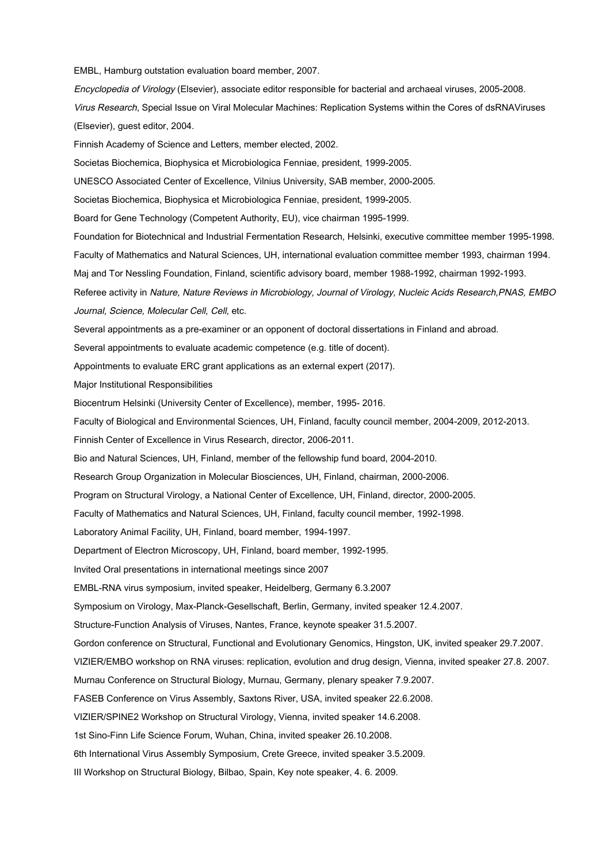EMBL, Hamburg outstation evaluation board member, 2007.

Encyclopedia of Virology (Elsevier), associate editor responsible for bacterial and archaeal viruses, 2005-2008.

Virus Research, Special Issue on Viral Molecular Machines: Replication Systems within the Cores of dsRNAViruses (Elsevier), guest editor, 2004.

Finnish Academy of Science and Letters, member elected, 2002.

Societas Biochemica, Biophysica et Microbiologica Fenniae, president, 1999-2005.

UNESCO Associated Center of Excellence, Vilnius University, SAB member, 2000-2005.

Societas Biochemica, Biophysica et Microbiologica Fenniae, president, 1999-2005.

Board for Gene Technology (Competent Authority, EU), vice chairman 1995-1999.

Foundation for Biotechnical and Industrial Fermentation Research, Helsinki, executive committee member 1995-1998.

Faculty of Mathematics and Natural Sciences, UH, international evaluation committee member 1993, chairman 1994.

Maj and Tor Nessling Foundation, Finland, scientific advisory board, member 1988-1992, chairman 1992-1993.

Referee activity in Nature, Nature Reviews in Microbiology, Journal of Virology, Nucleic Acids Research,PNAS, EMBO Journal, Science, Molecular Cell, Cell, etc.

Several appointments as a pre-examiner or an opponent of doctoral dissertations in Finland and abroad.

Several appointments to evaluate academic competence (e.g. title of docent).

Appointments to evaluate ERC grant applications as an external expert (2017).

Major Institutional Responsibilities

Biocentrum Helsinki (University Center of Excellence), member, 1995- 2016.

Faculty of Biological and Environmental Sciences, UH, Finland, faculty council member, 2004-2009, 2012-2013.

Finnish Center of Excellence in Virus Research, director, 2006-2011.

Bio and Natural Sciences, UH, Finland, member of the fellowship fund board, 2004-2010.

Research Group Organization in Molecular Biosciences, UH, Finland, chairman, 2000-2006.

Program on Structural Virology, a National Center of Excellence, UH, Finland, director, 2000-2005.

Faculty of Mathematics and Natural Sciences, UH, Finland, faculty council member, 1992-1998.

Laboratory Animal Facility, UH, Finland, board member, 1994-1997.

Department of Electron Microscopy, UH, Finland, board member, 1992-1995.

Invited Oral presentations in international meetings since 2007

EMBL-RNA virus symposium, invited speaker, Heidelberg, Germany 6.3.2007

Symposium on Virology, Max-Planck-Gesellschaft, Berlin, Germany, invited speaker 12.4.2007.

Structure-Function Analysis of Viruses, Nantes, France, keynote speaker 31.5.2007.

Gordon conference on Structural, Functional and Evolutionary Genomics, Hingston, UK, invited speaker 29.7.2007.

VIZIER/EMBO workshop on RNA viruses: replication, evolution and drug design, Vienna, invited speaker 27.8. 2007.

Murnau Conference on Structural Biology, Murnau, Germany, plenary speaker 7.9.2007.

FASEB Conference on Virus Assembly, Saxtons River, USA, invited speaker 22.6.2008.

VIZIER/SPINE2 Workshop on Structural Virology, Vienna, invited speaker 14.6.2008.

1st Sino-Finn Life Science Forum, Wuhan, China, invited speaker 26.10.2008.

6th International Virus Assembly Symposium, Crete Greece, invited speaker 3.5.2009.

III Workshop on Structural Biology, Bilbao, Spain, Key note speaker, 4. 6. 2009.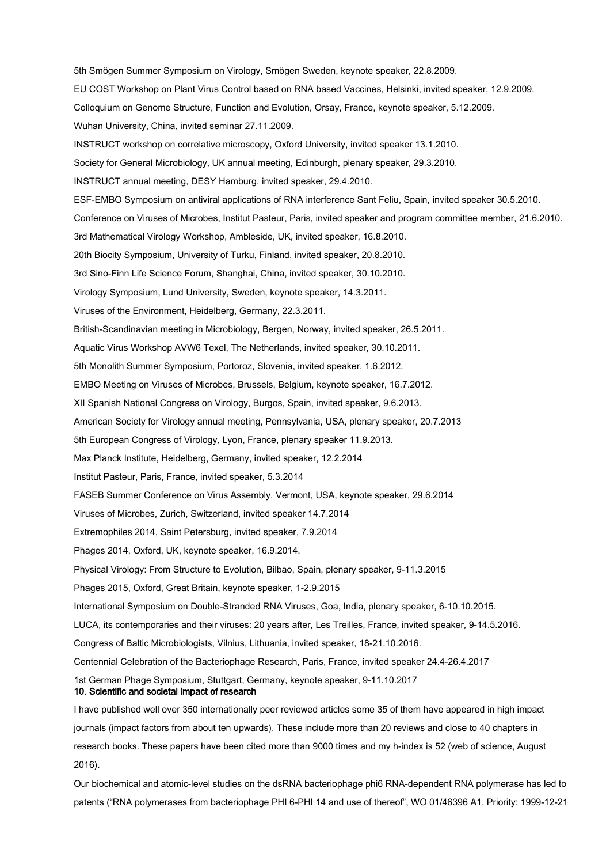5th Smögen Summer Symposium on Virology, Smögen Sweden, keynote speaker, 22.8.2009. EU COST Workshop on Plant Virus Control based on RNA based Vaccines, Helsinki, invited speaker, 12.9.2009. Colloquium on Genome Structure, Function and Evolution, Orsay, France, keynote speaker, 5.12.2009. Wuhan University, China, invited seminar 27.11.2009. INSTRUCT workshop on correlative microscopy, Oxford University, invited speaker 13.1.2010. Society for General Microbiology, UK annual meeting, Edinburgh, plenary speaker, 29.3.2010. INSTRUCT annual meeting, DESY Hamburg, invited speaker, 29.4.2010. ESF-EMBO Symposium on antiviral applications of RNA interference Sant Feliu, Spain, invited speaker 30.5.2010. Conference on Viruses of Microbes, Institut Pasteur, Paris, invited speaker and program committee member, 21.6.2010. 3rd Mathematical Virology Workshop, Ambleside, UK, invited speaker, 16.8.2010. 20th Biocity Symposium, University of Turku, Finland, invited speaker, 20.8.2010. 3rd Sino-Finn Life Science Forum, Shanghai, China, invited speaker, 30.10.2010. Virology Symposium, Lund University, Sweden, keynote speaker, 14.3.2011. Viruses of the Environment, Heidelberg, Germany, 22.3.2011. British-Scandinavian meeting in Microbiology, Bergen, Norway, invited speaker, 26.5.2011. Aquatic Virus Workshop AVW6 Texel, The Netherlands, invited speaker, 30.10.2011. 5th Monolith Summer Symposium, Portoroz, Slovenia, invited speaker, 1.6.2012. EMBO Meeting on Viruses of Microbes, Brussels, Belgium, keynote speaker, 16.7.2012. XII Spanish National Congress on Virology, Burgos, Spain, invited speaker, 9.6.2013. American Society for Virology annual meeting, Pennsylvania, USA, plenary speaker, 20.7.2013 5th European Congress of Virology, Lyon, France, plenary speaker 11.9.2013. Max Planck Institute, Heidelberg, Germany, invited speaker, 12.2.2014 Institut Pasteur, Paris, France, invited speaker, 5.3.2014 FASEB Summer Conference on Virus Assembly, Vermont, USA, keynote speaker, 29.6.2014 Viruses of Microbes, Zurich, Switzerland, invited speaker 14.7.2014 Extremophiles 2014, Saint Petersburg, invited speaker, 7.9.2014 Phages 2014, Oxford, UK, keynote speaker, 16.9.2014. Physical Virology: From Structure to Evolution, Bilbao, Spain, plenary speaker, 9-11.3.2015 Phages 2015, Oxford, Great Britain, keynote speaker, 1-2.9.2015 International Symposium on Double-Stranded RNA Viruses, Goa, India, plenary speaker, 6-10.10.2015. LUCA, its contemporaries and their viruses: 20 years after, Les Treilles, France, invited speaker, 9-14.5.2016. Congress of Baltic Microbiologists, Vilnius, Lithuania, invited speaker, 18-21.10.2016. Centennial Celebration of the Bacteriophage Research, Paris, France, invited speaker 24.4-26.4.2017 1st German Phage Symposium, Stuttgart, Germany, keynote speaker, 9-11.10.2017 10. Scientific and societal impact of research I have published well over 350 internationally peer reviewed articles some 35 of them have appeared in high impact journals (impact factors from about ten upwards). These include more than 20 reviews and close to 40 chapters in

research books. These papers have been cited more than 9000 times and my h-index is 52 (web of science, August 2016).

Our biochemical and atomic-level studies on the dsRNA bacteriophage phi6 RNA-dependent RNA polymerase has led to patents ("RNA polymerases from bacteriophage PHI 6-PHI 14 and use of thereof", WO 01/46396 A1, Priority: 1999-12-21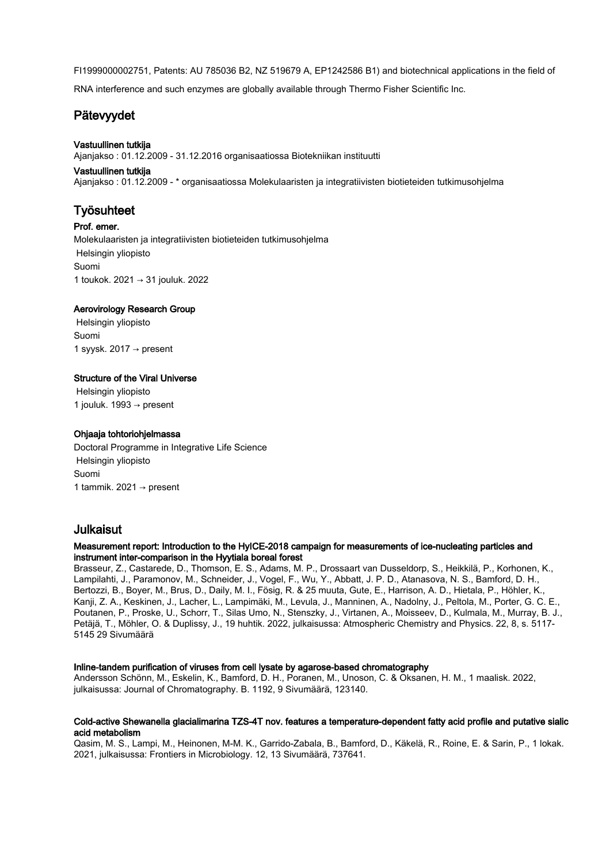FI1999000002751, Patents: AU 785036 B2, NZ 519679 A, EP1242586 B1) and biotechnical applications in the field of

RNA interference and such enzymes are globally available through Thermo Fisher Scientific Inc.

# Pätevyydet

# Vastuullinen tutkija

Ajanjakso : 01.12.2009 - 31.12.2016 organisaatiossa Biotekniikan instituutti

## Vastuullinen tutkija

Ajanjakso : 01.12.2009 - \* organisaatiossa Molekulaaristen ja integratiivisten biotieteiden tutkimusohjelma

# Työsuhteet

Prof. emer. Molekulaaristen ja integratiivisten biotieteiden tutkimusohjelma Helsingin yliopisto Suomi 1 toukok. 2021 → 31 jouluk. 2022

# Aerovirology Research Group

 Helsingin yliopisto Suomi 1 syysk. 2017  $\rightarrow$  present

# Structure of the Viral Universe

 Helsingin yliopisto 1 jouluk. 1993  $\rightarrow$  present

## Ohjaaja tohtoriohjelmassa

Doctoral Programme in Integrative Life Science Helsingin yliopisto Suomi 1 tammik. 2021 → present

# Julkaisut

## Measurement report: Introduction to the HyICE-2018 campaign for measurements of ice-nucleating particles and instrument inter-comparison in the Hyytiala boreal forest

Brasseur, Z., Castarede, D., Thomson, E. S., Adams, M. P., Drossaart van Dusseldorp, S., Heikkilä, P., Korhonen, K., Lampilahti, J., Paramonov, M., Schneider, J., Vogel, F., Wu, Y., Abbatt, J. P. D., Atanasova, N. S., Bamford, D. H., Bertozzi, B., Boyer, M., Brus, D., Daily, M. I., Fösig, R. & 25 muuta, Gute, E., Harrison, A. D., Hietala, P., Höhler, K., Kanji, Z. A., Keskinen, J., Lacher, L., Lampimäki, M., Levula, J., Manninen, A., Nadolny, J., Peltola, M., Porter, G. C. E., Poutanen, P., Proske, U., Schorr, T., Silas Umo, N., Stenszky, J., Virtanen, A., Moisseev, D., Kulmala, M., Murray, B. J., Petäjä, T., Möhler, O. & Duplissy, J., 19 huhtik. 2022, julkaisussa: Atmospheric Chemistry and Physics. 22, 8, s. 5117- 5145 29 Sivumäärä

## Inline-tandem purification of viruses from cell lysate by agarose-based chromatography

Andersson Schönn, M., Eskelin, K., Bamford, D. H., Poranen, M., Unoson, C. & Oksanen, H. M., 1 maalisk. 2022, julkaisussa: Journal of Chromatography. B. 1192, 9 Sivumäärä, 123140.

#### Cold-active Shewanella glacialimarina TZS-4T nov. features a temperature-dependent fatty acid profile and putative sialic acid metabolism

Qasim, M. S., Lampi, M., Heinonen, M-M. K., Garrido-Zabala, B., Bamford, D., Käkelä, R., Roine, E. & Sarin, P., 1 lokak. 2021, julkaisussa: Frontiers in Microbiology. 12, 13 Sivumäärä, 737641.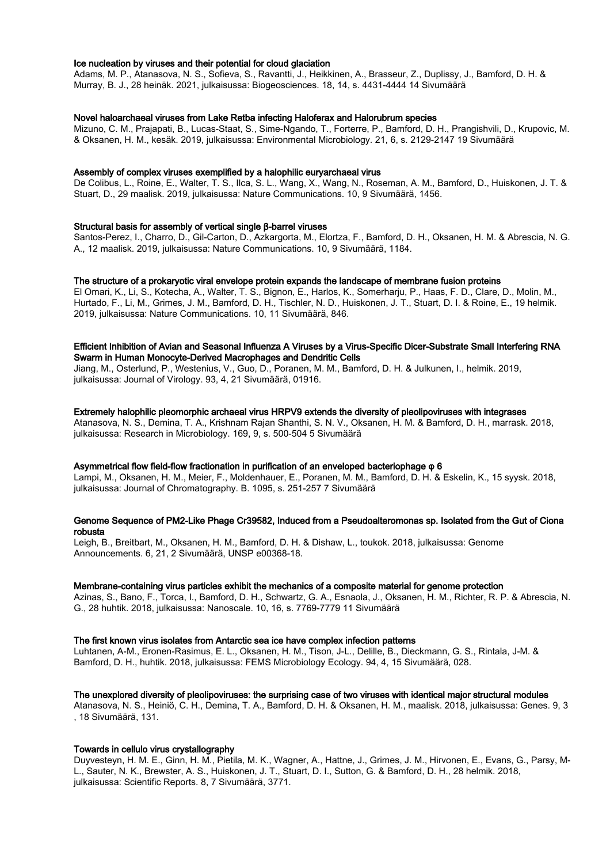#### Ice nucleation by viruses and their potential for cloud glaciation

Adams, M. P., Atanasova, N. S., Sofieva, S., Ravantti, J., Heikkinen, A., Brasseur, Z., Duplissy, J., Bamford, D. H. & Murray, B. J., 28 heinäk. 2021, julkaisussa: Biogeosciences. 18, 14, s. 4431-4444 14 Sivumäärä

#### Novel haloarchaeal viruses from Lake Retba infecting Haloferax and Halorubrum species

Mizuno, C. M., Prajapati, B., Lucas-Staat, S., Sime-Ngando, T., Forterre, P., Bamford, D. H., Prangishvili, D., Krupovic, M. & Oksanen, H. M., kesäk. 2019, julkaisussa: Environmental Microbiology. 21, 6, s. 2129-2147 19 Sivumäärä

#### Assembly of complex viruses exemplified by a halophilic euryarchaeal virus

De Colibus, L., Roine, E., Walter, T. S., Ilca, S. L., Wang, X., Wang, N., Roseman, A. M., Bamford, D., Huiskonen, J. T. & Stuart, D., 29 maalisk. 2019, julkaisussa: Nature Communications. 10, 9 Sivumäärä, 1456.

#### Structural basis for assembly of vertical single β-barrel viruses

Santos-Perez, I., Charro, D., Gil-Carton, D., Azkargorta, M., Elortza, F., Bamford, D. H., Oksanen, H. M. & Abrescia, N. G. A., 12 maalisk. 2019, julkaisussa: Nature Communications. 10, 9 Sivumäärä, 1184.

#### The structure of a prokaryotic viral envelope protein expands the landscape of membrane fusion proteins

El Omari, K., Li, S., Kotecha, A., Walter, T. S., Bignon, E., Harlos, K., Somerharju, P., Haas, F. D., Clare, D., Molin, M., Hurtado, F., Li, M., Grimes, J. M., Bamford, D. H., Tischler, N. D., Huiskonen, J. T., Stuart, D. I. & Roine, E., 19 helmik. 2019, julkaisussa: Nature Communications. 10, 11 Sivumäärä, 846.

#### Efficient Inhibition of Avian and Seasonal Influenza A Viruses by a Virus-Specific Dicer-Substrate Small Interfering RNA Swarm in Human Monocyte-Derived Macrophages and Dendritic Cells

Jiang, M., Osterlund, P., Westenius, V., Guo, D., Poranen, M. M., Bamford, D. H. & Julkunen, I., helmik. 2019, julkaisussa: Journal of Virology. 93, 4, 21 Sivumäärä, 01916.

#### Extremely halophilic pleomorphic archaeal virus HRPV9 extends the diversity of pleolipoviruses with integrases

Atanasova, N. S., Demina, T. A., Krishnam Rajan Shanthi, S. N. V., Oksanen, H. M. & Bamford, D. H., marrask. 2018, julkaisussa: Research in Microbiology. 169, 9, s. 500-504 5 Sivumäärä

#### Asymmetrical flow field-flow fractionation in purification of an enveloped bacteriophage φ 6

Lampi, M., Oksanen, H. M., Meier, F., Moldenhauer, E., Poranen, M. M., Bamford, D. H. & Eskelin, K., 15 syysk. 2018, julkaisussa: Journal of Chromatography. B. 1095, s. 251-257 7 Sivumäärä

### Genome Sequence of PM2-Like Phage Cr39582, Induced from a Pseudoalteromonas sp. Isolated from the Gut of Ciona robusta

Leigh, B., Breitbart, M., Oksanen, H. M., Bamford, D. H. & Dishaw, L., toukok. 2018, julkaisussa: Genome Announcements. 6, 21, 2 Sivumäärä, UNSP e00368-18.

#### Membrane-containing virus particles exhibit the mechanics of a composite material for genome protection

Azinas, S., Bano, F., Torca, I., Bamford, D. H., Schwartz, G. A., Esnaola, J., Oksanen, H. M., Richter, R. P. & Abrescia, N. G., 28 huhtik. 2018, julkaisussa: Nanoscale. 10, 16, s. 7769-7779 11 Sivumäärä

#### The first known virus isolates from Antarctic sea ice have complex infection patterns

Luhtanen, A-M., Eronen-Rasimus, E. L., Oksanen, H. M., Tison, J-L., Delille, B., Dieckmann, G. S., Rintala, J-M. & Bamford, D. H., huhtik. 2018, julkaisussa: FEMS Microbiology Ecology. 94, 4, 15 Sivumäärä, 028.

#### The unexplored diversity of pleolipoviruses: the surprising case of two viruses with identical major structural modules

Atanasova, N. S., Heiniö, C. H., Demina, T. A., Bamford, D. H. & Oksanen, H. M., maalisk. 2018, julkaisussa: Genes. 9, 3 , 18 Sivumäärä, 131.

#### Towards in cellulo virus crystallography

Duyvesteyn, H. M. E., Ginn, H. M., Pietila, M. K., Wagner, A., Hattne, J., Grimes, J. M., Hirvonen, E., Evans, G., Parsy, M-L., Sauter, N. K., Brewster, A. S., Huiskonen, J. T., Stuart, D. I., Sutton, G. & Bamford, D. H., 28 helmik. 2018, julkaisussa: Scientific Reports. 8, 7 Sivumäärä, 3771.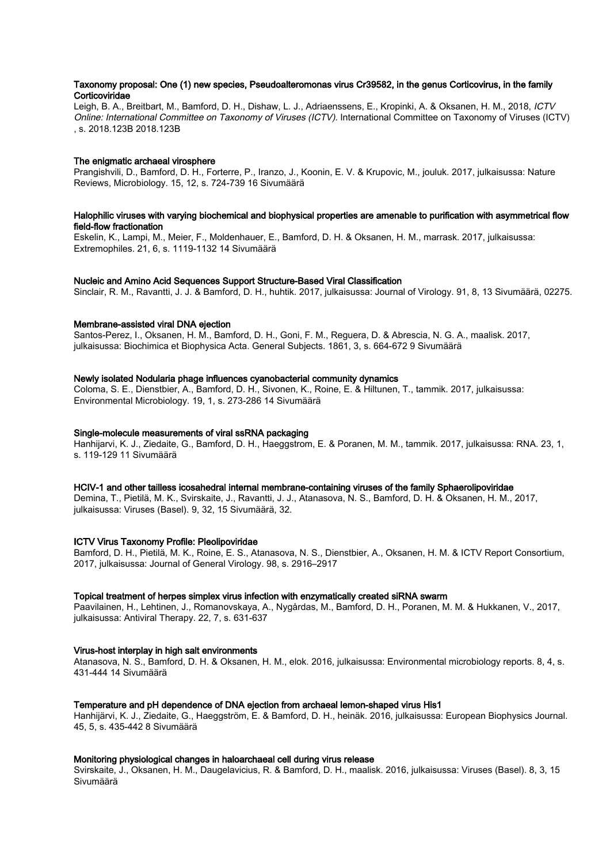#### Taxonomy proposal: One (1) new species, Pseudoalteromonas virus Cr39582, in the genus Corticovirus, in the family **Corticoviridae**

Leigh, B. A., Breitbart, M., Bamford, D. H., Dishaw, L. J., Adriaenssens, E., Kropinki, A. & Oksanen, H. M., 2018, ICTV Online: International Committee on Taxonomy of Viruses (ICTV). International Committee on Taxonomy of Viruses (ICTV) , s. 2018.123B 2018.123B

## The enigmatic archaeal virosphere

Prangishvili, D., Bamford, D. H., Forterre, P., Iranzo, J., Koonin, E. V. & Krupovic, M., jouluk. 2017, julkaisussa: Nature Reviews, Microbiology. 15, 12, s. 724-739 16 Sivumäärä

## Halophilic viruses with varying biochemical and biophysical properties are amenable to purification with asymmetrical flow field-flow fractionation

Eskelin, K., Lampi, M., Meier, F., Moldenhauer, E., Bamford, D. H. & Oksanen, H. M., marrask. 2017, julkaisussa: Extremophiles. 21, 6, s. 1119-1132 14 Sivumäärä

## Nucleic and Amino Acid Sequences Support Structure-Based Viral Classification

Sinclair, R. M., Ravantti, J. J. & Bamford, D. H., huhtik. 2017, julkaisussa: Journal of Virology. 91, 8, 13 Sivumäärä, 02275.

## Membrane-assisted viral DNA ejection

Santos-Perez, I., Oksanen, H. M., Bamford, D. H., Goni, F. M., Reguera, D. & Abrescia, N. G. A., maalisk. 2017, julkaisussa: Biochimica et Biophysica Acta. General Subjects. 1861, 3, s. 664-672 9 Sivumäärä

## Newly isolated Nodularia phage influences cyanobacterial community dynamics

Coloma, S. E., Dienstbier, A., Bamford, D. H., Sivonen, K., Roine, E. & Hiltunen, T., tammik. 2017, julkaisussa: Environmental Microbiology. 19, 1, s. 273-286 14 Sivumäärä

# Single-molecule measurements of viral ssRNA packaging

Hanhijarvi, K. J., Ziedaite, G., Bamford, D. H., Haeggstrom, E. & Poranen, M. M., tammik. 2017, julkaisussa: RNA. 23, 1, s. 119-129 11 Sivumäärä

## HCIV-1 and other tailless icosahedral internal membrane-containing viruses of the family Sphaerolipoviridae

Demina, T., Pietilä, M. K., Svirskaite, J., Ravantti, J. J., Atanasova, N. S., Bamford, D. H. & Oksanen, H. M., 2017, julkaisussa: Viruses (Basel). 9, 32, 15 Sivumäärä, 32.

## ICTV Virus Taxonomy Profile: Pleolipoviridae

Bamford, D. H., Pietilä, M. K., Roine, E. S., Atanasova, N. S., Dienstbier, A., Oksanen, H. M. & ICTV Report Consortium, 2017, julkaisussa: Journal of General Virology. 98, s. 2916–2917

## Topical treatment of herpes simplex virus infection with enzymatically created siRNA swarm

Paavilainen, H., Lehtinen, J., Romanovskaya, A., Nygårdas, M., Bamford, D. H., Poranen, M. M. & Hukkanen, V., 2017, julkaisussa: Antiviral Therapy. 22, 7, s. 631-637

## Virus-host interplay in high salt environments

Atanasova, N. S., Bamford, D. H. & Oksanen, H. M., elok. 2016, julkaisussa: Environmental microbiology reports. 8, 4, s. 431-444 14 Sivumäärä

## Temperature and pH dependence of DNA ejection from archaeal lemon-shaped virus His1

Hanhijärvi, K. J., Ziedaite, G., Haeggström, E. & Bamford, D. H., heinäk. 2016, julkaisussa: European Biophysics Journal. 45, 5, s. 435-442 8 Sivumäärä

## Monitoring physiological changes in haloarchaeal cell during virus release

Svirskaite, J., Oksanen, H. M., Daugelavicius, R. & Bamford, D. H., maalisk. 2016, julkaisussa: Viruses (Basel). 8, 3, 15 Sivumäärä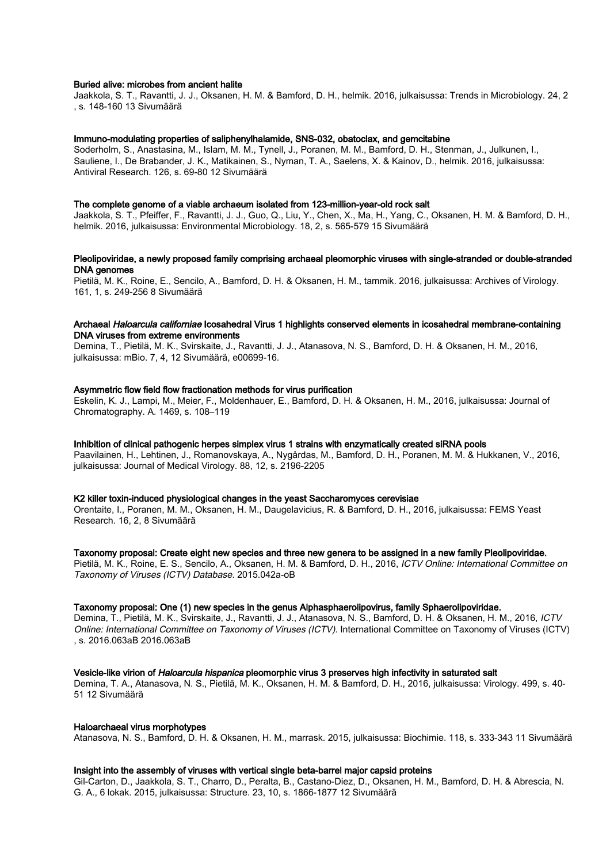#### Buried alive: microbes from ancient halite

Jaakkola, S. T., Ravantti, J. J., Oksanen, H. M. & Bamford, D. H., helmik. 2016, julkaisussa: Trends in Microbiology. 24, 2 , s. 148-160 13 Sivumäärä

#### Immuno-modulating properties of saliphenylhalamide, SNS-032, obatoclax, and gemcitabine

Soderholm, S., Anastasina, M., Islam, M. M., Tynell, J., Poranen, M. M., Bamford, D. H., Stenman, J., Julkunen, I., Sauliene, I., De Brabander, J. K., Matikainen, S., Nyman, T. A., Saelens, X. & Kainov, D., helmik. 2016, julkaisussa: Antiviral Research. 126, s. 69-80 12 Sivumäärä

#### The complete genome of a viable archaeum isolated from 123-million-year-old rock salt

Jaakkola, S. T., Pfeiffer, F., Ravantti, J. J., Guo, Q., Liu, Y., Chen, X., Ma, H., Yang, C., Oksanen, H. M. & Bamford, D. H., helmik. 2016, julkaisussa: Environmental Microbiology. 18, 2, s. 565-579 15 Sivumäärä

### Pleolipoviridae, a newly proposed family comprising archaeal pleomorphic viruses with single-stranded or double-stranded DNA genomes

Pietilä, M. K., Roine, E., Sencilo, A., Bamford, D. H. & Oksanen, H. M., tammik. 2016, julkaisussa: Archives of Virology. 161, 1, s. 249-256 8 Sivumäärä

## Archaeal Haloarcula californiae Icosahedral Virus 1 highlights conserved elements in icosahedral membrane-containing DNA viruses from extreme environments

Demina, T., Pietilä, M. K., Svirskaite, J., Ravantti, J. J., Atanasova, N. S., Bamford, D. H. & Oksanen, H. M., 2016, julkaisussa: mBio. 7, 4, 12 Sivumäärä, e00699-16.

#### Asymmetric flow field flow fractionation methods for virus purification

Eskelin, K. J., Lampi, M., Meier, F., Moldenhauer, E., Bamford, D. H. & Oksanen, H. M., 2016, julkaisussa: Journal of Chromatography. A. 1469, s. 108–119

### Inhibition of clinical pathogenic herpes simplex virus 1 strains with enzymatically created siRNA pools

Paavilainen, H., Lehtinen, J., Romanovskaya, A., Nygårdas, M., Bamford, D. H., Poranen, M. M. & Hukkanen, V., 2016, julkaisussa: Journal of Medical Virology. 88, 12, s. 2196-2205

## K2 killer toxin-induced physiological changes in the yeast Saccharomyces cerevisiae

Orentaite, I., Poranen, M. M., Oksanen, H. M., Daugelavicius, R. & Bamford, D. H., 2016, julkaisussa: FEMS Yeast Research. 16, 2, 8 Sivumäärä

#### Taxonomy proposal: Create eight new species and three new genera to be assigned in a new family Pleolipoviridae.

Pietilä, M. K., Roine, E. S., Sencilo, A., Oksanen, H. M. & Bamford, D. H., 2016, ICTV Online: International Committee on Taxonomy of Viruses (ICTV) Database. 2015.042a-oB

#### Taxonomy proposal: One (1) new species in the genus Alphasphaerolipovirus, family Sphaerolipoviridae.

Demina, T., Pietilä, M. K., Svirskaite, J., Ravantti, J. J., Atanasova, N. S., Bamford, D. H. & Oksanen, H. M., 2016, ICTV Online: International Committee on Taxonomy of Viruses (ICTV). International Committee on Taxonomy of Viruses (ICTV) , s. 2016.063aB 2016.063aB

#### Vesicle-like virion of Haloarcula hispanica pleomorphic virus 3 preserves high infectivity in saturated salt

Demina, T. A., Atanasova, N. S., Pietilä, M. K., Oksanen, H. M. & Bamford, D. H., 2016, julkaisussa: Virology. 499, s. 40- 51 12 Sivumäärä

#### Haloarchaeal virus morphotypes

Atanasova, N. S., Bamford, D. H. & Oksanen, H. M., marrask. 2015, julkaisussa: Biochimie. 118, s. 333-343 11 Sivumäärä

#### Insight into the assembly of viruses with vertical single beta-barrel major capsid proteins

Gil-Carton, D., Jaakkola, S. T., Charro, D., Peralta, B., Castano-Diez, D., Oksanen, H. M., Bamford, D. H. & Abrescia, N. G. A., 6 lokak. 2015, julkaisussa: Structure. 23, 10, s. 1866-1877 12 Sivumäärä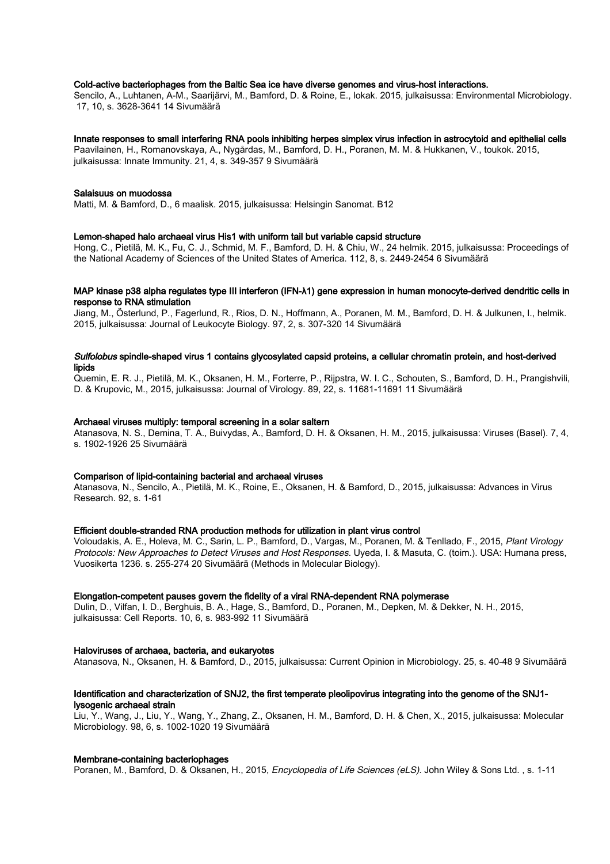## Cold-active bacteriophages from the Baltic Sea ice have diverse genomes and virus-host interactions.

Sencilo, A., Luhtanen, A-M., Saarijärvi, M., Bamford, D. & Roine, E., lokak. 2015, julkaisussa: Environmental Microbiology. 17, 10, s. 3628-3641 14 Sivumäärä

#### Innate responses to small interfering RNA pools inhibiting herpes simplex virus infection in astrocytoid and epithelial cells

Paavilainen, H., Romanovskaya, A., Nygårdas, M., Bamford, D. H., Poranen, M. M. & Hukkanen, V., toukok. 2015, julkaisussa: Innate Immunity. 21, 4, s. 349-357 9 Sivumäärä

#### Salaisuus on muodossa

Matti, M. & Bamford, D., 6 maalisk. 2015, julkaisussa: Helsingin Sanomat. B12

#### Lemon-shaped halo archaeal virus His1 with uniform tail but variable capsid structure

Hong, C., Pietilä, M. K., Fu, C. J., Schmid, M. F., Bamford, D. H. & Chiu, W., 24 helmik. 2015, julkaisussa: Proceedings of the National Academy of Sciences of the United States of America. 112, 8, s. 2449-2454 6 Sivumäärä

## MAP kinase p38 alpha regulates type III interferon (IFN-λ1) gene expression in human monocyte-derived dendritic cells in response to RNA stimulation

Jiang, M., Österlund, P., Fagerlund, R., Rios, D. N., Hoffmann, A., Poranen, M. M., Bamford, D. H. & Julkunen, I., helmik. 2015, julkaisussa: Journal of Leukocyte Biology. 97, 2, s. 307-320 14 Sivumäärä

#### Sulfolobus spindle-shaped virus 1 contains glycosylated capsid proteins, a cellular chromatin protein, and host-derived lipids

Quemin, E. R. J., Pietilä, M. K., Oksanen, H. M., Forterre, P., Rijpstra, W. I. C., Schouten, S., Bamford, D. H., Prangishvili, D. & Krupovic, M., 2015, julkaisussa: Journal of Virology. 89, 22, s. 11681-11691 11 Sivumäärä

#### Archaeal viruses multiply: temporal screening in a solar saltern

Atanasova, N. S., Demina, T. A., Buivydas, A., Bamford, D. H. & Oksanen, H. M., 2015, julkaisussa: Viruses (Basel). 7, 4, s. 1902-1926 25 Sivumäärä

#### Comparison of lipid-containing bacterial and archaeal viruses

Atanasova, N., Sencilo, A., Pietilä, M. K., Roine, E., Oksanen, H. & Bamford, D., 2015, julkaisussa: Advances in Virus Research. 92, s. 1-61

#### Efficient double-stranded RNA production methods for utilization in plant virus control

Voloudakis, A. E., Holeva, M. C., Sarin, L. P., Bamford, D., Vargas, M., Poranen, M. & Tenllado, F., 2015, Plant Virology Protocols: New Approaches to Detect Viruses and Host Responses. Uyeda, I. & Masuta, C. (toim.). USA: Humana press, Vuosikerta 1236. s. 255-274 20 Sivumäärä (Methods in Molecular Biology).

#### Elongation-competent pauses govern the fidelity of a viral RNA-dependent RNA polymerase

Dulin, D., Vilfan, I. D., Berghuis, B. A., Hage, S., Bamford, D., Poranen, M., Depken, M. & Dekker, N. H., 2015, julkaisussa: Cell Reports. 10, 6, s. 983-992 11 Sivumäärä

#### Haloviruses of archaea, bacteria, and eukaryotes

Atanasova, N., Oksanen, H. & Bamford, D., 2015, julkaisussa: Current Opinion in Microbiology. 25, s. 40-48 9 Sivumäärä

## Identification and characterization of SNJ2, the first temperate pleolipovirus integrating into the genome of the SNJ1 lysogenic archaeal strain

Liu, Y., Wang, J., Liu, Y., Wang, Y., Zhang, Z., Oksanen, H. M., Bamford, D. H. & Chen, X., 2015, julkaisussa: Molecular Microbiology. 98, 6, s. 1002-1020 19 Sivumäärä

#### Membrane-containing bacteriophages

Poranen, M., Bamford, D. & Oksanen, H., 2015, *Encyclopedia of Life Sciences (eLS)*. John Wiley & Sons Ltd., s. 1-11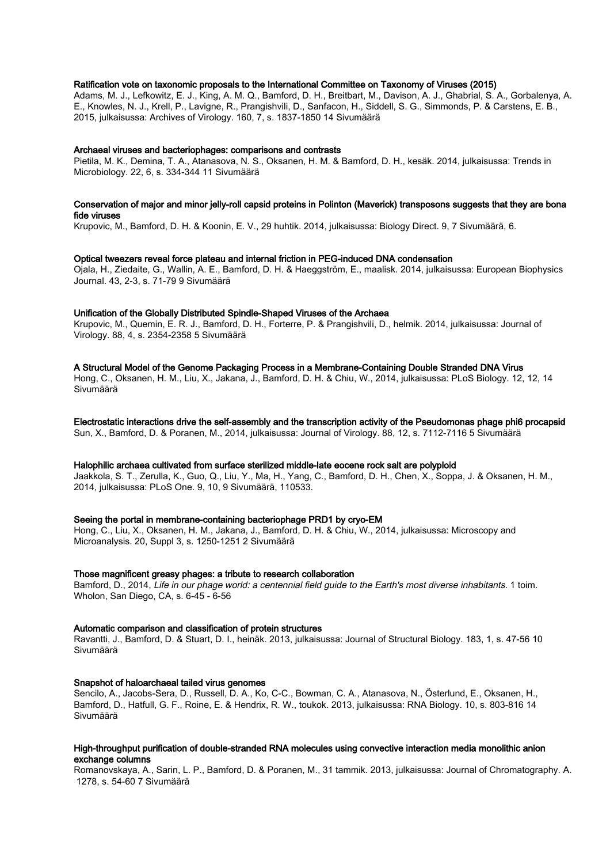## Ratification vote on taxonomic proposals to the International Committee on Taxonomy of Viruses (2015)

Adams, M. J., Lefkowitz, E. J., King, A. M. Q., Bamford, D. H., Breitbart, M., Davison, A. J., Ghabrial, S. A., Gorbalenya, A. E., Knowles, N. J., Krell, P., Lavigne, R., Prangishvili, D., Sanfacon, H., Siddell, S. G., Simmonds, P. & Carstens, E. B., 2015, julkaisussa: Archives of Virology. 160, 7, s. 1837-1850 14 Sivumäärä

#### Archaeal viruses and bacteriophages: comparisons and contrasts

Pietila, M. K., Demina, T. A., Atanasova, N. S., Oksanen, H. M. & Bamford, D. H., kesäk. 2014, julkaisussa: Trends in Microbiology. 22, 6, s. 334-344 11 Sivumäärä

#### Conservation of major and minor jelly-roll capsid proteins in Polinton (Maverick) transposons suggests that they are bona fide viruses

Krupovic, M., Bamford, D. H. & Koonin, E. V., 29 huhtik. 2014, julkaisussa: Biology Direct. 9, 7 Sivumäärä, 6.

#### Optical tweezers reveal force plateau and internal friction in PEG-induced DNA condensation

Ojala, H., Ziedaite, G., Wallin, A. E., Bamford, D. H. & Haeggström, E., maalisk. 2014, julkaisussa: European Biophysics Journal. 43, 2-3, s. 71-79 9 Sivumäärä

#### Unification of the Globally Distributed Spindle-Shaped Viruses of the Archaea

Krupovic, M., Quemin, E. R. J., Bamford, D. H., Forterre, P. & Prangishvili, D., helmik. 2014, julkaisussa: Journal of Virology. 88, 4, s. 2354-2358 5 Sivumäärä

#### A Structural Model of the Genome Packaging Process in a Membrane-Containing Double Stranded DNA Virus

Hong, C., Oksanen, H. M., Liu, X., Jakana, J., Bamford, D. H. & Chiu, W., 2014, julkaisussa: PLoS Biology. 12, 12, 14 Sivumäärä

# Electrostatic interactions drive the self-assembly and the transcription activity of the Pseudomonas phage phi6 procapsid

Sun, X., Bamford, D. & Poranen, M., 2014, julkaisussa: Journal of Virology. 88, 12, s. 7112-7116 5 Sivumäärä

### Halophilic archaea cultivated from surface sterilized middle-late eocene rock salt are polyploid

Jaakkola, S. T., Zerulla, K., Guo, Q., Liu, Y., Ma, H., Yang, C., Bamford, D. H., Chen, X., Soppa, J. & Oksanen, H. M., 2014, julkaisussa: PLoS One. 9, 10, 9 Sivumäärä, 110533.

### Seeing the portal in membrane-containing bacteriophage PRD1 by cryo-EM

Hong, C., Liu, X., Oksanen, H. M., Jakana, J., Bamford, D. H. & Chiu, W., 2014, julkaisussa: Microscopy and Microanalysis. 20, Suppl 3, s. 1250-1251 2 Sivumäärä

#### Those magnificent greasy phages: a tribute to research collaboration

Bamford, D., 2014, Life in our phage world: a centennial field quide to the Earth's most diverse inhabitants. 1 toim. Wholon, San Diego, CA, s. 6-45 - 6-56

#### Automatic comparison and classification of protein structures

Ravantti, J., Bamford, D. & Stuart, D. I., heinäk. 2013, julkaisussa: Journal of Structural Biology. 183, 1, s. 47-56 10 Sivumäärä

#### Snapshot of haloarchaeal tailed virus genomes

Sencilo, A., Jacobs-Sera, D., Russell, D. A., Ko, C-C., Bowman, C. A., Atanasova, N., Österlund, E., Oksanen, H., Bamford, D., Hatfull, G. F., Roine, E. & Hendrix, R. W., toukok. 2013, julkaisussa: RNA Biology. 10, s. 803-816 14 Sivumäärä

#### High-throughput purification of double-stranded RNA molecules using convective interaction media monolithic anion exchange columns

Romanovskaya, A., Sarin, L. P., Bamford, D. & Poranen, M., 31 tammik. 2013, julkaisussa: Journal of Chromatography. A. 1278, s. 54-60 7 Sivumäärä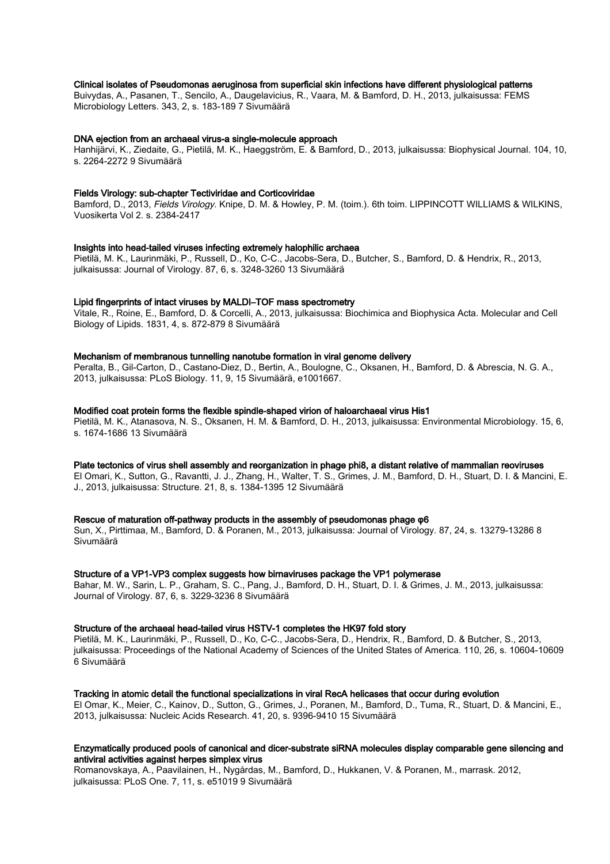### Clinical isolates of Pseudomonas aeruginosa from superficial skin infections have different physiological patterns

Buivydas, A., Pasanen, T., Sencilo, A., Daugelavicius, R., Vaara, M. & Bamford, D. H., 2013, julkaisussa: FEMS Microbiology Letters. 343, 2, s. 183-189 7 Sivumäärä

#### DNA ejection from an archaeal virus-a single-molecule approach

Hanhijärvi, K., Ziedaite, G., Pietilä, M. K., Haeggström, E. & Bamford, D., 2013, julkaisussa: Biophysical Journal. 104, 10, s. 2264-2272 9 Sivumäärä

#### Fields Virology: sub-chapter Tectiviridae and Corticoviridae

Bamford, D., 2013, Fields Virology. Knipe, D. M. & Howley, P. M. (toim.). 6th toim. LIPPINCOTT WILLIAMS & WILKINS, Vuosikerta Vol 2. s. 2384-2417

#### Insights into head-tailed viruses infecting extremely halophilic archaea

Pietilä, M. K., Laurinmäki, P., Russell, D., Ko, C-C., Jacobs-Sera, D., Butcher, S., Bamford, D. & Hendrix, R., 2013, julkaisussa: Journal of Virology. 87, 6, s. 3248-3260 13 Sivumäärä

#### Lipid fingerprints of intact viruses by MALDI–TOF mass spectrometry

Vitale, R., Roine, E., Bamford, D. & Corcelli, A., 2013, julkaisussa: Biochimica and Biophysica Acta. Molecular and Cell Biology of Lipids. 1831, 4, s. 872-879 8 Sivumäärä

#### Mechanism of membranous tunnelling nanotube formation in viral genome delivery

Peralta, B., Gil-Carton, D., Castano-Diez, D., Bertin, A., Boulogne, C., Oksanen, H., Bamford, D. & Abrescia, N. G. A., 2013, julkaisussa: PLoS Biology. 11, 9, 15 Sivumäärä, e1001667.

#### Modified coat protein forms the flexible spindle-shaped virion of haloarchaeal virus His1

Pietilä, M. K., Atanasova, N. S., Oksanen, H. M. & Bamford, D. H., 2013, julkaisussa: Environmental Microbiology. 15, 6, s. 1674-1686 13 Sivumäärä

### Plate tectonics of virus shell assembly and reorganization in phage phi8, a distant relative of mammalian reoviruses

El Omari, K., Sutton, G., Ravantti, J. J., Zhang, H., Walter, T. S., Grimes, J. M., Bamford, D. H., Stuart, D. I. & Mancini, E. J., 2013, julkaisussa: Structure. 21, 8, s. 1384-1395 12 Sivumäärä

#### Rescue of maturation off-pathway products in the assembly of pseudomonas phage φ6

Sun, X., Pirttimaa, M., Bamford, D. & Poranen, M., 2013, julkaisussa: Journal of Virology. 87, 24, s. 13279-13286 8 Sivumäärä

#### Structure of a VP1-VP3 complex suggests how birnaviruses package the VP1 polymerase

Bahar, M. W., Sarin, L. P., Graham, S. C., Pang, J., Bamford, D. H., Stuart, D. I. & Grimes, J. M., 2013, julkaisussa: Journal of Virology. 87, 6, s. 3229-3236 8 Sivumäärä

## Structure of the archaeal head-tailed virus HSTV-1 completes the HK97 fold story

Pietilä, M. K., Laurinmäki, P., Russell, D., Ko, C-C., Jacobs-Sera, D., Hendrix, R., Bamford, D. & Butcher, S., 2013, julkaisussa: Proceedings of the National Academy of Sciences of the United States of America. 110, 26, s. 10604-10609 6 Sivumäärä

#### Tracking in atomic detail the functional specializations in viral RecA helicases that occur during evolution

El Omar, K., Meier, C., Kainov, D., Sutton, G., Grimes, J., Poranen, M., Bamford, D., Tuma, R., Stuart, D. & Mancini, E., 2013, julkaisussa: Nucleic Acids Research. 41, 20, s. 9396-9410 15 Sivumäärä

## Enzymatically produced pools of canonical and dicer-substrate siRNA molecules display comparable gene silencing and antiviral activities against herpes simplex virus

Romanovskaya, A., Paavilainen, H., Nygårdas, M., Bamford, D., Hukkanen, V. & Poranen, M., marrask. 2012, julkaisussa: PLoS One. 7, 11, s. e51019 9 Sivumäärä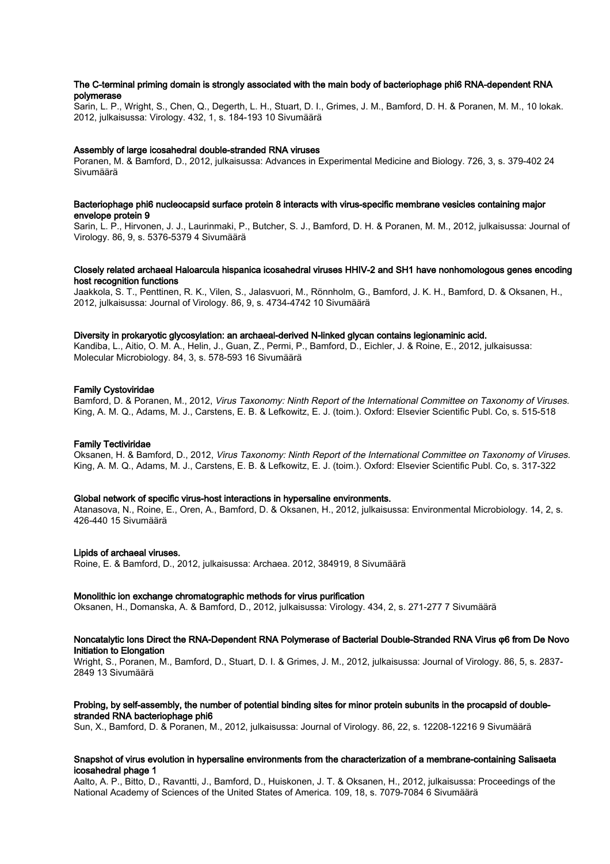## The C-terminal priming domain is strongly associated with the main body of bacteriophage phi6 RNA-dependent RNA polymerase

Sarin, L. P., Wright, S., Chen, Q., Degerth, L. H., Stuart, D. I., Grimes, J. M., Bamford, D. H. & Poranen, M. M., 10 lokak. 2012, julkaisussa: Virology. 432, 1, s. 184-193 10 Sivumäärä

#### Assembly of large icosahedral double-stranded RNA viruses

Poranen, M. & Bamford, D., 2012, julkaisussa: Advances in Experimental Medicine and Biology. 726, 3, s. 379-402 24 Sivumäärä

#### Bacteriophage phi6 nucleocapsid surface protein 8 interacts with virus-specific membrane vesicles containing major envelope protein 9

Sarin, L. P., Hirvonen, J. J., Laurinmaki, P., Butcher, S. J., Bamford, D. H. & Poranen, M. M., 2012, julkaisussa: Journal of Virology. 86, 9, s. 5376-5379 4 Sivumäärä

### Closely related archaeal Haloarcula hispanica icosahedral viruses HHIV-2 and SH1 have nonhomologous genes encoding host recognition functions

Jaakkola, S. T., Penttinen, R. K., Vilen, S., Jalasvuori, M., Rönnholm, G., Bamford, J. K. H., Bamford, D. & Oksanen, H., 2012, julkaisussa: Journal of Virology. 86, 9, s. 4734-4742 10 Sivumäärä

### Diversity in prokaryotic glycosylation: an archaeal-derived N-linked glycan contains legionaminic acid.

Kandiba, L., Aitio, O. M. A., Helin, J., Guan, Z., Permi, P., Bamford, D., Eichler, J. & Roine, E., 2012, julkaisussa: Molecular Microbiology. 84, 3, s. 578-593 16 Sivumäärä

### Family Cystoviridae

Bamford, D. & Poranen, M., 2012, Virus Taxonomy: Ninth Report of the International Committee on Taxonomy of Viruses. King, A. M. Q., Adams, M. J., Carstens, E. B. & Lefkowitz, E. J. (toim.). Oxford: Elsevier Scientific Publ. Co, s. 515-518

#### Family Tectiviridae

Oksanen, H. & Bamford, D., 2012, Virus Taxonomy: Ninth Report of the International Committee on Taxonomy of Viruses. King, A. M. Q., Adams, M. J., Carstens, E. B. & Lefkowitz, E. J. (toim.). Oxford: Elsevier Scientific Publ. Co, s. 317-322

#### Global network of specific virus-host interactions in hypersaline environments.

Atanasova, N., Roine, E., Oren, A., Bamford, D. & Oksanen, H., 2012, julkaisussa: Environmental Microbiology. 14, 2, s. 426-440 15 Sivumäärä

#### Lipids of archaeal viruses.

Roine, E. & Bamford, D., 2012, julkaisussa: Archaea. 2012, 384919, 8 Sivumäärä

#### Monolithic ion exchange chromatographic methods for virus purification

Oksanen, H., Domanska, A. & Bamford, D., 2012, julkaisussa: Virology. 434, 2, s. 271-277 7 Sivumäärä

## Noncatalytic Ions Direct the RNA-Dependent RNA Polymerase of Bacterial Double-Stranded RNA Virus φ6 from De Novo Initiation to Elongation

Wright, S., Poranen, M., Bamford, D., Stuart, D. I. & Grimes, J. M., 2012, julkaisussa: Journal of Virology. 86, 5, s. 2837- 2849 13 Sivumäärä

#### Probing, by self-assembly, the number of potential binding sites for minor protein subunits in the procapsid of doublestranded RNA bacteriophage phi6

Sun, X., Bamford, D. & Poranen, M., 2012, julkaisussa: Journal of Virology. 86, 22, s. 12208-12216 9 Sivumäärä

#### Snapshot of virus evolution in hypersaline environments from the characterization of a membrane-containing Salisaeta icosahedral phage 1

Aalto, A. P., Bitto, D., Ravantti, J., Bamford, D., Huiskonen, J. T. & Oksanen, H., 2012, julkaisussa: Proceedings of the National Academy of Sciences of the United States of America. 109, 18, s. 7079-7084 6 Sivumäärä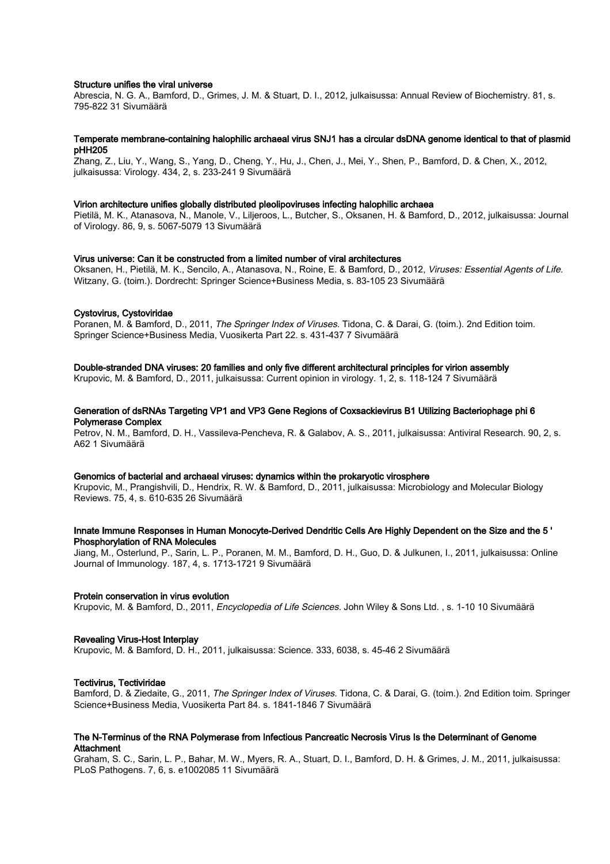#### Structure unifies the viral universe

Abrescia, N. G. A., Bamford, D., Grimes, J. M. & Stuart, D. I., 2012, julkaisussa: Annual Review of Biochemistry. 81, s. 795-822 31 Sivumäärä

#### Temperate membrane-containing halophilic archaeal virus SNJ1 has a circular dsDNA genome identical to that of plasmid pHH205

Zhang, Z., Liu, Y., Wang, S., Yang, D., Cheng, Y., Hu, J., Chen, J., Mei, Y., Shen, P., Bamford, D. & Chen, X., 2012, julkaisussa: Virology. 434, 2, s. 233-241 9 Sivumäärä

#### Virion architecture unifies globally distributed pleolipoviruses infecting halophilic archaea

Pietilä, M. K., Atanasova, N., Manole, V., Liljeroos, L., Butcher, S., Oksanen, H. & Bamford, D., 2012, julkaisussa: Journal of Virology. 86, 9, s. 5067-5079 13 Sivumäärä

## Virus universe: Can it be constructed from a limited number of viral architectures

Oksanen, H., Pietilä, M. K., Sencilo, A., Atanasova, N., Roine, E. & Bamford, D., 2012, Viruses: Essential Agents of Life. Witzany, G. (toim.). Dordrecht: Springer Science+Business Media, s. 83-105 23 Sivumäärä

## Cystovirus, Cystoviridae

Poranen, M. & Bamford, D., 2011, The Springer Index of Viruses. Tidona, C. & Darai, G. (toim.). 2nd Edition toim. Springer Science+Business Media, Vuosikerta Part 22. s. 431-437 7 Sivumäärä

#### Double-stranded DNA viruses: 20 families and only five different architectural principles for virion assembly

Krupovic, M. & Bamford, D., 2011, julkaisussa: Current opinion in virology. 1, 2, s. 118-124 7 Sivumäärä

#### Generation of dsRNAs Targeting VP1 and VP3 Gene Regions of Coxsackievirus B1 Utilizing Bacteriophage phi 6 Polymerase Complex

Petrov, N. M., Bamford, D. H., Vassileva-Pencheva, R. & Galabov, A. S., 2011, julkaisussa: Antiviral Research. 90, 2, s. A62 1 Sivumäärä

## Genomics of bacterial and archaeal viruses: dynamics within the prokaryotic virosphere

Krupovic, M., Prangishvili, D., Hendrix, R. W. & Bamford, D., 2011, julkaisussa: Microbiology and Molecular Biology Reviews. 75, 4, s. 610-635 26 Sivumäärä

## Innate Immune Responses in Human Monocyte-Derived Dendritic Cells Are Highly Dependent on the Size and the 5 ' Phosphorylation of RNA Molecules

Jiang, M., Osterlund, P., Sarin, L. P., Poranen, M. M., Bamford, D. H., Guo, D. & Julkunen, I., 2011, julkaisussa: Online Journal of Immunology. 187, 4, s. 1713-1721 9 Sivumäärä

#### Protein conservation in virus evolution

Krupovic, M. & Bamford, D., 2011, Encyclopedia of Life Sciences. John Wiley & Sons Ltd. , s. 1-10 10 Sivumäärä

#### Revealing Virus-Host Interplay

Krupovic, M. & Bamford, D. H., 2011, julkaisussa: Science. 333, 6038, s. 45-46 2 Sivumäärä

#### Tectivirus, Tectiviridae

Bamford, D. & Ziedaite, G., 2011, The Springer Index of Viruses. Tidona, C. & Darai, G. (toim.). 2nd Edition toim. Springer Science+Business Media, Vuosikerta Part 84. s. 1841-1846 7 Sivumäärä

#### The N-Terminus of the RNA Polymerase from Infectious Pancreatic Necrosis Virus Is the Determinant of Genome **Attachment**

Graham, S. C., Sarin, L. P., Bahar, M. W., Myers, R. A., Stuart, D. I., Bamford, D. H. & Grimes, J. M., 2011, julkaisussa: PLoS Pathogens. 7, 6, s. e1002085 11 Sivumäärä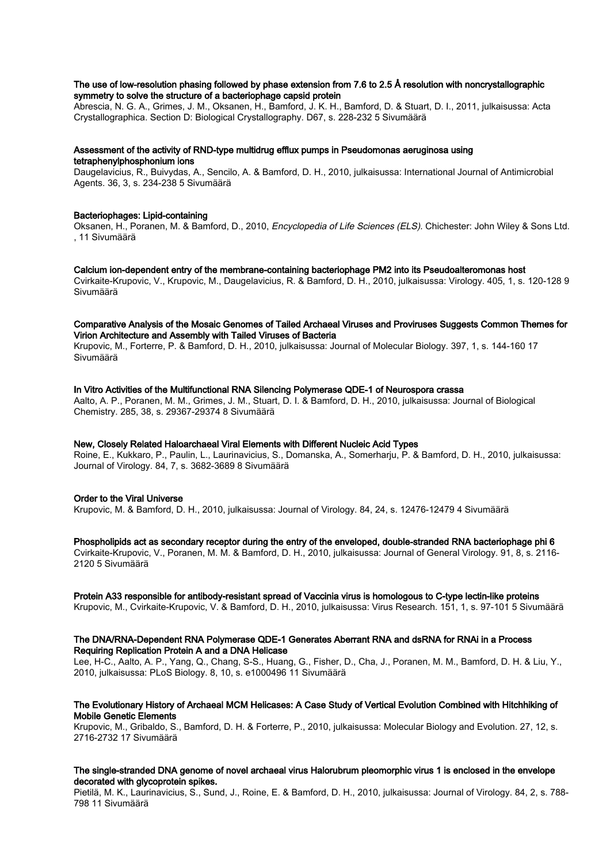## The use of low-resolution phasing followed by phase extension from 7.6 to 2.5 Å resolution with noncrystallographic symmetry to solve the structure of a bacteriophage capsid protein

Abrescia, N. G. A., Grimes, J. M., Oksanen, H., Bamford, J. K. H., Bamford, D. & Stuart, D. I., 2011, julkaisussa: Acta Crystallographica. Section D: Biological Crystallography. D67, s. 228-232 5 Sivumäärä

## Assessment of the activity of RND-type multidrug efflux pumps in Pseudomonas aeruginosa using tetraphenylphosphonium ions

Daugelavicius, R., Buivydas, A., Sencilo, A. & Bamford, D. H., 2010, julkaisussa: International Journal of Antimicrobial Agents. 36, 3, s. 234-238 5 Sivumäärä

## Bacteriophages: Lipid-containing

Oksanen, H., Poranen, M. & Bamford, D., 2010, Encyclopedia of Life Sciences (ELS). Chichester: John Wiley & Sons Ltd. , 11 Sivumäärä

#### Calcium ion-dependent entry of the membrane-containing bacteriophage PM2 into its Pseudoalteromonas host Cvirkaite-Krupovic, V., Krupovic, M., Daugelavicius, R. & Bamford, D. H., 2010, julkaisussa: Virology. 405, 1, s. 120-128 9 Sivumäärä

## Comparative Analysis of the Mosaic Genomes of Tailed Archaeal Viruses and Proviruses Suggests Common Themes for Virion Architecture and Assembly with Tailed Viruses of Bacteria

Krupovic, M., Forterre, P. & Bamford, D. H., 2010, julkaisussa: Journal of Molecular Biology. 397, 1, s. 144-160 17 Sivumäärä

#### In Vitro Activities of the Multifunctional RNA Silencing Polymerase QDE-1 of Neurospora crassa

Aalto, A. P., Poranen, M. M., Grimes, J. M., Stuart, D. I. & Bamford, D. H., 2010, julkaisussa: Journal of Biological Chemistry. 285, 38, s. 29367-29374 8 Sivumäärä

### New, Closely Related Haloarchaeal Viral Elements with Different Nucleic Acid Types

Roine, E., Kukkaro, P., Paulin, L., Laurinavicius, S., Domanska, A., Somerharju, P. & Bamford, D. H., 2010, julkaisussa: Journal of Virology. 84, 7, s. 3682-3689 8 Sivumäärä

## Order to the Viral Universe

Krupovic, M. & Bamford, D. H., 2010, julkaisussa: Journal of Virology. 84, 24, s. 12476-12479 4 Sivumäärä

#### Phospholipids act as secondary receptor during the entry of the enveloped, double-stranded RNA bacteriophage phi 6

Cvirkaite-Krupovic, V., Poranen, M. M. & Bamford, D. H., 2010, julkaisussa: Journal of General Virology. 91, 8, s. 2116- 2120 5 Sivumäärä

## Protein A33 responsible for antibody-resistant spread of Vaccinia virus is homologous to C-type lectin-like proteins

Krupovic, M., Cvirkaite-Krupovic, V. & Bamford, D. H., 2010, julkaisussa: Virus Research. 151, 1, s. 97-101 5 Sivumäärä

#### The DNA/RNA-Dependent RNA Polymerase QDE-1 Generates Aberrant RNA and dsRNA for RNAi in a Process Requiring Replication Protein A and a DNA Helicase

Lee, H-C., Aalto, A. P., Yang, Q., Chang, S-S., Huang, G., Fisher, D., Cha, J., Poranen, M. M., Bamford, D. H. & Liu, Y., 2010, julkaisussa: PLoS Biology. 8, 10, s. e1000496 11 Sivumäärä

## The Evolutionary History of Archaeal MCM Helicases: A Case Study of Vertical Evolution Combined with Hitchhiking of Mobile Genetic Elements

Krupovic, M., Gribaldo, S., Bamford, D. H. & Forterre, P., 2010, julkaisussa: Molecular Biology and Evolution. 27, 12, s. 2716-2732 17 Sivumäärä

## The single-stranded DNA genome of novel archaeal virus Halorubrum pleomorphic virus 1 is enclosed in the envelope decorated with glycoprotein spikes.

Pietilä, M. K., Laurinavicius, S., Sund, J., Roine, E. & Bamford, D. H., 2010, julkaisussa: Journal of Virology. 84, 2, s. 788- 798 11 Sivumäärä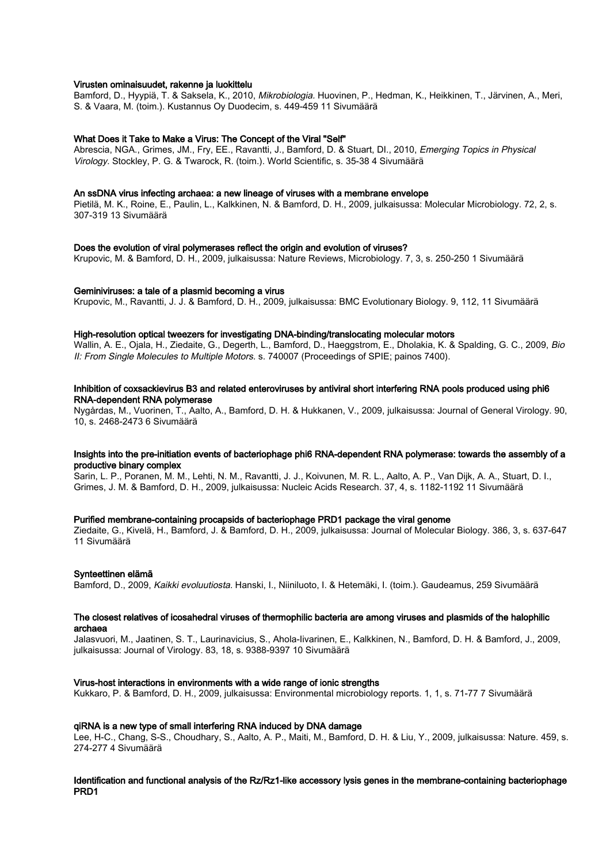#### Virusten ominaisuudet, rakenne ja luokittelu

Bamford, D., Hyypiä, T. & Saksela, K., 2010, *Mikrobiologia*, Huovinen, P., Hedman, K., Heikkinen, T., Järvinen, A., Meri, S. & Vaara, M. (toim.). Kustannus Oy Duodecim, s. 449-459 11 Sivumäärä

#### What Does it Take to Make a Virus: The Concept of the Viral "Self"

Abrescia, NGA., Grimes, JM., Fry, EE., Ravantti, J., Bamford, D. & Stuart, DI., 2010, Emerging Topics in Physical Virology. Stockley, P. G. & Twarock, R. (toim.). World Scientific, s. 35-38 4 Sivumäärä

#### An ssDNA virus infecting archaea: a new lineage of viruses with a membrane envelope

Pietilä, M. K., Roine, E., Paulin, L., Kalkkinen, N. & Bamford, D. H., 2009, julkaisussa: Molecular Microbiology. 72, 2, s. 307-319 13 Sivumäärä

#### Does the evolution of viral polymerases reflect the origin and evolution of viruses?

Krupovic, M. & Bamford, D. H., 2009, julkaisussa: Nature Reviews, Microbiology. 7, 3, s. 250-250 1 Sivumäärä

#### Geminiviruses: a tale of a plasmid becoming a virus

Krupovic, M., Ravantti, J. J. & Bamford, D. H., 2009, julkaisussa: BMC Evolutionary Biology. 9, 112, 11 Sivumäärä

#### High-resolution optical tweezers for investigating DNA-binding/translocating molecular motors

Wallin, A. E., Ojala, H., Ziedaite, G., Degerth, L., Bamford, D., Haeggstrom, E., Dholakia, K. & Spalding, G. C., 2009, Bio II: From Single Molecules to Multiple Motors. s. 740007 (Proceedings of SPIE; painos 7400).

## Inhibition of coxsackievirus B3 and related enteroviruses by antiviral short interfering RNA pools produced using phi6 RNA-dependent RNA polymerase

Nygårdas, M., Vuorinen, T., Aalto, A., Bamford, D. H. & Hukkanen, V., 2009, julkaisussa: Journal of General Virology. 90, 10, s. 2468-2473 6 Sivumäärä

### Insights into the pre-initiation events of bacteriophage phi6 RNA-dependent RNA polymerase: towards the assembly of a productive binary complex

Sarin, L. P., Poranen, M. M., Lehti, N. M., Ravantti, J. J., Koivunen, M. R. L., Aalto, A. P., Van Dijk, A. A., Stuart, D. I., Grimes, J. M. & Bamford, D. H., 2009, julkaisussa: Nucleic Acids Research. 37, 4, s. 1182-1192 11 Sivumäärä

#### Purified membrane-containing procapsids of bacteriophage PRD1 package the viral genome

Ziedaite, G., Kivelä, H., Bamford, J. & Bamford, D. H., 2009, julkaisussa: Journal of Molecular Biology. 386, 3, s. 637-647 11 Sivumäärä

#### Synteettinen elämä

Bamford, D., 2009, Kaikki evoluutiosta. Hanski, I., Niiniluoto, I. & Hetemäki, I. (toim.). Gaudeamus, 259 Sivumäärä

#### The closest relatives of icosahedral viruses of thermophilic bacteria are among viruses and plasmids of the halophilic archaea

Jalasvuori, M., Jaatinen, S. T., Laurinavicius, S., Ahola-Iivarinen, E., Kalkkinen, N., Bamford, D. H. & Bamford, J., 2009, julkaisussa: Journal of Virology. 83, 18, s. 9388-9397 10 Sivumäärä

#### Virus-host interactions in environments with a wide range of ionic strengths

Kukkaro, P. & Bamford, D. H., 2009, julkaisussa: Environmental microbiology reports. 1, 1, s. 71-77 7 Sivumäärä

#### qiRNA is a new type of small interfering RNA induced by DNA damage

Lee, H-C., Chang, S-S., Choudhary, S., Aalto, A. P., Maiti, M., Bamford, D. H. & Liu, Y., 2009, julkaisussa: Nature. 459, s. 274-277 4 Sivumäärä

## Identification and functional analysis of the Rz/Rz1-like accessory lysis genes in the membrane-containing bacteriophage PRD1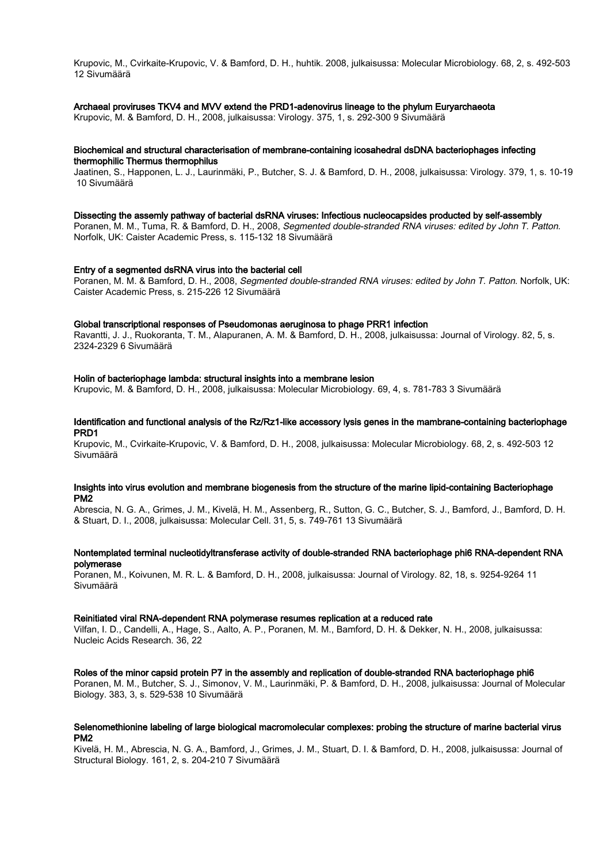Krupovic, M., Cvirkaite-Krupovic, V. & Bamford, D. H., huhtik. 2008, julkaisussa: Molecular Microbiology. 68, 2, s. 492-503 12 Sivumäärä

#### Archaeal proviruses TKV4 and MVV extend the PRD1-adenovirus lineage to the phylum Euryarchaeota

Krupovic, M. & Bamford, D. H., 2008, julkaisussa: Virology. 375, 1, s. 292-300 9 Sivumäärä

## Biochemical and structural characterisation of membrane-containing icosahedral dsDNA bacteriophages infecting thermophilic Thermus thermophilus

Jaatinen, S., Happonen, L. J., Laurinmäki, P., Butcher, S. J. & Bamford, D. H., 2008, julkaisussa: Virology. 379, 1, s. 10-19 10 Sivumäärä

#### Dissecting the assemly pathway of bacterial dsRNA viruses: Infectious nucleocapsides producted by self-assembly

Poranen, M. M., Tuma, R. & Bamford, D. H., 2008, Segmented double-stranded RNA viruses: edited by John T. Patton. Norfolk, UK: Caister Academic Press, s. 115-132 18 Sivumäärä

#### Entry of a segmented dsRNA virus into the bacterial cell

Poranen, M. M. & Bamford, D. H., 2008, Segmented double-stranded RNA viruses: edited by John T. Patton. Norfolk, UK: Caister Academic Press, s. 215-226 12 Sivumäärä

#### Global transcriptional responses of Pseudomonas aeruginosa to phage PRR1 infection

Ravantti, J. J., Ruokoranta, T. M., Alapuranen, A. M. & Bamford, D. H., 2008, julkaisussa: Journal of Virology. 82, 5, s. 2324-2329 6 Sivumäärä

#### Holin of bacteriophage lambda: structural insights into a membrane lesion

Krupovic, M. & Bamford, D. H., 2008, julkaisussa: Molecular Microbiology. 69, 4, s. 781-783 3 Sivumäärä

#### Identification and functional analysis of the Rz/Rz1-like accessory lysis genes in the mambrane-containing bacteriophage PRD1

Krupovic, M., Cvirkaite-Krupovic, V. & Bamford, D. H., 2008, julkaisussa: Molecular Microbiology. 68, 2, s. 492-503 12 Sivumäärä

#### Insights into virus evolution and membrane biogenesis from the structure of the marine lipid-containing Bacteriophage PM2

Abrescia, N. G. A., Grimes, J. M., Kivelä, H. M., Assenberg, R., Sutton, G. C., Butcher, S. J., Bamford, J., Bamford, D. H. & Stuart, D. I., 2008, julkaisussa: Molecular Cell. 31, 5, s. 749-761 13 Sivumäärä

## Nontemplated terminal nucleotidyltransferase activity of double-stranded RNA bacteriophage phi6 RNA-dependent RNA polymerase

Poranen, M., Koivunen, M. R. L. & Bamford, D. H., 2008, julkaisussa: Journal of Virology. 82, 18, s. 9254-9264 11 Sivumäärä

#### Reinitiated viral RNA-dependent RNA polymerase resumes replication at a reduced rate

Vilfan, I. D., Candelli, A., Hage, S., Aalto, A. P., Poranen, M. M., Bamford, D. H. & Dekker, N. H., 2008, julkaisussa: Nucleic Acids Research. 36, 22

#### Roles of the minor capsid protein P7 in the assembly and replication of double-stranded RNA bacteriophage phi6

Poranen, M. M., Butcher, S. J., Simonov, V. M., Laurinmäki, P. & Bamford, D. H., 2008, julkaisussa: Journal of Molecular Biology. 383, 3, s. 529-538 10 Sivumäärä

#### Selenomethionine labeling of large biological macromolecular complexes: probing the structure of marine bacterial virus PM2

Kivelä, H. M., Abrescia, N. G. A., Bamford, J., Grimes, J. M., Stuart, D. I. & Bamford, D. H., 2008, julkaisussa: Journal of Structural Biology. 161, 2, s. 204-210 7 Sivumäärä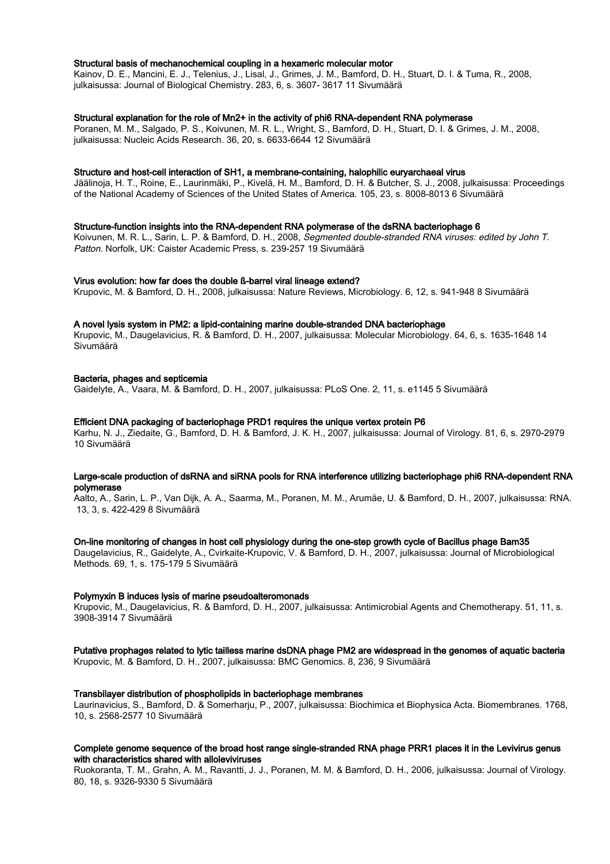#### Structural basis of mechanochemical coupling in a hexameric molecular motor

Kainov, D. E., Mancini, E. J., Telenius, J., Lisal, J., Grimes, J. M., Bamford, D. H., Stuart, D. I. & Tuma, R., 2008, julkaisussa: Journal of Biological Chemistry. 283, 6, s. 3607- 3617 11 Sivumäärä

#### Structural explanation for the role of Mn2+ in the activity of phi6 RNA-dependent RNA polymerase

Poranen, M. M., Salgado, P. S., Koivunen, M. R. L., Wright, S., Bamford, D. H., Stuart, D. I. & Grimes, J. M., 2008, julkaisussa: Nucleic Acids Research. 36, 20, s. 6633-6644 12 Sivumäärä

#### Structure and host-cell interaction of SH1, a membrane-containing, halophilic euryarchaeal virus

Jäälinoja, H. T., Roine, E., Laurinmäki, P., Kivelä, H. M., Bamford, D. H. & Butcher, S. J., 2008, julkaisussa: Proceedings of the National Academy of Sciences of the United States of America. 105, 23, s. 8008-8013 6 Sivumäärä

### Structure-function insights into the RNA-dependent RNA polymerase of the dsRNA bacteriophage 6

Koivunen, M. R. L., Sarin, L. P. & Bamford, D. H., 2008, Segmented double-stranded RNA viruses: edited by John T. Patton. Norfolk, UK: Caister Academic Press, s. 239-257 19 Sivumäärä

#### Virus evolution: how far does the double ß-barrel viral lineage extend?

Krupovic, M. & Bamford, D. H., 2008, julkaisussa: Nature Reviews, Microbiology. 6, 12, s. 941-948 8 Sivumäärä

#### A novel lysis system in PM2: a lipid-containing marine double-stranded DNA bacteriophage

Krupovic, M., Daugelavicius, R. & Bamford, D. H., 2007, julkaisussa: Molecular Microbiology. 64, 6, s. 1635-1648 14 Sivumäärä

#### Bacteria, phages and septicemia

Gaidelyte, A., Vaara, M. & Bamford, D. H., 2007, julkaisussa: PLoS One. 2, 11, s. e1145 5 Sivumäärä

## Efficient DNA packaging of bacteriophage PRD1 requires the unique vertex protein P6

Karhu, N. J., Ziedaite, G., Bamford, D. H. & Bamford, J. K. H., 2007, julkaisussa: Journal of Virology. 81, 6, s. 2970-2979 10 Sivumäärä

### Large-scale production of dsRNA and siRNA pools for RNA interference utilizing bacteriophage phi6 RNA-dependent RNA polymerase

Aalto, A., Sarin, L. P., Van Dijk, A. A., Saarma, M., Poranen, M. M., Arumäe, U. & Bamford, D. H., 2007, julkaisussa: RNA. 13, 3, s. 422-429 8 Sivumäärä

#### On-line monitoring of changes in host cell physiology during the one-step growth cycle of Bacillus phage Bam35

Daugelavicius, R., Gaidelyte, A., Cvirkaite-Krupovic, V. & Bamford, D. H., 2007, julkaisussa: Journal of Microbiological Methods. 69, 1, s. 175-179 5 Sivumäärä

#### Polymyxin B induces lysis of marine pseudoalteromonads

Krupovic, M., Daugelavicius, R. & Bamford, D. H., 2007, julkaisussa: Antimicrobial Agents and Chemotherapy. 51, 11, s. 3908-3914 7 Sivumäärä

# Putative prophages related to lytic tailless marine dsDNA phage PM2 are widespread in the genomes of aquatic bacteria

Krupovic, M. & Bamford, D. H., 2007, julkaisussa: BMC Genomics. 8, 236, 9 Sivumäärä

#### Transbilayer distribution of phospholipids in bacteriophage membranes

Laurinavicius, S., Bamford, D. & Somerharju, P., 2007, julkaisussa: Biochimica et Biophysica Acta. Biomembranes. 1768, 10, s. 2568-2577 10 Sivumäärä

## Complete genome sequence of the broad host range single-stranded RNA phage PRR1 places it in the Levivirus genus with characteristics shared with alloleviviruses

Ruokoranta, T. M., Grahn, A. M., Ravantti, J. J., Poranen, M. M. & Bamford, D. H., 2006, julkaisussa: Journal of Virology. 80, 18, s. 9326-9330 5 Sivumäärä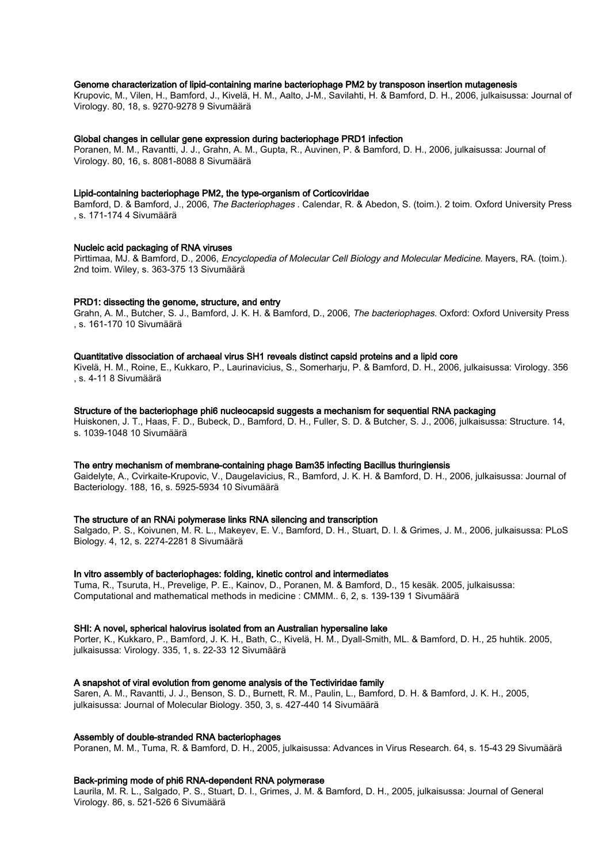### Genome characterization of lipid-containing marine bacteriophage PM2 by transposon insertion mutagenesis

Krupovic, M., Vilen, H., Bamford, J., Kivelä, H. M., Aalto, J-M., Savilahti, H. & Bamford, D. H., 2006, julkaisussa: Journal of Virology. 80, 18, s. 9270-9278 9 Sivumäärä

#### Global changes in cellular gene expression during bacteriophage PRD1 infection

Poranen, M. M., Ravantti, J. J., Grahn, A. M., Gupta, R., Auvinen, P. & Bamford, D. H., 2006, julkaisussa: Journal of Virology. 80, 16, s. 8081-8088 8 Sivumäärä

#### Lipid-containing bacteriophage PM2, the type-organism of Corticoviridae

Bamford, D. & Bamford, J., 2006, The Bacteriophages . Calendar, R. & Abedon, S. (toim.). 2 toim. Oxford University Press , s. 171-174 4 Sivumäärä

#### Nucleic acid packaging of RNA viruses

Pirttimaa, MJ. & Bamford, D., 2006, Encyclopedia of Molecular Cell Biology and Molecular Medicine. Mayers, RA. (toim.). 2nd toim. Wiley, s. 363-375 13 Sivumäärä

#### PRD1: dissecting the genome, structure, and entry

Grahn, A. M., Butcher, S. J., Bamford, J. K. H. & Bamford, D., 2006, The bacteriophages. Oxford: Oxford University Press , s. 161-170 10 Sivumäärä

#### Quantitative dissociation of archaeal virus SH1 reveals distinct capsid proteins and a lipid core

Kivelä, H. M., Roine, E., Kukkaro, P., Laurinavicius, S., Somerharju, P. & Bamford, D. H., 2006, julkaisussa: Virology. 356 , s. 4-11 8 Sivumäärä

### Structure of the bacteriophage phi6 nucleocapsid suggests a mechanism for sequential RNA packaging

Huiskonen, J. T., Haas, F. D., Bubeck, D., Bamford, D. H., Fuller, S. D. & Butcher, S. J., 2006, julkaisussa: Structure. 14, s. 1039-1048 10 Sivumäärä

### The entry mechanism of membrane-containing phage Bam35 infecting Bacillus thuringiensis

Gaidelyte, A., Cvirkaite-Krupovic, V., Daugelavicius, R., Bamford, J. K. H. & Bamford, D. H., 2006, julkaisussa: Journal of Bacteriology. 188, 16, s. 5925-5934 10 Sivumäärä

## The structure of an RNAi polymerase links RNA silencing and transcription

Salgado, P. S., Koivunen, M. R. L., Makeyev, E. V., Bamford, D. H., Stuart, D. I. & Grimes, J. M., 2006, julkaisussa: PLoS Biology. 4, 12, s. 2274-2281 8 Sivumäärä

#### In vitro assembly of bacteriophages: folding, kinetic control and intermediates

Tuma, R., Tsuruta, H., Prevelige, P. E., Kainov, D., Poranen, M. & Bamford, D., 15 kesäk. 2005, julkaisussa: Computational and mathematical methods in medicine : CMMM.. 6, 2, s. 139-139 1 Sivumäärä

#### SHI: A novel, spherical halovirus isolated from an Australian hypersaline lake

Porter, K., Kukkaro, P., Bamford, J. K. H., Bath, C., Kivelä, H. M., Dyall-Smith, ML. & Bamford, D. H., 25 huhtik. 2005, julkaisussa: Virology. 335, 1, s. 22-33 12 Sivumäärä

#### A snapshot of viral evolution from genome analysis of the Tectiviridae family

Saren, A. M., Ravantti, J. J., Benson, S. D., Burnett, R. M., Paulin, L., Bamford, D. H. & Bamford, J. K. H., 2005, julkaisussa: Journal of Molecular Biology. 350, 3, s. 427-440 14 Sivumäärä

#### Assembly of double-stranded RNA bacteriophages

Poranen, M. M., Tuma, R. & Bamford, D. H., 2005, julkaisussa: Advances in Virus Research. 64, s. 15-43 29 Sivumäärä

#### Back-priming mode of phi6 RNA-dependent RNA polymerase

Laurila, M. R. L., Salgado, P. S., Stuart, D. I., Grimes, J. M. & Bamford, D. H., 2005, julkaisussa: Journal of General Virology. 86, s. 521-526 6 Sivumäärä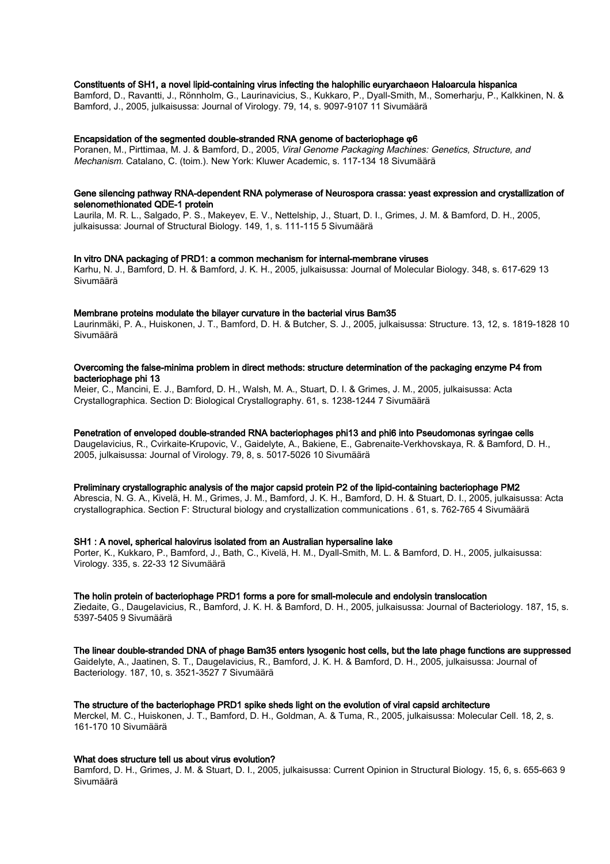### Constituents of SH1, a novel lipid-containing virus infecting the halophilic euryarchaeon Haloarcula hispanica

Bamford, D., Ravantti, J., Rönnholm, G., Laurinavicius, S., Kukkaro, P., Dyall-Smith, M., Somerharju, P., Kalkkinen, N. & Bamford, J., 2005, julkaisussa: Journal of Virology. 79, 14, s. 9097-9107 11 Sivumäärä

#### Encapsidation of the segmented double-stranded RNA genome of bacteriophage φ6

Poranen, M., Pirttimaa, M. J. & Bamford, D., 2005, Viral Genome Packaging Machines: Genetics, Structure, and Mechanism. Catalano, C. (toim.). New York: Kluwer Academic, s. 117-134 18 Sivumäärä

#### Gene silencing pathway RNA-dependent RNA polymerase of Neurospora crassa: yeast expression and crystallization of selenomethionated QDE-1 protein

Laurila, M. R. L., Salgado, P. S., Makeyev, E. V., Nettelship, J., Stuart, D. I., Grimes, J. M. & Bamford, D. H., 2005, julkaisussa: Journal of Structural Biology. 149, 1, s. 111-115 5 Sivumäärä

#### In vitro DNA packaging of PRD1: a common mechanism for internal-membrane viruses

Karhu, N. J., Bamford, D. H. & Bamford, J. K. H., 2005, julkaisussa: Journal of Molecular Biology. 348, s. 617-629 13 Sivumäärä

#### Membrane proteins modulate the bilayer curvature in the bacterial virus Bam35

Laurinmäki, P. A., Huiskonen, J. T., Bamford, D. H. & Butcher, S. J., 2005, julkaisussa: Structure. 13, 12, s. 1819-1828 10 Sivumäärä

#### Overcoming the false-minima problem in direct methods: structure determination of the packaging enzyme P4 from bacteriophage phi 13

Meier, C., Mancini, E. J., Bamford, D. H., Walsh, M. A., Stuart, D. I. & Grimes, J. M., 2005, julkaisussa: Acta Crystallographica. Section D: Biological Crystallography. 61, s. 1238-1244 7 Sivumäärä

#### Penetration of enveloped double-stranded RNA bacteriophages phi13 and phi6 into Pseudomonas syringae cells

Daugelavicius, R., Cvirkaite-Krupovic, V., Gaidelyte, A., Bakiene, E., Gabrenaite-Verkhovskaya, R. & Bamford, D. H., 2005, julkaisussa: Journal of Virology. 79, 8, s. 5017-5026 10 Sivumäärä

#### Preliminary crystallographic analysis of the major capsid protein P2 of the lipid-containing bacteriophage PM2

Abrescia, N. G. A., Kivelä, H. M., Grimes, J. M., Bamford, J. K. H., Bamford, D. H. & Stuart, D. I., 2005, julkaisussa: Acta crystallographica. Section F: Structural biology and crystallization communications . 61, s. 762-765 4 Sivumäärä

#### SH1 : A novel, spherical halovirus isolated from an Australian hypersaline lake

Porter, K., Kukkaro, P., Bamford, J., Bath, C., Kivelä, H. M., Dyall-Smith, M. L. & Bamford, D. H., 2005, julkaisussa: Virology. 335, s. 22-33 12 Sivumäärä

#### The holin protein of bacteriophage PRD1 forms a pore for small-molecule and endolysin translocation

Ziedaite, G., Daugelavicius, R., Bamford, J. K. H. & Bamford, D. H., 2005, julkaisussa: Journal of Bacteriology. 187, 15, s. 5397-5405 9 Sivumäärä

# The linear double-stranded DNA of phage Bam35 enters lysogenic host cells, but the late phage functions are suppressed

Gaidelyte, A., Jaatinen, S. T., Daugelavicius, R., Bamford, J. K. H. & Bamford, D. H., 2005, julkaisussa: Journal of Bacteriology. 187, 10, s. 3521-3527 7 Sivumäärä

#### The structure of the bacteriophage PRD1 spike sheds light on the evolution of viral capsid architecture

Merckel, M. C., Huiskonen, J. T., Bamford, D. H., Goldman, A. & Tuma, R., 2005, julkaisussa: Molecular Cell. 18, 2, s. 161-170 10 Sivumäärä

#### What does structure tell us about virus evolution?

Bamford, D. H., Grimes, J. M. & Stuart, D. I., 2005, julkaisussa: Current Opinion in Structural Biology. 15, 6, s. 655-663 9 Sivumäärä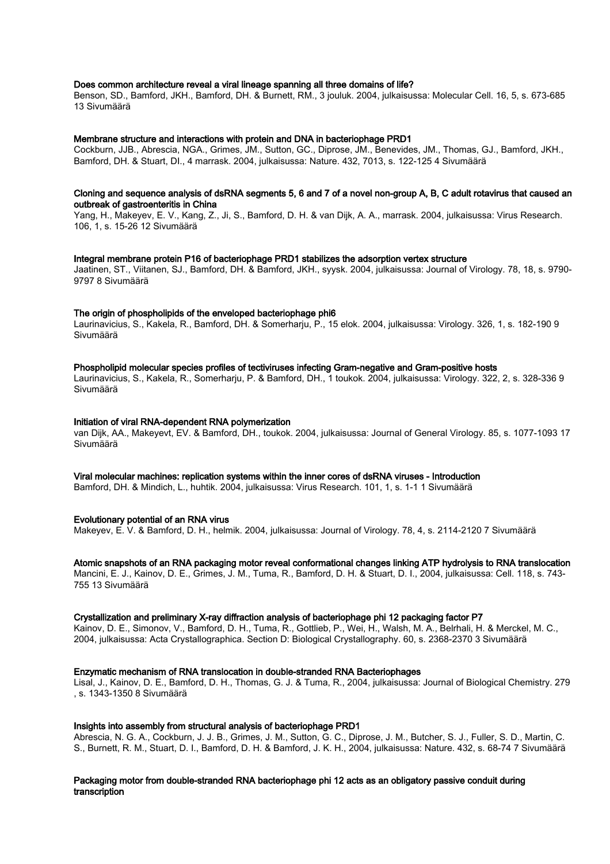### Does common architecture reveal a viral lineage spanning all three domains of life?

Benson, SD., Bamford, JKH., Bamford, DH. & Burnett, RM., 3 jouluk. 2004, julkaisussa: Molecular Cell. 16, 5, s. 673-685 13 Sivumäärä

#### Membrane structure and interactions with protein and DNA in bacteriophage PRD1

Cockburn, JJB., Abrescia, NGA., Grimes, JM., Sutton, GC., Diprose, JM., Benevides, JM., Thomas, GJ., Bamford, JKH., Bamford, DH. & Stuart, DI., 4 marrask. 2004, julkaisussa: Nature. 432, 7013, s. 122-125 4 Sivumäärä

#### Cloning and sequence analysis of dsRNA segments 5, 6 and 7 of a novel non-group A, B, C adult rotavirus that caused an outbreak of gastroenteritis in China

Yang, H., Makeyev, E. V., Kang, Z., Ji, S., Bamford, D. H. & van Dijk, A. A., marrask. 2004, julkaisussa: Virus Research. 106, 1, s. 15-26 12 Sivumäärä

#### Integral membrane protein P16 of bacteriophage PRD1 stabilizes the adsorption vertex structure

Jaatinen, ST., Viitanen, SJ., Bamford, DH. & Bamford, JKH., syysk. 2004, julkaisussa: Journal of Virology. 78, 18, s. 9790- 9797 8 Sivumäärä

#### The origin of phospholipids of the enveloped bacteriophage phi6

Laurinavicius, S., Kakela, R., Bamford, DH. & Somerharju, P., 15 elok. 2004, julkaisussa: Virology. 326, 1, s. 182-190 9 Sivumäärä

### Phospholipid molecular species profiles of tectiviruses infecting Gram-negative and Gram-positive hosts

Laurinavicius, S., Kakela, R., Somerharju, P. & Bamford, DH., 1 toukok. 2004, julkaisussa: Virology. 322, 2, s. 328-336 9 Sivumäärä

#### Initiation of viral RNA-dependent RNA polymerization

van Dijk, AA., Makeyevt, EV. & Bamford, DH., toukok. 2004, julkaisussa: Journal of General Virology. 85, s. 1077-1093 17 Sivumäärä

## Viral molecular machines: replication systems within the inner cores of dsRNA viruses - Introduction

Bamford, DH. & Mindich, L., huhtik. 2004, julkaisussa: Virus Research. 101, 1, s. 1-1 1 Sivumäärä

#### Evolutionary potential of an RNA virus

Makeyev, E. V. & Bamford, D. H., helmik. 2004, julkaisussa: Journal of Virology. 78, 4, s. 2114-2120 7 Sivumäärä

### Atomic snapshots of an RNA packaging motor reveal conformational changes linking ATP hydrolysis to RNA translocation

Mancini, E. J., Kainov, D. E., Grimes, J. M., Tuma, R., Bamford, D. H. & Stuart, D. I., 2004, julkaisussa: Cell. 118, s. 743- 755 13 Sivumäärä

#### Crystallization and preliminary X-ray diffraction analysis of bacteriophage phi 12 packaging factor P7

Kainov, D. E., Simonov, V., Bamford, D. H., Tuma, R., Gottlieb, P., Wei, H., Walsh, M. A., Belrhali, H. & Merckel, M. C., 2004, julkaisussa: Acta Crystallographica. Section D: Biological Crystallography. 60, s. 2368-2370 3 Sivumäärä

#### Enzymatic mechanism of RNA translocation in double-stranded RNA Bacteriophages

Lisal, J., Kainov, D. E., Bamford, D. H., Thomas, G. J. & Tuma, R., 2004, julkaisussa: Journal of Biological Chemistry. 279 , s. 1343-1350 8 Sivumäärä

#### Insights into assembly from structural analysis of bacteriophage PRD1

Abrescia, N. G. A., Cockburn, J. J. B., Grimes, J. M., Sutton, G. C., Diprose, J. M., Butcher, S. J., Fuller, S. D., Martin, C. S., Burnett, R. M., Stuart, D. I., Bamford, D. H. & Bamford, J. K. H., 2004, julkaisussa: Nature. 432, s. 68-74 7 Sivumäärä

#### Packaging motor from double-stranded RNA bacteriophage phi 12 acts as an obligatory passive conduit during transcription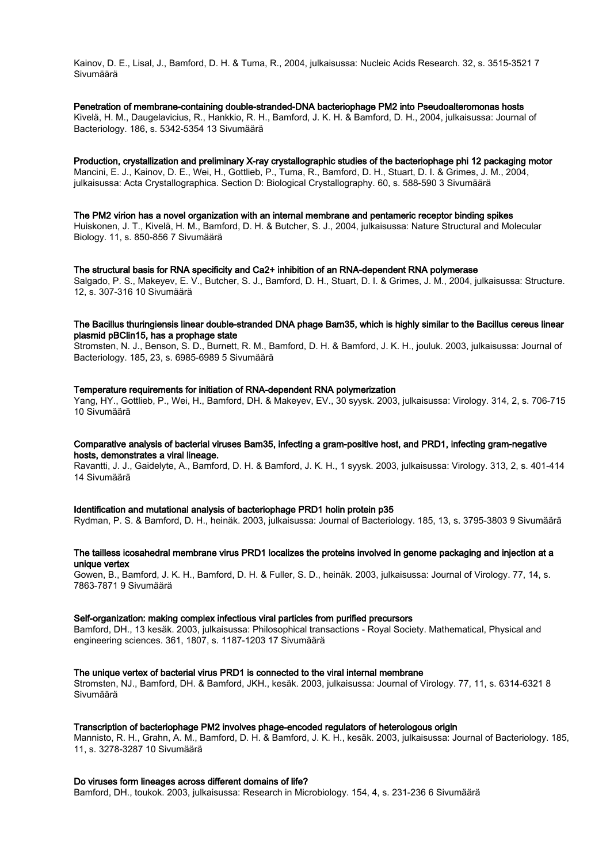Kainov, D. E., Lisal, J., Bamford, D. H. & Tuma, R., 2004, julkaisussa: Nucleic Acids Research. 32, s. 3515-3521 7 Sivumäärä

Penetration of membrane-containing double-stranded-DNA bacteriophage PM2 into Pseudoalteromonas hosts Kivelä, H. M., Daugelavicius, R., Hankkio, R. H., Bamford, J. K. H. & Bamford, D. H., 2004, julkaisussa: Journal of Bacteriology. 186, s. 5342-5354 13 Sivumäärä

Production, crystallization and preliminary X-ray crystallographic studies of the bacteriophage phi 12 packaging motor Mancini, E. J., Kainov, D. E., Wei, H., Gottlieb, P., Tuma, R., Bamford, D. H., Stuart, D. I. & Grimes, J. M., 2004, julkaisussa: Acta Crystallographica. Section D: Biological Crystallography. 60, s. 588-590 3 Sivumäärä

### The PM2 virion has a novel organization with an internal membrane and pentameric receptor binding spikes

Huiskonen, J. T., Kivelä, H. M., Bamford, D. H. & Butcher, S. J., 2004, julkaisussa: Nature Structural and Molecular Biology. 11, s. 850-856 7 Sivumäärä

#### The structural basis for RNA specificity and Ca2+ inhibition of an RNA-dependent RNA polymerase

Salgado, P. S., Makeyev, E. V., Butcher, S. J., Bamford, D. H., Stuart, D. I. & Grimes, J. M., 2004, julkaisussa: Structure. 12, s. 307-316 10 Sivumäärä

## The Bacillus thuringiensis linear double-stranded DNA phage Bam35, which is highly similar to the Bacillus cereus linear plasmid pBClin15, has a prophage state

Stromsten, N. J., Benson, S. D., Burnett, R. M., Bamford, D. H. & Bamford, J. K. H., jouluk. 2003, julkaisussa: Journal of Bacteriology. 185, 23, s. 6985-6989 5 Sivumäärä

#### Temperature requirements for initiation of RNA-dependent RNA polymerization

Yang, HY., Gottlieb, P., Wei, H., Bamford, DH. & Makeyev, EV., 30 syysk. 2003, julkaisussa: Virology. 314, 2, s. 706-715 10 Sivumäärä

#### Comparative analysis of bacterial viruses Bam35, infecting a gram-positive host, and PRD1, infecting gram-negative hosts, demonstrates a viral lineage.

Ravantti, J. J., Gaidelyte, A., Bamford, D. H. & Bamford, J. K. H., 1 syysk. 2003, julkaisussa: Virology. 313, 2, s. 401-414 14 Sivumäärä

#### Identification and mutational analysis of bacteriophage PRD1 holin protein p35

Rydman, P. S. & Bamford, D. H., heinäk. 2003, julkaisussa: Journal of Bacteriology. 185, 13, s. 3795-3803 9 Sivumäärä

## The tailless icosahedral membrane virus PRD1 localizes the proteins involved in genome packaging and injection at a unique vertex

Gowen, B., Bamford, J. K. H., Bamford, D. H. & Fuller, S. D., heinäk. 2003, julkaisussa: Journal of Virology. 77, 14, s. 7863-7871 9 Sivumäärä

#### Self-organization: making complex infectious viral particles from purified precursors

Bamford, DH., 13 kesäk. 2003, julkaisussa: Philosophical transactions - Royal Society. Mathematical, Physical and engineering sciences. 361, 1807, s. 1187-1203 17 Sivumäärä

#### The unique vertex of bacterial virus PRD1 is connected to the viral internal membrane

Stromsten, NJ., Bamford, DH. & Bamford, JKH., kesäk. 2003, julkaisussa: Journal of Virology. 77, 11, s. 6314-6321 8 Sivumäärä

## Transcription of bacteriophage PM2 involves phage-encoded regulators of heterologous origin

Mannisto, R. H., Grahn, A. M., Bamford, D. H. & Bamford, J. K. H., kesäk. 2003, julkaisussa: Journal of Bacteriology. 185, 11, s. 3278-3287 10 Sivumäärä

## Do viruses form lineages across different domains of life?

Bamford, DH., toukok. 2003, julkaisussa: Research in Microbiology. 154, 4, s. 231-236 6 Sivumäärä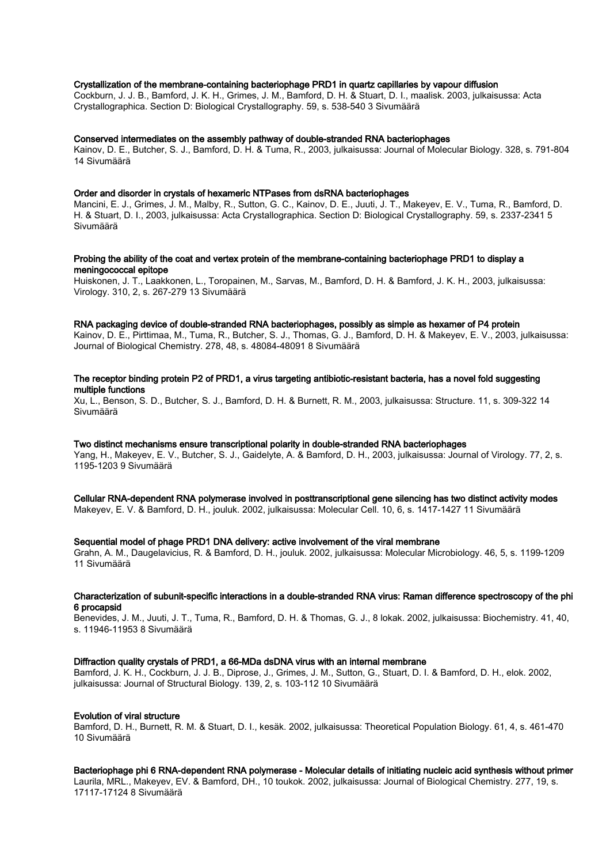## Crystallization of the membrane-containing bacteriophage PRD1 in quartz capillaries by vapour diffusion

Cockburn, J. J. B., Bamford, J. K. H., Grimes, J. M., Bamford, D. H. & Stuart, D. I., maalisk. 2003, julkaisussa: Acta Crystallographica. Section D: Biological Crystallography. 59, s. 538-540 3 Sivumäärä

#### Conserved intermediates on the assembly pathway of double-stranded RNA bacteriophages

Kainov, D. E., Butcher, S. J., Bamford, D. H. & Tuma, R., 2003, julkaisussa: Journal of Molecular Biology. 328, s. 791-804 14 Sivumäärä

#### Order and disorder in crystals of hexameric NTPases from dsRNA bacteriophages

Mancini, E. J., Grimes, J. M., Malby, R., Sutton, G. C., Kainov, D. E., Juuti, J. T., Makeyev, E. V., Tuma, R., Bamford, D. H. & Stuart, D. I., 2003, julkaisussa: Acta Crystallographica. Section D: Biological Crystallography. 59, s. 2337-2341 5 Sivumäärä

#### Probing the ability of the coat and vertex protein of the membrane-containing bacteriophage PRD1 to display a meningococcal epitope

Huiskonen, J. T., Laakkonen, L., Toropainen, M., Sarvas, M., Bamford, D. H. & Bamford, J. K. H., 2003, julkaisussa: Virology. 310, 2, s. 267-279 13 Sivumäärä

### RNA packaging device of double-stranded RNA bacteriophages, possibly as simple as hexamer of P4 protein

Kainov, D. E., Pirttimaa, M., Tuma, R., Butcher, S. J., Thomas, G. J., Bamford, D. H. & Makeyev, E. V., 2003, julkaisussa: Journal of Biological Chemistry. 278, 48, s. 48084-48091 8 Sivumäärä

#### The receptor binding protein P2 of PRD1, a virus targeting antibiotic-resistant bacteria, has a novel fold suggesting multiple functions

Xu, L., Benson, S. D., Butcher, S. J., Bamford, D. H. & Burnett, R. M., 2003, julkaisussa: Structure. 11, s. 309-322 14 Sivumäärä

### Two distinct mechanisms ensure transcriptional polarity in double-stranded RNA bacteriophages

Yang, H., Makeyev, E. V., Butcher, S. J., Gaidelyte, A. & Bamford, D. H., 2003, julkaisussa: Journal of Virology. 77, 2, s. 1195-1203 9 Sivumäärä

Cellular RNA-dependent RNA polymerase involved in posttranscriptional gene silencing has two distinct activity modes

Makeyev, E. V. & Bamford, D. H., jouluk. 2002, julkaisussa: Molecular Cell. 10, 6, s. 1417-1427 11 Sivumäärä

## Sequential model of phage PRD1 DNA delivery: active involvement of the viral membrane

Grahn, A. M., Daugelavicius, R. & Bamford, D. H., jouluk. 2002, julkaisussa: Molecular Microbiology. 46, 5, s. 1199-1209 11 Sivumäärä

#### Characterization of subunit-specific interactions in a double-stranded RNA virus: Raman difference spectroscopy of the phi 6 procapsid

Benevides, J. M., Juuti, J. T., Tuma, R., Bamford, D. H. & Thomas, G. J., 8 lokak. 2002, julkaisussa: Biochemistry. 41, 40, s. 11946-11953 8 Sivumäärä

#### Diffraction quality crystals of PRD1, a 66-MDa dsDNA virus with an internal membrane

Bamford, J. K. H., Cockburn, J. J. B., Diprose, J., Grimes, J. M., Sutton, G., Stuart, D. I. & Bamford, D. H., elok. 2002, julkaisussa: Journal of Structural Biology. 139, 2, s. 103-112 10 Sivumäärä

#### Evolution of viral structure

Bamford, D. H., Burnett, R. M. & Stuart, D. I., kesäk. 2002, julkaisussa: Theoretical Population Biology. 61, 4, s. 461-470 10 Sivumäärä

#### Bacteriophage phi 6 RNA-dependent RNA polymerase - Molecular details of initiating nucleic acid synthesis without primer

Laurila, MRL., Makeyev, EV. & Bamford, DH., 10 toukok. 2002, julkaisussa: Journal of Biological Chemistry. 277, 19, s. 17117-17124 8 Sivumäärä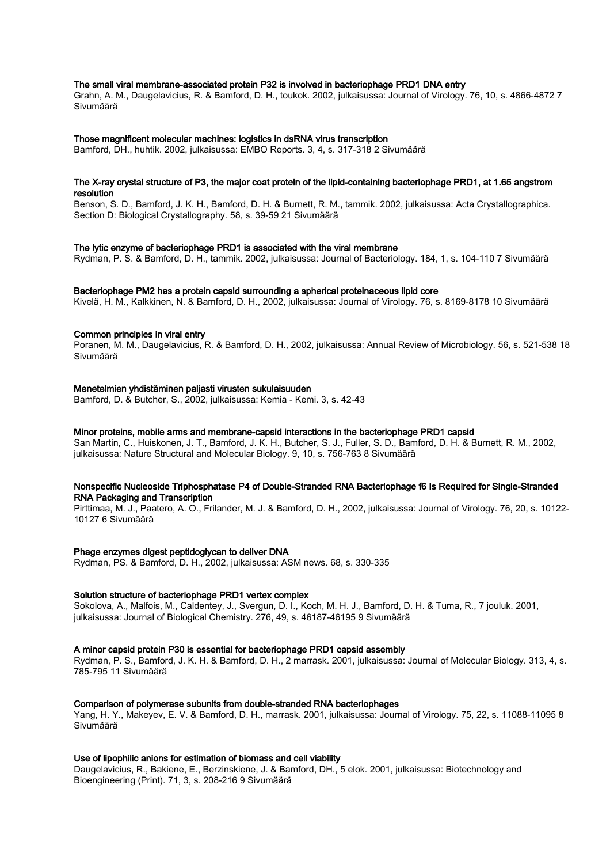### The small viral membrane-associated protein P32 is involved in bacteriophage PRD1 DNA entry

Grahn, A. M., Daugelavicius, R. & Bamford, D. H., toukok. 2002, julkaisussa: Journal of Virology. 76, 10, s. 4866-4872 7 Sivumäärä

#### Those magnificent molecular machines: logistics in dsRNA virus transcription

Bamford, DH., huhtik. 2002, julkaisussa: EMBO Reports. 3, 4, s. 317-318 2 Sivumäärä

### The X-ray crystal structure of P3, the major coat protein of the lipid-containing bacteriophage PRD1, at 1.65 angstrom resolution

Benson, S. D., Bamford, J. K. H., Bamford, D. H. & Burnett, R. M., tammik. 2002, julkaisussa: Acta Crystallographica. Section D: Biological Crystallography. 58, s. 39-59 21 Sivumäärä

#### The lytic enzyme of bacteriophage PRD1 is associated with the viral membrane

Rydman, P. S. & Bamford, D. H., tammik. 2002, julkaisussa: Journal of Bacteriology. 184, 1, s. 104-110 7 Sivumäärä

#### Bacteriophage PM2 has a protein capsid surrounding a spherical proteinaceous lipid core

Kivelä, H. M., Kalkkinen, N. & Bamford, D. H., 2002, julkaisussa: Journal of Virology. 76, s. 8169-8178 10 Sivumäärä

#### Common principles in viral entry

Poranen, M. M., Daugelavicius, R. & Bamford, D. H., 2002, julkaisussa: Annual Review of Microbiology. 56, s. 521-538 18 Sivumäärä

#### Menetelmien yhdistäminen paljasti virusten sukulaisuuden

Bamford, D. & Butcher, S., 2002, julkaisussa: Kemia - Kemi. 3, s. 42-43

#### Minor proteins, mobile arms and membrane-capsid interactions in the bacteriophage PRD1 capsid

San Martin, C., Huiskonen, J. T., Bamford, J. K. H., Butcher, S. J., Fuller, S. D., Bamford, D. H. & Burnett, R. M., 2002, julkaisussa: Nature Structural and Molecular Biology. 9, 10, s. 756-763 8 Sivumäärä

#### Nonspecific Nucleoside Triphosphatase P4 of Double-Stranded RNA Bacteriophage f6 Is Required for Single-Stranded RNA Packaging and Transcription

Pirttimaa, M. J., Paatero, A. O., Frilander, M. J. & Bamford, D. H., 2002, julkaisussa: Journal of Virology. 76, 20, s. 10122- 10127 6 Sivumäärä

#### Phage enzymes digest peptidoglycan to deliver DNA

Rydman, PS. & Bamford, D. H., 2002, julkaisussa: ASM news. 68, s. 330-335

#### Solution structure of bacteriophage PRD1 vertex complex

Sokolova, A., Malfois, M., Caldentey, J., Svergun, D. I., Koch, M. H. J., Bamford, D. H. & Tuma, R., 7 jouluk. 2001, julkaisussa: Journal of Biological Chemistry. 276, 49, s. 46187-46195 9 Sivumäärä

## A minor capsid protein P30 is essential for bacteriophage PRD1 capsid assembly

Rydman, P. S., Bamford, J. K. H. & Bamford, D. H., 2 marrask. 2001, julkaisussa: Journal of Molecular Biology. 313, 4, s. 785-795 11 Sivumäärä

## Comparison of polymerase subunits from double-stranded RNA bacteriophages

Yang, H. Y., Makeyev, E. V. & Bamford, D. H., marrask. 2001, julkaisussa: Journal of Virology. 75, 22, s. 11088-11095 8 Sivumäärä

#### Use of lipophilic anions for estimation of biomass and cell viability

Daugelavicius, R., Bakiene, E., Berzinskiene, J. & Bamford, DH., 5 elok. 2001, julkaisussa: Biotechnology and Bioengineering (Print). 71, 3, s. 208-216 9 Sivumäärä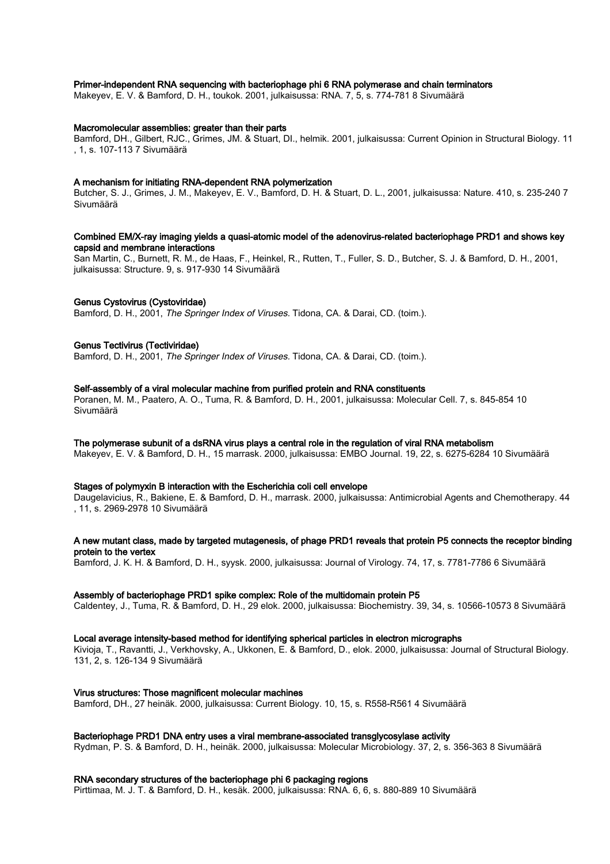### Primer-independent RNA sequencing with bacteriophage phi 6 RNA polymerase and chain terminators

Makeyev, E. V. & Bamford, D. H., toukok. 2001, julkaisussa: RNA. 7, 5, s. 774-781 8 Sivumäärä

## Macromolecular assemblies: greater than their parts

Bamford, DH., Gilbert, RJC., Grimes, JM. & Stuart, DI., helmik. 2001, julkaisussa: Current Opinion in Structural Biology. 11 , 1, s. 107-113 7 Sivumäärä

#### A mechanism for initiating RNA-dependent RNA polymerization

Butcher, S. J., Grimes, J. M., Makeyev, E. V., Bamford, D. H. & Stuart, D. L., 2001, julkaisussa: Nature. 410, s. 235-240 7 Sivumäärä

### Combined EM/X-ray imaging yields a quasi-atomic model of the adenovirus-related bacteriophage PRD1 and shows key capsid and membrane interactions

San Martin, C., Burnett, R. M., de Haas, F., Heinkel, R., Rutten, T., Fuller, S. D., Butcher, S. J. & Bamford, D. H., 2001, julkaisussa: Structure. 9, s. 917-930 14 Sivumäärä

#### Genus Cystovirus (Cystoviridae)

Bamford, D. H., 2001, The Springer Index of Viruses. Tidona, CA. & Darai, CD. (toim.).

#### Genus Tectivirus (Tectiviridae)

Bamford, D. H., 2001, The Springer Index of Viruses. Tidona, CA, & Darai, CD, (toim.).

#### Self-assembly of a viral molecular machine from purified protein and RNA constituents

Poranen, M. M., Paatero, A. O., Tuma, R. & Bamford, D. H., 2001, julkaisussa: Molecular Cell. 7, s. 845-854 10 Sivumäärä

#### The polymerase subunit of a dsRNA virus plays a central role in the regulation of viral RNA metabolism

Makeyev, E. V. & Bamford, D. H., 15 marrask. 2000, julkaisussa: EMBO Journal. 19, 22, s. 6275-6284 10 Sivumäärä

#### Stages of polymyxin B interaction with the Escherichia coli cell envelope

Daugelavicius, R., Bakiene, E. & Bamford, D. H., marrask. 2000, julkaisussa: Antimicrobial Agents and Chemotherapy. 44 , 11, s. 2969-2978 10 Sivumäärä

#### A new mutant class, made by targeted mutagenesis, of phage PRD1 reveals that protein P5 connects the receptor binding protein to the vertex

Bamford, J. K. H. & Bamford, D. H., syysk. 2000, julkaisussa: Journal of Virology. 74, 17, s. 7781-7786 6 Sivumäärä

#### Assembly of bacteriophage PRD1 spike complex: Role of the multidomain protein P5

Caldentey, J., Tuma, R. & Bamford, D. H., 29 elok. 2000, julkaisussa: Biochemistry. 39, 34, s. 10566-10573 8 Sivumäärä

#### Local average intensity-based method for identifying spherical particles in electron micrographs

Kivioja, T., Ravantti, J., Verkhovsky, A., Ukkonen, E. & Bamford, D., elok. 2000, julkaisussa: Journal of Structural Biology. 131, 2, s. 126-134 9 Sivumäärä

#### Virus structures: Those magnificent molecular machines

Bamford, DH., 27 heinäk. 2000, julkaisussa: Current Biology. 10, 15, s. R558-R561 4 Sivumäärä

## Bacteriophage PRD1 DNA entry uses a viral membrane-associated transglycosylase activity

Rydman, P. S. & Bamford, D. H., heinäk. 2000, julkaisussa: Molecular Microbiology. 37, 2, s. 356-363 8 Sivumäärä

### RNA secondary structures of the bacteriophage phi 6 packaging regions

Pirttimaa, M. J. T. & Bamford, D. H., kesäk. 2000, julkaisussa: RNA. 6, 6, s. 880-889 10 Sivumäärä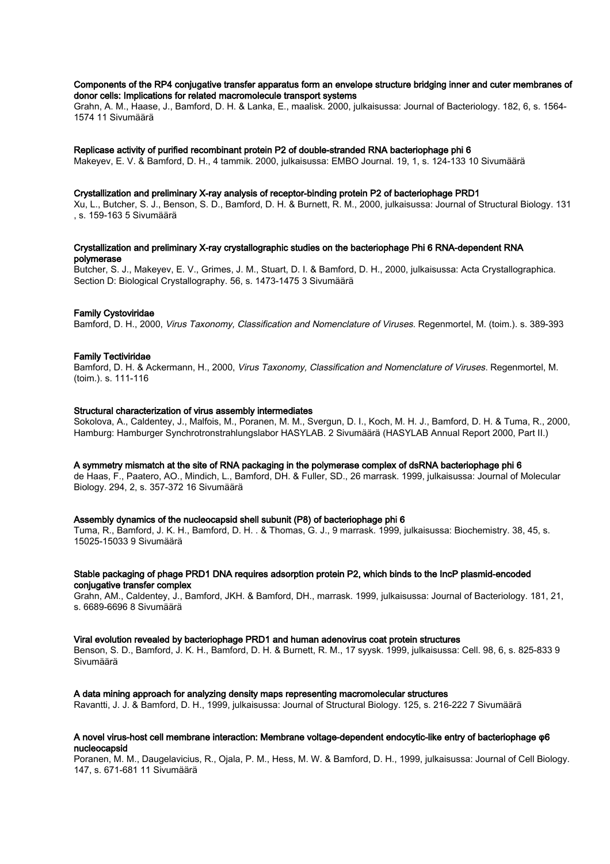#### Components of the RP4 conjugative transfer apparatus form an envelope structure bridging inner and cuter membranes of donor cells: Implications for related macromolecule transport systems

Grahn, A. M., Haase, J., Bamford, D. H. & Lanka, E., maalisk. 2000, julkaisussa: Journal of Bacteriology. 182, 6, s. 1564- 1574 11 Sivumäärä

#### Replicase activity of purified recombinant protein P2 of double-stranded RNA bacteriophage phi 6

Makeyev, E. V. & Bamford, D. H., 4 tammik. 2000, julkaisussa: EMBO Journal. 19, 1, s. 124-133 10 Sivumäärä

#### Crystallization and preliminary X-ray analysis of receptor-binding protein P2 of bacteriophage PRD1

Xu, L., Butcher, S. J., Benson, S. D., Bamford, D. H. & Burnett, R. M., 2000, julkaisussa: Journal of Structural Biology. 131 , s. 159-163 5 Sivumäärä

### Crystallization and preliminary X-ray crystallographic studies on the bacteriophage Phi 6 RNA-dependent RNA polymerase

Butcher, S. J., Makeyev, E. V., Grimes, J. M., Stuart, D. I. & Bamford, D. H., 2000, julkaisussa: Acta Crystallographica. Section D: Biological Crystallography. 56, s. 1473-1475 3 Sivumäärä

## Family Cystoviridae

Bamford, D. H., 2000, Virus Taxonomy, Classification and Nomenclature of Viruses. Regenmortel, M. (toim.). s. 389-393

#### Family Tectiviridae

Bamford, D. H. & Ackermann, H., 2000, Virus Taxonomy, Classification and Nomenclature of Viruses. Regenmortel, M. (toim.). s. 111-116

#### Structural characterization of virus assembly intermediates

Sokolova, A., Caldentey, J., Malfois, M., Poranen, M. M., Svergun, D. I., Koch, M. H. J., Bamford, D. H. & Tuma, R., 2000, Hamburg: Hamburger Synchrotronstrahlungslabor HASYLAB. 2 Sivumäärä (HASYLAB Annual Report 2000, Part II.)

### A symmetry mismatch at the site of RNA packaging in the polymerase complex of dsRNA bacteriophage phi 6

de Haas, F., Paatero, AO., Mindich, L., Bamford, DH. & Fuller, SD., 26 marrask. 1999, julkaisussa: Journal of Molecular Biology. 294, 2, s. 357-372 16 Sivumäärä

#### Assembly dynamics of the nucleocapsid shell subunit (P8) of bacteriophage phi 6

Tuma, R., Bamford, J. K. H., Bamford, D. H. . & Thomas, G. J., 9 marrask. 1999, julkaisussa: Biochemistry. 38, 45, s. 15025-15033 9 Sivumäärä

#### Stable packaging of phage PRD1 DNA requires adsorption protein P2, which binds to the IncP plasmid-encoded conjugative transfer complex

Grahn, AM., Caldentey, J., Bamford, JKH. & Bamford, DH., marrask. 1999, julkaisussa: Journal of Bacteriology. 181, 21, s. 6689-6696 8 Sivumäärä

#### Viral evolution revealed by bacteriophage PRD1 and human adenovirus coat protein structures

Benson, S. D., Bamford, J. K. H., Bamford, D. H. & Burnett, R. M., 17 syysk. 1999, julkaisussa: Cell. 98, 6, s. 825-833 9 Sivumäärä

#### A data mining approach for analyzing density maps representing macromolecular structures

Ravantti, J. J. & Bamford, D. H., 1999, julkaisussa: Journal of Structural Biology. 125, s. 216-222 7 Sivumäärä

#### A novel virus-host cell membrane interaction: Membrane voltage-dependent endocytic-like entry of bacteriophage φ6 nucleocapsid

Poranen, M. M., Daugelavicius, R., Ojala, P. M., Hess, M. W. & Bamford, D. H., 1999, julkaisussa: Journal of Cell Biology. 147, s. 671-681 11 Sivumäärä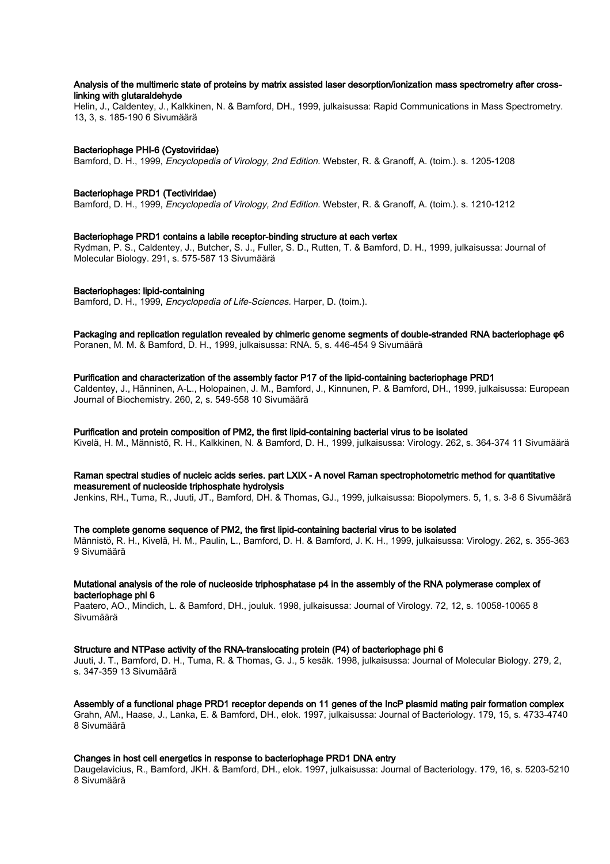## Analysis of the multimeric state of proteins by matrix assisted laser desorption/ionization mass spectrometry after crosslinking with glutaraldehyde

Helin, J., Caldentey, J., Kalkkinen, N. & Bamford, DH., 1999, julkaisussa: Rapid Communications in Mass Spectrometry. 13, 3, s. 185-190 6 Sivumäärä

## Bacteriophage PHI-6 (Cystoviridae)

Bamford, D. H., 1999, Encyclopedia of Virology, 2nd Edition. Webster, R. & Granoff, A. (toim.). s. 1205-1208

## Bacteriophage PRD1 (Tectiviridae)

Bamford, D. H., 1999, Encyclopedia of Virology, 2nd Edition. Webster, R. & Granoff, A. (toim.). s. 1210-1212

## Bacteriophage PRD1 contains a labile receptor-binding structure at each vertex

Rydman, P. S., Caldentey, J., Butcher, S. J., Fuller, S. D., Rutten, T. & Bamford, D. H., 1999, julkaisussa: Journal of Molecular Biology. 291, s. 575-587 13 Sivumäärä

## Bacteriophages: lipid-containing

Bamford, D. H., 1999, Encyclopedia of Life-Sciences. Harper, D. (toim.).

# Packaging and replication regulation revealed by chimeric genome segments of double-stranded RNA bacteriophage φ6

Poranen, M. M. & Bamford, D. H., 1999, julkaisussa: RNA. 5, s. 446-454 9 Sivumäärä

## Purification and characterization of the assembly factor P17 of the lipid-containing bacteriophage PRD1

Caldentey, J., Hänninen, A-L., Holopainen, J. M., Bamford, J., Kinnunen, P. & Bamford, DH., 1999, julkaisussa: European Journal of Biochemistry. 260, 2, s. 549-558 10 Sivumäärä

#### Purification and protein composition of PM2, the first lipid-containing bacterial virus to be isolated

Kivelä, H. M., Männistö, R. H., Kalkkinen, N. & Bamford, D. H., 1999, julkaisussa: Virology. 262, s. 364-374 11 Sivumäärä

## Raman spectral studies of nucleic acids series. part LXIX - A novel Raman spectrophotometric method for quantitative measurement of nucleoside triphosphate hydrolysis

Jenkins, RH., Tuma, R., Juuti, JT., Bamford, DH. & Thomas, GJ., 1999, julkaisussa: Biopolymers. 5, 1, s. 3-8 6 Sivumäärä

## The complete genome sequence of PM2, the first lipid-containing bacterial virus to be isolated

Männistö, R. H., Kivelä, H. M., Paulin, L., Bamford, D. H. & Bamford, J. K. H., 1999, julkaisussa: Virology. 262, s. 355-363 9 Sivumäärä

#### Mutational analysis of the role of nucleoside triphosphatase p4 in the assembly of the RNA polymerase complex of bacteriophage phi 6

Paatero, AO., Mindich, L. & Bamford, DH., jouluk. 1998, julkaisussa: Journal of Virology. 72, 12, s. 10058-10065 8 Sivumäärä

#### Structure and NTPase activity of the RNA-translocating protein (P4) of bacteriophage phi 6

Juuti, J. T., Bamford, D. H., Tuma, R. & Thomas, G. J., 5 kesäk. 1998, julkaisussa: Journal of Molecular Biology. 279, 2, s. 347-359 13 Sivumäärä

Assembly of a functional phage PRD1 receptor depends on 11 genes of the IncP plasmid mating pair formation complex Grahn, AM., Haase, J., Lanka, E. & Bamford, DH., elok. 1997, julkaisussa: Journal of Bacteriology. 179, 15, s. 4733-4740 8 Sivumäärä

## Changes in host cell energetics in response to bacteriophage PRD1 DNA entry

Daugelavicius, R., Bamford, JKH. & Bamford, DH., elok. 1997, julkaisussa: Journal of Bacteriology. 179, 16, s. 5203-5210 8 Sivumäärä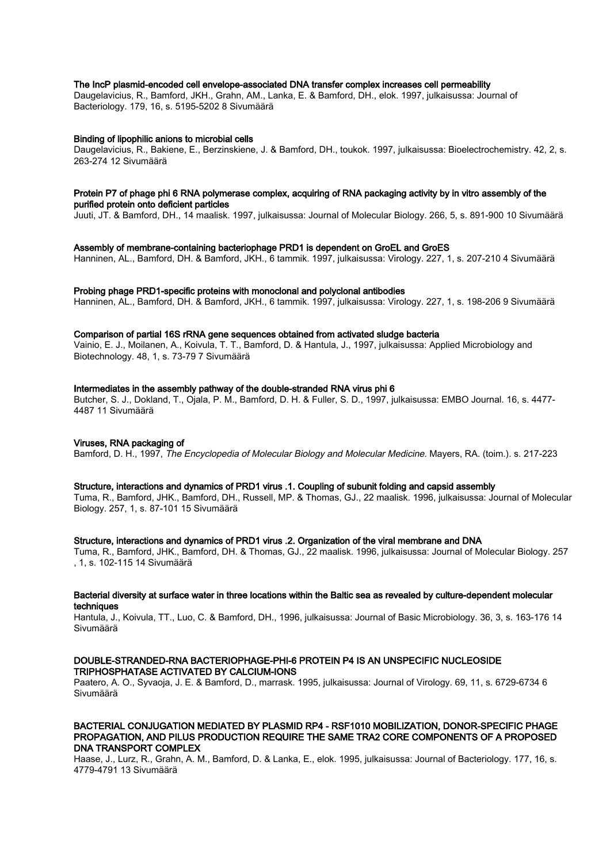### The IncP plasmid-encoded cell envelope-associated DNA transfer complex increases cell permeability

Daugelavicius, R., Bamford, JKH., Grahn, AM., Lanka, E. & Bamford, DH., elok. 1997, julkaisussa: Journal of Bacteriology. 179, 16, s. 5195-5202 8 Sivumäärä

#### Binding of lipophilic anions to microbial cells

Daugelavicius, R., Bakiene, E., Berzinskiene, J. & Bamford, DH., toukok. 1997, julkaisussa: Bioelectrochemistry. 42, 2, s. 263-274 12 Sivumäärä

#### Protein P7 of phage phi 6 RNA polymerase complex, acquiring of RNA packaging activity by in vitro assembly of the purified protein onto deficient particles

Juuti, JT. & Bamford, DH., 14 maalisk. 1997, julkaisussa: Journal of Molecular Biology. 266, 5, s. 891-900 10 Sivumäärä

#### Assembly of membrane-containing bacteriophage PRD1 is dependent on GroEL and GroES

Hanninen, AL., Bamford, DH. & Bamford, JKH., 6 tammik. 1997, julkaisussa: Virology. 227, 1, s. 207-210 4 Sivumäärä

#### Probing phage PRD1-specific proteins with monoclonal and polyclonal antibodies

Hanninen, AL., Bamford, DH. & Bamford, JKH., 6 tammik. 1997, julkaisussa: Virology. 227, 1, s. 198-206 9 Sivumäärä

#### Comparison of partial 16S rRNA gene sequences obtained from activated sludge bacteria

Vainio, E. J., Moilanen, A., Koivula, T. T., Bamford, D. & Hantula, J., 1997, julkaisussa: Applied Microbiology and Biotechnology. 48, 1, s. 73-79 7 Sivumäärä

#### Intermediates in the assembly pathway of the double-stranded RNA virus phi 6

Butcher, S. J., Dokland, T., Ojala, P. M., Bamford, D. H. & Fuller, S. D., 1997, julkaisussa: EMBO Journal. 16, s. 4477- 4487 11 Sivumäärä

#### Viruses, RNA packaging of

Bamford, D. H., 1997, The Encyclopedia of Molecular Biology and Molecular Medicine. Mayers, RA. (toim.). s. 217-223

#### Structure, interactions and dynamics of PRD1 virus .1. Coupling of subunit folding and capsid assembly

Tuma, R., Bamford, JHK., Bamford, DH., Russell, MP. & Thomas, GJ., 22 maalisk. 1996, julkaisussa: Journal of Molecular Biology. 257, 1, s. 87-101 15 Sivumäärä

#### Structure, interactions and dynamics of PRD1 virus .2. Organization of the viral membrane and DNA

Tuma, R., Bamford, JHK., Bamford, DH. & Thomas, GJ., 22 maalisk. 1996, julkaisussa: Journal of Molecular Biology. 257 , 1, s. 102-115 14 Sivumäärä

#### Bacterial diversity at surface water in three locations within the Baltic sea as revealed by culture-dependent molecular techniques

Hantula, J., Koivula, TT., Luo, C. & Bamford, DH., 1996, julkaisussa: Journal of Basic Microbiology. 36, 3, s. 163-176 14 Sivumäärä

#### DOUBLE-STRANDED-RNA BACTERIOPHAGE-PHI-6 PROTEIN P4 IS AN UNSPECIFIC NUCLEOSIDE TRIPHOSPHATASE ACTIVATED BY CALCIUM-IONS

Paatero, A. O., Syvaoja, J. E. & Bamford, D., marrask. 1995, julkaisussa: Journal of Virology. 69, 11, s. 6729-6734 6 Sivumäärä

## BACTERIAL CONJUGATION MEDIATED BY PLASMID RP4 - RSF1010 MOBILIZATION, DONOR-SPECIFIC PHAGE PROPAGATION, AND PILUS PRODUCTION REQUIRE THE SAME TRA2 CORE COMPONENTS OF A PROPOSED DNA TRANSPORT COMPLEX

Haase, J., Lurz, R., Grahn, A. M., Bamford, D. & Lanka, E., elok. 1995, julkaisussa: Journal of Bacteriology. 177, 16, s. 4779-4791 13 Sivumäärä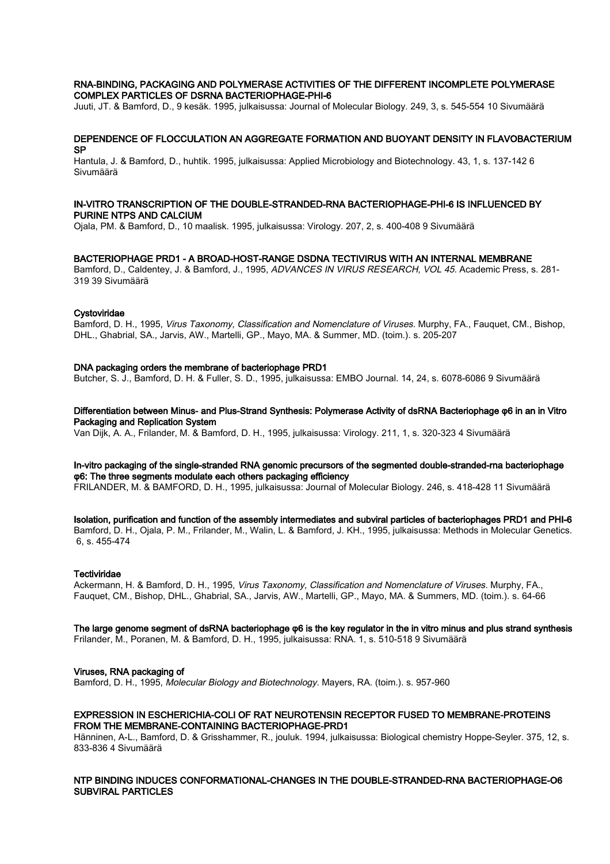#### RNA-BINDING, PACKAGING AND POLYMERASE ACTIVITIES OF THE DIFFERENT INCOMPLETE POLYMERASE COMPLEX PARTICLES OF DSRNA BACTERIOPHAGE-PHI-6

Juuti, JT. & Bamford, D., 9 kesäk. 1995, julkaisussa: Journal of Molecular Biology. 249, 3, s. 545-554 10 Sivumäärä

## DEPENDENCE OF FLOCCULATION AN AGGREGATE FORMATION AND BUOYANT DENSITY IN FLAVOBACTERIUM SP

Hantula, J. & Bamford, D., huhtik. 1995, julkaisussa: Applied Microbiology and Biotechnology. 43, 1, s. 137-142 6 Sivumäärä

#### IN-VITRO TRANSCRIPTION OF THE DOUBLE-STRANDED-RNA BACTERIOPHAGE-PHI-6 IS INFLUENCED BY PURINE NTPS AND CALCIUM

Ojala, PM. & Bamford, D., 10 maalisk. 1995, julkaisussa: Virology. 207, 2, s. 400-408 9 Sivumäärä

#### BACTERIOPHAGE PRD1 - A BROAD-HOST-RANGE DSDNA TECTIVIRUS WITH AN INTERNAL MEMBRANE

Bamford, D., Caldentey, J. & Bamford, J., 1995, ADVANCES IN VIRUS RESEARCH, VOL 45. Academic Press, s. 281-319 39 Sivumäärä

#### **Cystoviridae**

Bamford, D. H., 1995, Virus Taxonomy, Classification and Nomenclature of Viruses. Murphy, FA., Fauguet, CM., Bishop, DHL., Ghabrial, SA., Jarvis, AW., Martelli, GP., Mayo, MA. & Summer, MD. (toim.). s. 205-207

#### DNA packaging orders the membrane of bacteriophage PRD1

Butcher, S. J., Bamford, D. H. & Fuller, S. D., 1995, julkaisussa: EMBO Journal. 14, 24, s. 6078-6086 9 Sivumäärä

Differentiation between Minus- and Plus-Strand Synthesis: Polymerase Activity of dsRNA Bacteriophage φ6 in an in Vitro Packaging and Replication System

Van Dijk, A. A., Frilander, M. & Bamford, D. H., 1995, julkaisussa: Virology. 211, 1, s. 320-323 4 Sivumäärä

# In-vitro packaging of the single-stranded RNA genomic precursors of the segmented double-stranded-rna bacteriophage φ6: The three segments modulate each others packaging efficiency

FRILANDER, M. & BAMFORD, D. H., 1995, julkaisussa: Journal of Molecular Biology. 246, s. 418-428 11 Sivumäärä

Isolation, purification and function of the assembly intermediates and subviral particles of bacteriophages PRD1 and PHI-6 Bamford, D. H., Ojala, P. M., Frilander, M., Walin, L. & Bamford, J. KH., 1995, julkaisussa: Methods in Molecular Genetics. 6, s. 455-474

#### **Tectiviridae**

Ackermann, H. & Bamford, D. H., 1995, Virus Taxonomy, Classification and Nomenclature of Viruses. Murphy, FA., Fauquet, CM., Bishop, DHL., Ghabrial, SA., Jarvis, AW., Martelli, GP., Mayo, MA. & Summers, MD. (toim.). s. 64-66

The large genome segment of dsRNA bacteriophage φ6 is the key regulator in the in vitro minus and plus strand synthesis Frilander, M., Poranen, M. & Bamford, D. H., 1995, julkaisussa: RNA. 1, s. 510-518 9 Sivumäärä

#### Viruses, RNA packaging of

Bamford, D. H., 1995, Molecular Biology and Biotechnology. Mayers, RA. (toim.). s. 957-960

## EXPRESSION IN ESCHERICHIA-COLI OF RAT NEUROTENSIN RECEPTOR FUSED TO MEMBRANE-PROTEINS FROM THE MEMBRANE-CONTAINING BACTERIOPHAGE-PRD1

Hänninen, A-L., Bamford, D. & Grisshammer, R., jouluk. 1994, julkaisussa: Biological chemistry Hoppe-Seyler. 375, 12, s. 833-836 4 Sivumäärä

## NTP BINDING INDUCES CONFORMATIONAL-CHANGES IN THE DOUBLE-STRANDED-RNA BACTERIOPHAGE-O6 SUBVIRAL PARTICLES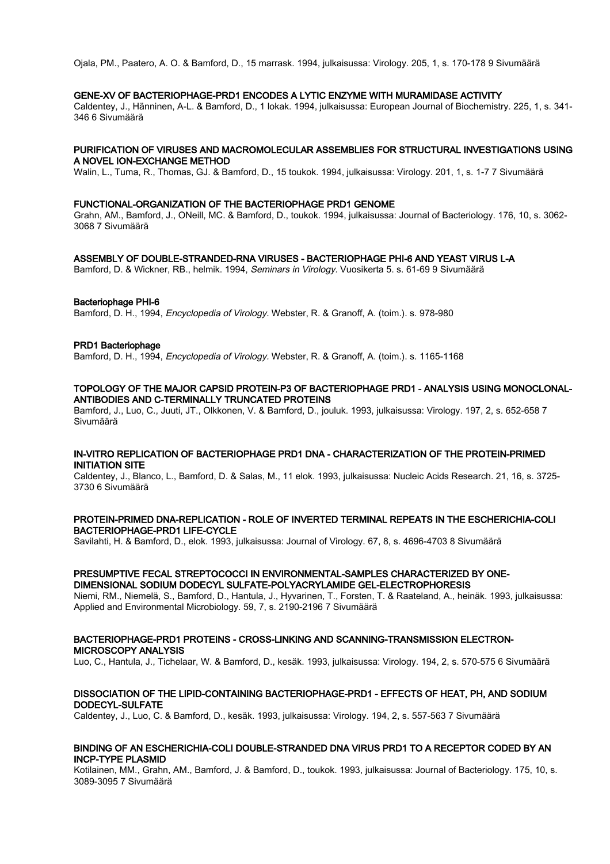Ojala, PM., Paatero, A. O. & Bamford, D., 15 marrask. 1994, julkaisussa: Virology. 205, 1, s. 170-178 9 Sivumäärä

#### GENE-XV OF BACTERIOPHAGE-PRD1 ENCODES A LYTIC ENZYME WITH MURAMIDASE ACTIVITY

Caldentey, J., Hänninen, A-L. & Bamford, D., 1 lokak. 1994, julkaisussa: European Journal of Biochemistry. 225, 1, s. 341- 346 6 Sivumäärä

#### PURIFICATION OF VIRUSES AND MACROMOLECULAR ASSEMBLIES FOR STRUCTURAL INVESTIGATIONS USING A NOVEL ION-EXCHANGE METHOD

Walin, L., Tuma, R., Thomas, GJ. & Bamford, D., 15 toukok. 1994, julkaisussa: Virology. 201, 1, s. 1-7 7 Sivumäärä

#### FUNCTIONAL-ORGANIZATION OF THE BACTERIOPHAGE PRD1 GENOME

Grahn, AM., Bamford, J., ONeill, MC. & Bamford, D., toukok. 1994, julkaisussa: Journal of Bacteriology. 176, 10, s. 3062- 3068 7 Sivumäärä

#### ASSEMBLY OF DOUBLE-STRANDED-RNA VIRUSES - BACTERIOPHAGE PHI-6 AND YEAST VIRUS L-A

Bamford, D. & Wickner, RB., helmik. 1994, Seminars in Virology. Vuosikerta 5. s. 61-69 9 Sivumäärä

#### Bacteriophage PHI-6

Bamford, D. H., 1994, Encyclopedia of Virology. Webster, R. & Granoff, A. (toim.). s. 978-980

#### PRD1 Bacteriophage

Bamford, D. H., 1994, Encyclopedia of Virology. Webster, R. & Granoff, A. (toim.). s. 1165-1168

## TOPOLOGY OF THE MAJOR CAPSID PROTEIN-P3 OF BACTERIOPHAGE PRD1 - ANALYSIS USING MONOCLONAL-ANTIBODIES AND C-TERMINALLY TRUNCATED PROTEINS

Bamford, J., Luo, C., Juuti, JT., Olkkonen, V. & Bamford, D., jouluk. 1993, julkaisussa: Virology. 197, 2, s. 652-658 7 Sivumäärä

## IN-VITRO REPLICATION OF BACTERIOPHAGE PRD1 DNA - CHARACTERIZATION OF THE PROTEIN-PRIMED INITIATION SITE

Caldentey, J., Blanco, L., Bamford, D. & Salas, M., 11 elok. 1993, julkaisussa: Nucleic Acids Research. 21, 16, s. 3725- 3730 6 Sivumäärä

## PROTEIN-PRIMED DNA-REPLICATION - ROLE OF INVERTED TERMINAL REPEATS IN THE ESCHERICHIA-COLI BACTERIOPHAGE-PRD1 LIFE-CYCLE

Savilahti, H. & Bamford, D., elok. 1993, julkaisussa: Journal of Virology. 67, 8, s. 4696-4703 8 Sivumäärä

## PRESUMPTIVE FECAL STREPTOCOCCI IN ENVIRONMENTAL-SAMPLES CHARACTERIZED BY ONE-DIMENSIONAL SODIUM DODECYL SULFATE-POLYACRYLAMIDE GEL-ELECTROPHORESIS

Niemi, RM., Niemelä, S., Bamford, D., Hantula, J., Hyvarinen, T., Forsten, T. & Raateland, A., heinäk. 1993, julkaisussa: Applied and Environmental Microbiology. 59, 7, s. 2190-2196 7 Sivumäärä

#### BACTERIOPHAGE-PRD1 PROTEINS - CROSS-LINKING AND SCANNING-TRANSMISSION ELECTRON-MICROSCOPY ANALYSIS

Luo, C., Hantula, J., Tichelaar, W. & Bamford, D., kesäk. 1993, julkaisussa: Virology. 194, 2, s. 570-575 6 Sivumäärä

## DISSOCIATION OF THE LIPID-CONTAINING BACTERIOPHAGE-PRD1 - EFFECTS OF HEAT, PH, AND SODIUM DODECYL-SULFATE

Caldentey, J., Luo, C. & Bamford, D., kesäk. 1993, julkaisussa: Virology. 194, 2, s. 557-563 7 Sivumäärä

# BINDING OF AN ESCHERICHIA-COLI DOUBLE-STRANDED DNA VIRUS PRD1 TO A RECEPTOR CODED BY AN INCP-TYPE PLASMID

Kotilainen, MM., Grahn, AM., Bamford, J. & Bamford, D., toukok. 1993, julkaisussa: Journal of Bacteriology. 175, 10, s. 3089-3095 7 Sivumäärä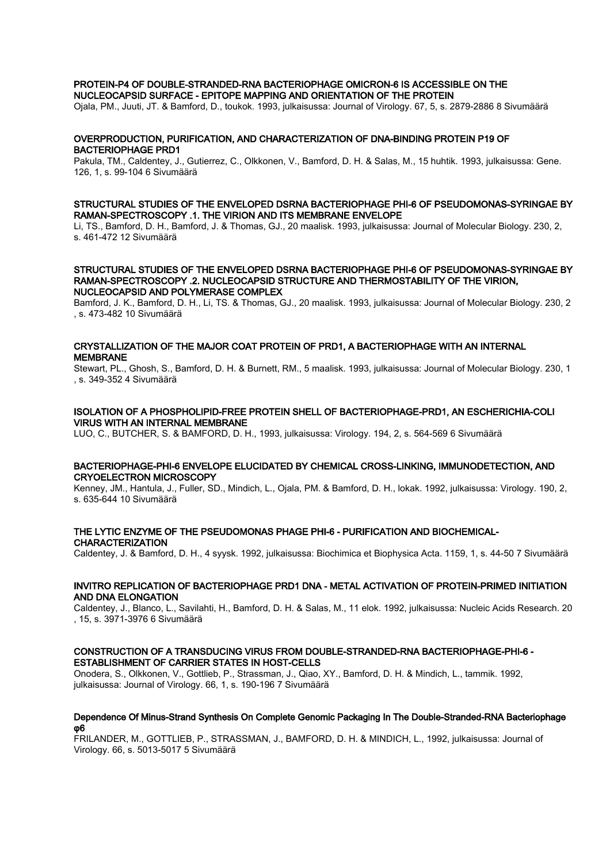## PROTEIN-P4 OF DOUBLE-STRANDED-RNA BACTERIOPHAGE OMICRON-6 IS ACCESSIBLE ON THE NUCLEOCAPSID SURFACE - EPITOPE MAPPING AND ORIENTATION OF THE PROTEIN

Ojala, PM., Juuti, JT. & Bamford, D., toukok. 1993, julkaisussa: Journal of Virology. 67, 5, s. 2879-2886 8 Sivumäärä

# OVERPRODUCTION, PURIFICATION, AND CHARACTERIZATION OF DNA-BINDING PROTEIN P19 OF BACTERIOPHAGE PRD1

Pakula, TM., Caldentey, J., Gutierrez, C., Olkkonen, V., Bamford, D. H. & Salas, M., 15 huhtik. 1993, julkaisussa: Gene. 126, 1, s. 99-104 6 Sivumäärä

## STRUCTURAL STUDIES OF THE ENVELOPED DSRNA BACTERIOPHAGE PHI-6 OF PSEUDOMONAS-SYRINGAE BY RAMAN-SPECTROSCOPY .1. THE VIRION AND ITS MEMBRANE ENVELOPE

Li, TS., Bamford, D. H., Bamford, J. & Thomas, GJ., 20 maalisk. 1993, julkaisussa: Journal of Molecular Biology. 230, 2, s. 461-472 12 Sivumäärä

## STRUCTURAL STUDIES OF THE ENVELOPED DSRNA BACTERIOPHAGE PHI-6 OF PSEUDOMONAS-SYRINGAE BY RAMAN-SPECTROSCOPY .2. NUCLEOCAPSID STRUCTURE AND THERMOSTABILITY OF THE VIRION, NUCLEOCAPSID AND POLYMERASE COMPLEX

Bamford, J. K., Bamford, D. H., Li, TS. & Thomas, GJ., 20 maalisk. 1993, julkaisussa: Journal of Molecular Biology. 230, 2 , s. 473-482 10 Sivumäärä

# CRYSTALLIZATION OF THE MAJOR COAT PROTEIN OF PRD1, A BACTERIOPHAGE WITH AN INTERNAL **MEMBRANE**

Stewart, PL., Ghosh, S., Bamford, D. H. & Burnett, RM., 5 maalisk. 1993, julkaisussa: Journal of Molecular Biology. 230, 1 , s. 349-352 4 Sivumäärä

# ISOLATION OF A PHOSPHOLIPID-FREE PROTEIN SHELL OF BACTERIOPHAGE-PRD1, AN ESCHERICHIA-COLI VIRUS WITH AN INTERNAL MEMBRANE

LUO, C., BUTCHER, S. & BAMFORD, D. H., 1993, julkaisussa: Virology. 194, 2, s. 564-569 6 Sivumäärä

## BACTERIOPHAGE-PHI-6 ENVELOPE ELUCIDATED BY CHEMICAL CROSS-LINKING, IMMUNODETECTION, AND CRYOELECTRON MICROSCOPY

Kenney, JM., Hantula, J., Fuller, SD., Mindich, L., Ojala, PM. & Bamford, D. H., lokak. 1992, julkaisussa: Virology. 190, 2, s. 635-644 10 Sivumäärä

## THE LYTIC ENZYME OF THE PSEUDOMONAS PHAGE PHI-6 - PURIFICATION AND BIOCHEMICAL-CHARACTERIZATION

Caldentey, J. & Bamford, D. H., 4 syysk. 1992, julkaisussa: Biochimica et Biophysica Acta. 1159, 1, s. 44-50 7 Sivumäärä

## INVITRO REPLICATION OF BACTERIOPHAGE PRD1 DNA - METAL ACTIVATION OF PROTEIN-PRIMED INITIATION AND DNA ELONGATION

Caldentey, J., Blanco, L., Savilahti, H., Bamford, D. H. & Salas, M., 11 elok. 1992, julkaisussa: Nucleic Acids Research. 20 , 15, s. 3971-3976 6 Sivumäärä

# CONSTRUCTION OF A TRANSDUCING VIRUS FROM DOUBLE-STRANDED-RNA BACTERIOPHAGE-PHI-6 - ESTABLISHMENT OF CARRIER STATES IN HOST-CELLS

Onodera, S., Olkkonen, V., Gottlieb, P., Strassman, J., Qiao, XY., Bamford, D. H. & Mindich, L., tammik. 1992, julkaisussa: Journal of Virology. 66, 1, s. 190-196 7 Sivumäärä

## Dependence Of Minus-Strand Synthesis On Complete Genomic Packaging In The Double-Stranded-RNA Bacteriophage φ6

FRILANDER, M., GOTTLIEB, P., STRASSMAN, J., BAMFORD, D. H. & MINDICH, L., 1992, julkaisussa: Journal of Virology. 66, s. 5013-5017 5 Sivumäärä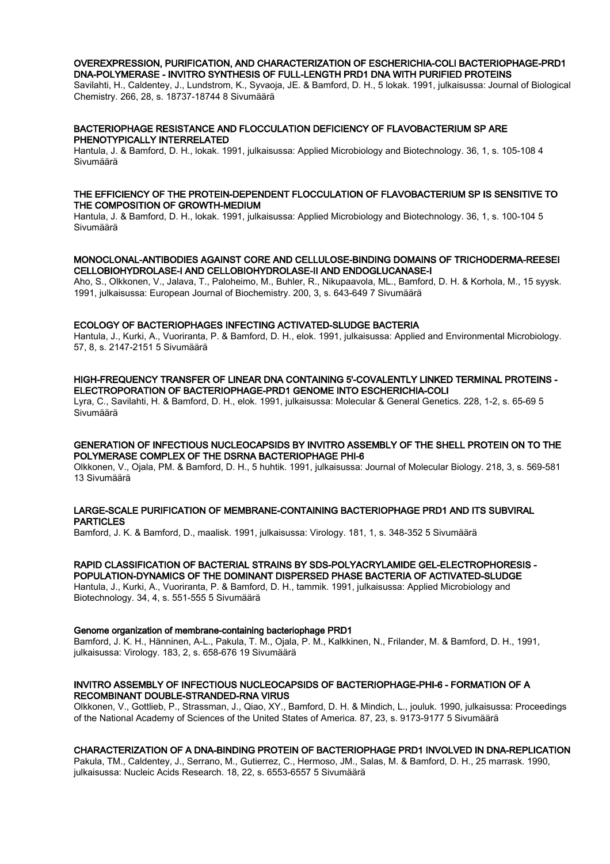## OVEREXPRESSION, PURIFICATION, AND CHARACTERIZATION OF ESCHERICHIA-COLI BACTERIOPHAGE-PRD1 DNA-POLYMERASE - INVITRO SYNTHESIS OF FULL-LENGTH PRD1 DNA WITH PURIFIED PROTEINS

Savilahti, H., Caldentey, J., Lundstrom, K., Syvaoja, JE. & Bamford, D. H., 5 lokak. 1991, julkaisussa: Journal of Biological Chemistry. 266, 28, s. 18737-18744 8 Sivumäärä

## BACTERIOPHAGE RESISTANCE AND FLOCCULATION DEFICIENCY OF FLAVOBACTERIUM SP ARE PHENOTYPICALLY INTERRELATED

Hantula, J. & Bamford, D. H., lokak. 1991, julkaisussa: Applied Microbiology and Biotechnology. 36, 1, s. 105-108 4 Sivumäärä

## THE EFFICIENCY OF THE PROTEIN-DEPENDENT FLOCCULATION OF FLAVOBACTERIUM SP IS SENSITIVE TO THE COMPOSITION OF GROWTH-MEDIUM

Hantula, J. & Bamford, D. H., lokak. 1991, julkaisussa: Applied Microbiology and Biotechnology. 36, 1, s. 100-104 5 Sivumäärä

## MONOCLONAL-ANTIBODIES AGAINST CORE AND CELLULOSE-BINDING DOMAINS OF TRICHODERMA-REESEI CELLOBIOHYDROLASE-I AND CELLOBIOHYDROLASE-II AND ENDOGLUCANASE-I

Aho, S., Olkkonen, V., Jalava, T., Paloheimo, M., Buhler, R., Nikupaavola, ML., Bamford, D. H. & Korhola, M., 15 syysk. 1991, julkaisussa: European Journal of Biochemistry. 200, 3, s. 643-649 7 Sivumäärä

## ECOLOGY OF BACTERIOPHAGES INFECTING ACTIVATED-SLUDGE BACTERIA

Hantula, J., Kurki, A., Vuoriranta, P. & Bamford, D. H., elok. 1991, julkaisussa: Applied and Environmental Microbiology. 57, 8, s. 2147-2151 5 Sivumäärä

## HIGH-FREQUENCY TRANSFER OF LINEAR DNA CONTAINING 5'-COVALENTLY LINKED TERMINAL PROTEINS - ELECTROPORATION OF BACTERIOPHAGE-PRD1 GENOME INTO ESCHERICHIA-COLI

Lyra, C., Savilahti, H. & Bamford, D. H., elok. 1991, julkaisussa: Molecular & General Genetics. 228, 1-2, s. 65-69 5 Sivumäärä

## GENERATION OF INFECTIOUS NUCLEOCAPSIDS BY INVITRO ASSEMBLY OF THE SHELL PROTEIN ON TO THE POLYMERASE COMPLEX OF THE DSRNA BACTERIOPHAGE PHI-6

Olkkonen, V., Ojala, PM. & Bamford, D. H., 5 huhtik. 1991, julkaisussa: Journal of Molecular Biology. 218, 3, s. 569-581 13 Sivumäärä

## LARGE-SCALE PURIFICATION OF MEMBRANE-CONTAINING BACTERIOPHAGE PRD1 AND ITS SUBVIRAL **PARTICLES**

Bamford, J. K. & Bamford, D., maalisk. 1991, julkaisussa: Virology. 181, 1, s. 348-352 5 Sivumäärä

## RAPID CLASSIFICATION OF BACTERIAL STRAINS BY SDS-POLYACRYLAMIDE GEL-ELECTROPHORESIS - POPULATION-DYNAMICS OF THE DOMINANT DISPERSED PHASE BACTERIA OF ACTIVATED-SLUDGE

Hantula, J., Kurki, A., Vuoriranta, P. & Bamford, D. H., tammik. 1991, julkaisussa: Applied Microbiology and Biotechnology. 34, 4, s. 551-555 5 Sivumäärä

## Genome organization of membrane-containing bacteriophage PRD1

Bamford, J. K. H., Hänninen, A-L., Pakula, T. M., Ojala, P. M., Kalkkinen, N., Frilander, M. & Bamford, D. H., 1991, julkaisussa: Virology. 183, 2, s. 658-676 19 Sivumäärä

## INVITRO ASSEMBLY OF INFECTIOUS NUCLEOCAPSIDS OF BACTERIOPHAGE-PHI-6 - FORMATION OF A RECOMBINANT DOUBLE-STRANDED-RNA VIRUS

Olkkonen, V., Gottlieb, P., Strassman, J., Qiao, XY., Bamford, D. H. & Mindich, L., jouluk. 1990, julkaisussa: Proceedings of the National Academy of Sciences of the United States of America. 87, 23, s. 9173-9177 5 Sivumäärä

## CHARACTERIZATION OF A DNA-BINDING PROTEIN OF BACTERIOPHAGE PRD1 INVOLVED IN DNA-REPLICATION

Pakula, TM., Caldentey, J., Serrano, M., Gutierrez, C., Hermoso, JM., Salas, M. & Bamford, D. H., 25 marrask. 1990, julkaisussa: Nucleic Acids Research. 18, 22, s. 6553-6557 5 Sivumäärä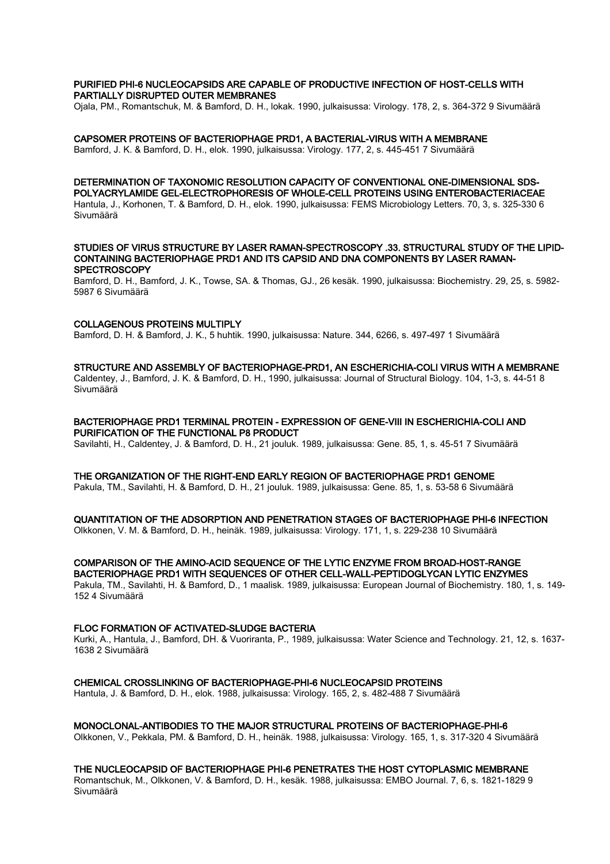## PURIFIED PHI-6 NUCLEOCAPSIDS ARE CAPABLE OF PRODUCTIVE INFECTION OF HOST-CELLS WITH PARTIALLY DISRUPTED OUTER MEMBRANES

Ojala, PM., Romantschuk, M. & Bamford, D. H., lokak. 1990, julkaisussa: Virology. 178, 2, s. 364-372 9 Sivumäärä

### CAPSOMER PROTEINS OF BACTERIOPHAGE PRD1, A BACTERIAL-VIRUS WITH A MEMBRANE

Bamford, J. K. & Bamford, D. H., elok. 1990, julkaisussa: Virology. 177, 2, s. 445-451 7 Sivumäärä

#### DETERMINATION OF TAXONOMIC RESOLUTION CAPACITY OF CONVENTIONAL ONE-DIMENSIONAL SDS-POLYACRYLAMIDE GEL-ELECTROPHORESIS OF WHOLE-CELL PROTEINS USING ENTEROBACTERIACEAE

Hantula, J., Korhonen, T. & Bamford, D. H., elok. 1990, julkaisussa: FEMS Microbiology Letters. 70, 3, s. 325-330 6 Sivumäärä

### STUDIES OF VIRUS STRUCTURE BY LASER RAMAN-SPECTROSCOPY .33. STRUCTURAL STUDY OF THE LIPID-CONTAINING BACTERIOPHAGE PRD1 AND ITS CAPSID AND DNA COMPONENTS BY LASER RAMAN-**SPECTROSCOPY**

Bamford, D. H., Bamford, J. K., Towse, SA. & Thomas, GJ., 26 kesäk. 1990, julkaisussa: Biochemistry. 29, 25, s. 5982- 5987 6 Sivumäärä

## COLLAGENOUS PROTEINS MULTIPLY

Bamford, D. H. & Bamford, J. K., 5 huhtik. 1990, julkaisussa: Nature. 344, 6266, s. 497-497 1 Sivumäärä

## STRUCTURE AND ASSEMBLY OF BACTERIOPHAGE-PRD1, AN ESCHERICHIA-COLI VIRUS WITH A MEMBRANE

Caldentey, J., Bamford, J. K. & Bamford, D. H., 1990, julkaisussa: Journal of Structural Biology. 104, 1-3, s. 44-51 8 Sivumäärä

### BACTERIOPHAGE PRD1 TERMINAL PROTEIN - EXPRESSION OF GENE-VIII IN ESCHERICHIA-COLI AND PURIFICATION OF THE FUNCTIONAL P8 PRODUCT

Savilahti, H., Caldentey, J. & Bamford, D. H., 21 jouluk. 1989, julkaisussa: Gene. 85, 1, s. 45-51 7 Sivumäärä

## THE ORGANIZATION OF THE RIGHT-END EARLY REGION OF BACTERIOPHAGE PRD1 GENOME

Pakula, TM., Savilahti, H. & Bamford, D. H., 21 jouluk. 1989, julkaisussa: Gene. 85, 1, s. 53-58 6 Sivumäärä

## QUANTITATION OF THE ADSORPTION AND PENETRATION STAGES OF BACTERIOPHAGE PHI-6 INFECTION

Olkkonen, V. M. & Bamford, D. H., heinäk. 1989, julkaisussa: Virology. 171, 1, s. 229-238 10 Sivumäärä

# COMPARISON OF THE AMINO-ACID SEQUENCE OF THE LYTIC ENZYME FROM BROAD-HOST-RANGE

BACTERIOPHAGE PRD1 WITH SEQUENCES OF OTHER CELL-WALL-PEPTIDOGLYCAN LYTIC ENZYMES Pakula, TM., Savilahti, H. & Bamford, D., 1 maalisk. 1989, julkaisussa: European Journal of Biochemistry. 180, 1, s. 149- 152 4 Sivumäärä

## FLOC FORMATION OF ACTIVATED-SLUDGE BACTERIA

Kurki, A., Hantula, J., Bamford, DH. & Vuoriranta, P., 1989, julkaisussa: Water Science and Technology. 21, 12, s. 1637- 1638 2 Sivumäärä

## CHEMICAL CROSSLINKING OF BACTERIOPHAGE-PHI-6 NUCLEOCAPSID PROTEINS

Hantula, J. & Bamford, D. H., elok. 1988, julkaisussa: Virology. 165, 2, s. 482-488 7 Sivumäärä

#### MONOCLONAL-ANTIBODIES TO THE MAJOR STRUCTURAL PROTEINS OF BACTERIOPHAGE-PHI-6

Olkkonen, V., Pekkala, PM. & Bamford, D. H., heinäk. 1988, julkaisussa: Virology. 165, 1, s. 317-320 4 Sivumäärä

## THE NUCLEOCAPSID OF BACTERIOPHAGE PHI-6 PENETRATES THE HOST CYTOPLASMIC MEMBRANE

Romantschuk, M., Olkkonen, V. & Bamford, D. H., kesäk. 1988, julkaisussa: EMBO Journal. 7, 6, s. 1821-1829 9 Sivumäärä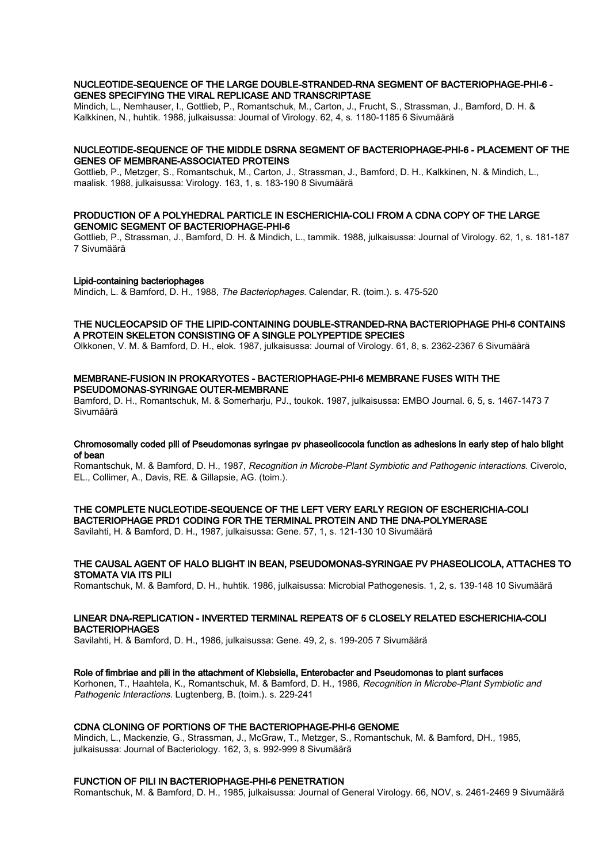### NUCLEOTIDE-SEQUENCE OF THE LARGE DOUBLE-STRANDED-RNA SEGMENT OF BACTERIOPHAGE-PHI-6 - GENES SPECIFYING THE VIRAL REPLICASE AND TRANSCRIPTASE

Mindich, L., Nemhauser, I., Gottlieb, P., Romantschuk, M., Carton, J., Frucht, S., Strassman, J., Bamford, D. H. & Kalkkinen, N., huhtik. 1988, julkaisussa: Journal of Virology. 62, 4, s. 1180-1185 6 Sivumäärä

#### NUCLEOTIDE-SEQUENCE OF THE MIDDLE DSRNA SEGMENT OF BACTERIOPHAGE-PHI-6 - PLACEMENT OF THE GENES OF MEMBRANE-ASSOCIATED PROTEINS

Gottlieb, P., Metzger, S., Romantschuk, M., Carton, J., Strassman, J., Bamford, D. H., Kalkkinen, N. & Mindich, L., maalisk. 1988, julkaisussa: Virology. 163, 1, s. 183-190 8 Sivumäärä

## PRODUCTION OF A POLYHEDRAL PARTICLE IN ESCHERICHIA-COLI FROM A CDNA COPY OF THE LARGE GENOMIC SEGMENT OF BACTERIOPHAGE-PHI-6

Gottlieb, P., Strassman, J., Bamford, D. H. & Mindich, L., tammik. 1988, julkaisussa: Journal of Virology. 62, 1, s. 181-187 7 Sivumäärä

## Lipid-containing bacteriophages

Mindich, L. & Bamford, D. H., 1988, The Bacteriophages. Calendar, R. (toim.). s. 475-520

## THE NUCLEOCAPSID OF THE LIPID-CONTAINING DOUBLE-STRANDED-RNA BACTERIOPHAGE PHI-6 CONTAINS A PROTEIN SKELETON CONSISTING OF A SINGLE POLYPEPTIDE SPECIES

Olkkonen, V. M. & Bamford, D. H., elok. 1987, julkaisussa: Journal of Virology. 61, 8, s. 2362-2367 6 Sivumäärä

## MEMBRANE-FUSION IN PROKARYOTES - BACTERIOPHAGE-PHI-6 MEMBRANE FUSES WITH THE PSEUDOMONAS-SYRINGAE OUTER-MEMBRANE

Bamford, D. H., Romantschuk, M. & Somerharju, PJ., toukok. 1987, julkaisussa: EMBO Journal. 6, 5, s. 1467-1473 7 Sivumäärä

## Chromosomally coded pili of Pseudomonas syringae pv phaseolicocola function as adhesions in early step of halo blight of bean

Romantschuk, M. & Bamford, D. H., 1987, Recognition in Microbe-Plant Symbiotic and Pathogenic interactions. Civerolo, EL., Collimer, A., Davis, RE. & Gillapsie, AG. (toim.).

# THE COMPLETE NUCLEOTIDE-SEQUENCE OF THE LEFT VERY EARLY REGION OF ESCHERICHIA-COLI BACTERIOPHAGE PRD1 CODING FOR THE TERMINAL PROTEIN AND THE DNA-POLYMERASE

Savilahti, H. & Bamford, D. H., 1987, julkaisussa: Gene. 57, 1, s. 121-130 10 Sivumäärä

## THE CAUSAL AGENT OF HALO BLIGHT IN BEAN, PSEUDOMONAS-SYRINGAE PV PHASEOLICOLA, ATTACHES TO STOMATA VIA ITS PILI

Romantschuk, M. & Bamford, D. H., huhtik. 1986, julkaisussa: Microbial Pathogenesis. 1, 2, s. 139-148 10 Sivumäärä

## LINEAR DNA-REPLICATION - INVERTED TERMINAL REPEATS OF 5 CLOSELY RELATED ESCHERICHIA-COLI **BACTERIOPHAGES**

Savilahti, H. & Bamford, D. H., 1986, julkaisussa: Gene. 49, 2, s. 199-205 7 Sivumäärä

## Role of fimbriae and pili in the attachment of Klebsiella, Enterobacter and Pseudomonas to plant surfaces

Korhonen, T., Haahtela, K., Romantschuk, M. & Bamford, D. H., 1986, Recognition in Microbe-Plant Symbiotic and Pathogenic Interactions. Lugtenberg, B. (toim.). s. 229-241

## CDNA CLONING OF PORTIONS OF THE BACTERIOPHAGE-PHI-6 GENOME

Mindich, L., Mackenzie, G., Strassman, J., McGraw, T., Metzger, S., Romantschuk, M. & Bamford, DH., 1985, julkaisussa: Journal of Bacteriology. 162, 3, s. 992-999 8 Sivumäärä

## FUNCTION OF PILI IN BACTERIOPHAGE-PHI-6 PENETRATION

Romantschuk, M. & Bamford, D. H., 1985, julkaisussa: Journal of General Virology. 66, NOV, s. 2461-2469 9 Sivumäärä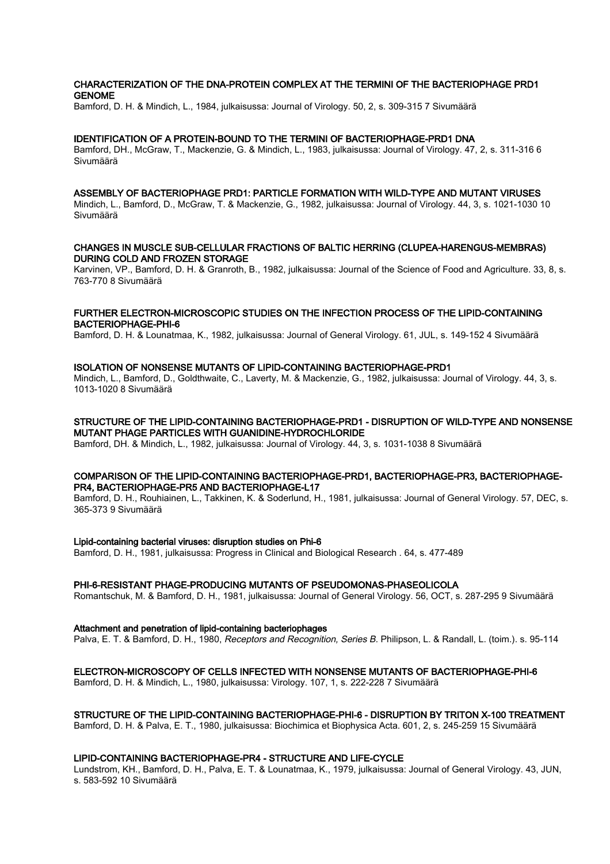## CHARACTERIZATION OF THE DNA-PROTEIN COMPLEX AT THE TERMINI OF THE BACTERIOPHAGE PRD1 GENOME

Bamford, D. H. & Mindich, L., 1984, julkaisussa: Journal of Virology. 50, 2, s. 309-315 7 Sivumäärä

### IDENTIFICATION OF A PROTEIN-BOUND TO THE TERMINI OF BACTERIOPHAGE-PRD1 DNA

Bamford, DH., McGraw, T., Mackenzie, G. & Mindich, L., 1983, julkaisussa: Journal of Virology. 47, 2, s. 311-316 6 Sivumäärä

#### ASSEMBLY OF BACTERIOPHAGE PRD1: PARTICLE FORMATION WITH WILD-TYPE AND MUTANT VIRUSES

Mindich, L., Bamford, D., McGraw, T. & Mackenzie, G., 1982, julkaisussa: Journal of Virology. 44, 3, s. 1021-1030 10 Sivumäärä

## CHANGES IN MUSCLE SUB-CELLULAR FRACTIONS OF BALTIC HERRING (CLUPEA-HARENGUS-MEMBRAS) DURING COLD AND FROZEN STORAGE

Karvinen, VP., Bamford, D. H. & Granroth, B., 1982, julkaisussa: Journal of the Science of Food and Agriculture. 33, 8, s. 763-770 8 Sivumäärä

## FURTHER ELECTRON-MICROSCOPIC STUDIES ON THE INFECTION PROCESS OF THE LIPID-CONTAINING BACTERIOPHAGE-PHI-6

Bamford, D. H. & Lounatmaa, K., 1982, julkaisussa: Journal of General Virology. 61, JUL, s. 149-152 4 Sivumäärä

## ISOLATION OF NONSENSE MUTANTS OF LIPID-CONTAINING BACTERIOPHAGE-PRD1

Mindich, L., Bamford, D., Goldthwaite, C., Laverty, M. & Mackenzie, G., 1982, julkaisussa: Journal of Virology. 44, 3, s. 1013-1020 8 Sivumäärä

## STRUCTURE OF THE LIPID-CONTAINING BACTERIOPHAGE-PRD1 - DISRUPTION OF WILD-TYPE AND NONSENSE MUTANT PHAGE PARTICLES WITH GUANIDINE-HYDROCHLORIDE

Bamford, DH. & Mindich, L., 1982, julkaisussa: Journal of Virology. 44, 3, s. 1031-1038 8 Sivumäärä

#### COMPARISON OF THE LIPID-CONTAINING BACTERIOPHAGE-PRD1, BACTERIOPHAGE-PR3, BACTERIOPHAGE-PR4, BACTERIOPHAGE-PR5 AND BACTERIOPHAGE-L17

Bamford, D. H., Rouhiainen, L., Takkinen, K. & Soderlund, H., 1981, julkaisussa: Journal of General Virology. 57, DEC, s. 365-373 9 Sivumäärä

#### Lipid-containing bacterial viruses: disruption studies on Phi-6

Bamford, D. H., 1981, julkaisussa: Progress in Clinical and Biological Research . 64, s. 477-489

#### PHI-6-RESISTANT PHAGE-PRODUCING MUTANTS OF PSEUDOMONAS-PHASEOLICOLA

Romantschuk, M. & Bamford, D. H., 1981, julkaisussa: Journal of General Virology. 56, OCT, s. 287-295 9 Sivumäärä

Attachment and penetration of lipid-containing bacteriophages

Palva, E. T. & Bamford, D. H., 1980, Receptors and Recognition, Series B. Philipson, L. & Randall, L. (toim.). s. 95-114

## ELECTRON-MICROSCOPY OF CELLS INFECTED WITH NONSENSE MUTANTS OF BACTERIOPHAGE-PHI-6

Bamford, D. H. & Mindich, L., 1980, julkaisussa: Virology. 107, 1, s. 222-228 7 Sivumäärä

## STRUCTURE OF THE LIPID-CONTAINING BACTERIOPHAGE-PHI-6 - DISRUPTION BY TRITON X-100 TREATMENT

Bamford, D. H. & Palva, E. T., 1980, julkaisussa: Biochimica et Biophysica Acta. 601, 2, s. 245-259 15 Sivumäärä

## LIPID-CONTAINING BACTERIOPHAGE-PR4 - STRUCTURE AND LIFE-CYCLE

Lundstrom, KH., Bamford, D. H., Palva, E. T. & Lounatmaa, K., 1979, julkaisussa: Journal of General Virology. 43, JUN, s. 583-592 10 Sivumäärä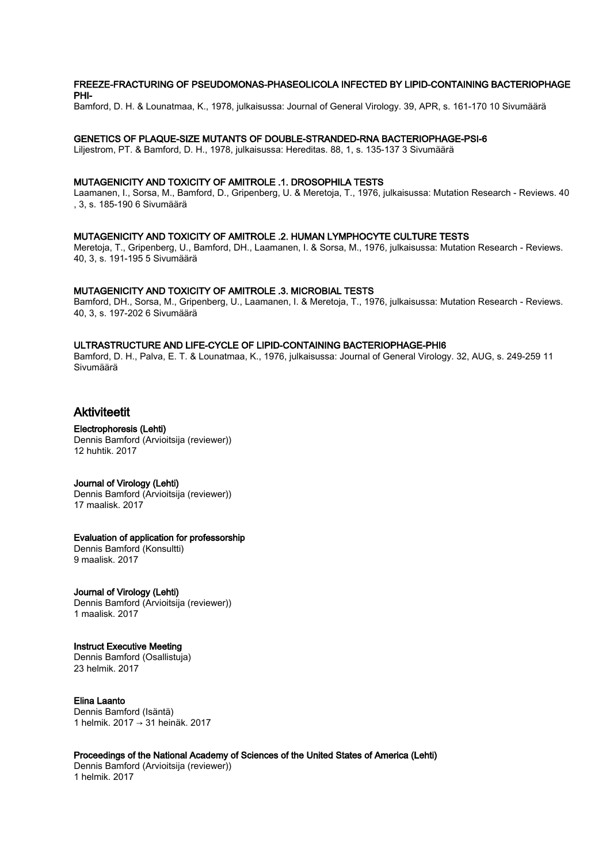## FREEZE-FRACTURING OF PSEUDOMONAS-PHASEOLICOLA INFECTED BY LIPID-CONTAINING BACTERIOPHAGE PHI-

Bamford, D. H. & Lounatmaa, K., 1978, julkaisussa: Journal of General Virology. 39, APR, s. 161-170 10 Sivumäärä

### GENETICS OF PLAQUE-SIZE MUTANTS OF DOUBLE-STRANDED-RNA BACTERIOPHAGE-PSI-6

Liljestrom, PT. & Bamford, D. H., 1978, julkaisussa: Hereditas. 88, 1, s. 135-137 3 Sivumäärä

#### MUTAGENICITY AND TOXICITY OF AMITROLE .1. DROSOPHILA TESTS

Laamanen, I., Sorsa, M., Bamford, D., Gripenberg, U. & Meretoja, T., 1976, julkaisussa: Mutation Research - Reviews. 40 , 3, s. 185-190 6 Sivumäärä

#### MUTAGENICITY AND TOXICITY OF AMITROLE .2. HUMAN LYMPHOCYTE CULTURE TESTS

Meretoja, T., Gripenberg, U., Bamford, DH., Laamanen, I. & Sorsa, M., 1976, julkaisussa: Mutation Research - Reviews. 40, 3, s. 191-195 5 Sivumäärä

## MUTAGENICITY AND TOXICITY OF AMITROLE .3. MICROBIAL TESTS

Bamford, DH., Sorsa, M., Gripenberg, U., Laamanen, I. & Meretoja, T., 1976, julkaisussa: Mutation Research - Reviews. 40, 3, s. 197-202 6 Sivumäärä

## ULTRASTRUCTURE AND LIFE-CYCLE OF LIPID-CONTAINING BACTERIOPHAGE-PHI6

Bamford, D. H., Palva, E. T. & Lounatmaa, K., 1976, julkaisussa: Journal of General Virology. 32, AUG, s. 249-259 11 Sivumäärä

# Aktiviteetit

#### Electrophoresis (Lehti) Dennis Bamford (Arvioitsija (reviewer)) 12 huhtik. 2017

#### Journal of Virology (Lehti)

Dennis Bamford (Arvioitsija (reviewer)) 17 maalisk. 2017

## Evaluation of application for professorship

Dennis Bamford (Konsultti) 9 maalisk. 2017

# Journal of Virology (Lehti)

Dennis Bamford (Arvioitsija (reviewer)) 1 maalisk. 2017

# Instruct Executive Meeting

Dennis Bamford (Osallistuja) 23 helmik. 2017

## Elina Laanto

Dennis Bamford (Isäntä) 1 helmik. 2017 → 31 heinäk. 2017

## Proceedings of the National Academy of Sciences of the United States of America (Lehti)

Dennis Bamford (Arvioitsija (reviewer)) 1 helmik. 2017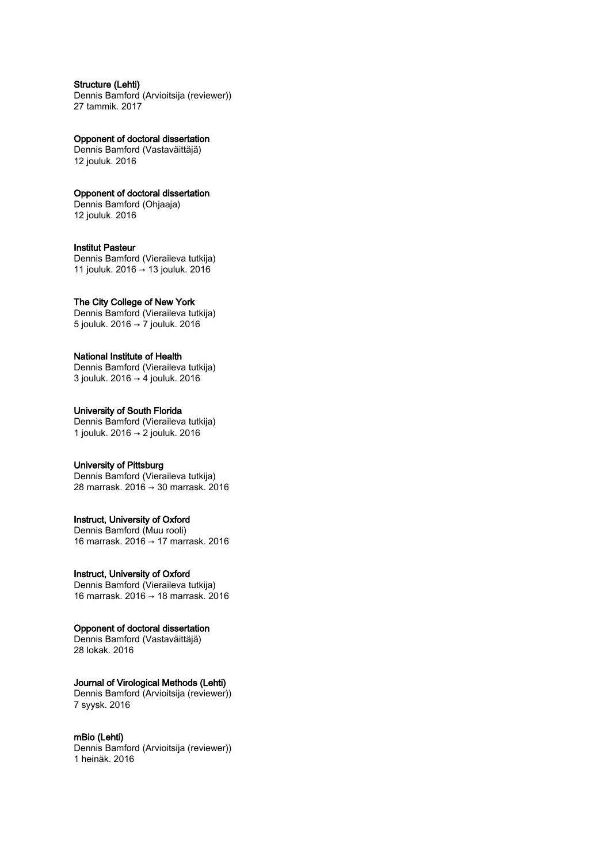## Structure (Lehti)

Dennis Bamford (Arvioitsija (reviewer)) 27 tammik. 2017

Opponent of doctoral dissertation Dennis Bamford (Vastaväittäjä)

12 jouluk. 2016

# Opponent of doctoral dissertation

Dennis Bamford (Ohjaaja) 12 jouluk. 2016

## Institut Pasteur

Dennis Bamford (Vieraileva tutkija) 11 jouluk. 2016 → 13 jouluk. 2016

## The City College of New York

Dennis Bamford (Vieraileva tutkija) 5 jouluk. 2016 → 7 jouluk. 2016

## National Institute of Health

Dennis Bamford (Vieraileva tutkija) 3 jouluk. 2016 → 4 jouluk. 2016

# University of South Florida

Dennis Bamford (Vieraileva tutkija) 1 jouluk. 2016 → 2 jouluk. 2016

## University of Pittsburg

Dennis Bamford (Vieraileva tutkija) 28 marrask. 2016 → 30 marrask. 2016

# Instruct, University of Oxford

Dennis Bamford (Muu rooli) 16 marrask. 2016 → 17 marrask. 2016

# Instruct, University of Oxford

Dennis Bamford (Vieraileva tutkija) 16 marrask. 2016 → 18 marrask. 2016

# Opponent of doctoral dissertation

Dennis Bamford (Vastaväittäjä) 28 lokak. 2016

# Journal of Virological Methods (Lehti)

Dennis Bamford (Arvioitsija (reviewer)) 7 syysk. 2016

## mBio (Lehti)

Dennis Bamford (Arvioitsija (reviewer)) 1 heinäk. 2016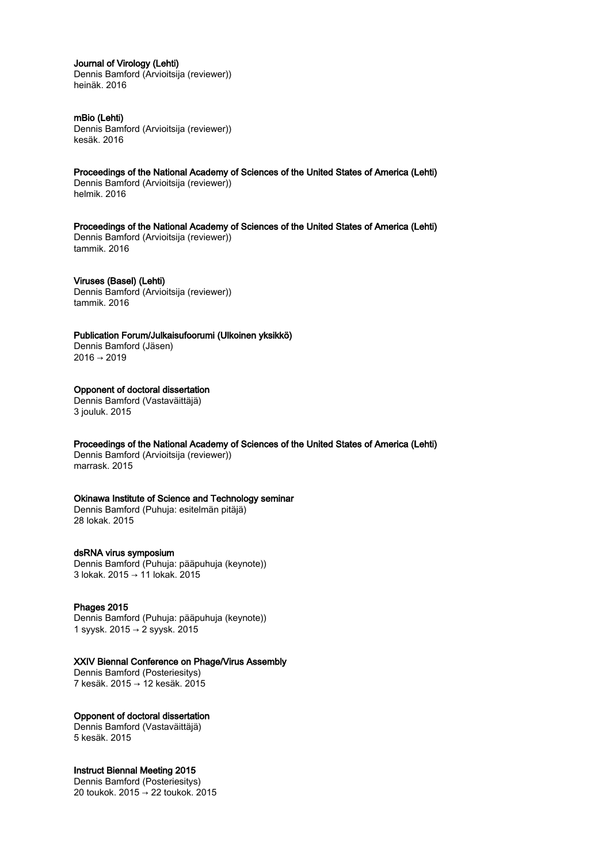## Journal of Virology (Lehti)

Dennis Bamford (Arvioitsija (reviewer)) heinäk. 2016

## mBio (Lehti)

Dennis Bamford (Arvioitsija (reviewer)) kesäk. 2016

Proceedings of the National Academy of Sciences of the United States of America (Lehti) Dennis Bamford (Arvioitsija (reviewer))

helmik. 2016

Proceedings of the National Academy of Sciences of the United States of America (Lehti) Dennis Bamford (Arvioitsija (reviewer)) tammik. 2016

Viruses (Basel) (Lehti) Dennis Bamford (Arvioitsija (reviewer)) tammik. 2016

Publication Forum/Julkaisufoorumi (Ulkoinen yksikkö)

Dennis Bamford (Jäsen)  $2016 \rightarrow 2019$ 

## Opponent of doctoral dissertation

Dennis Bamford (Vastaväittäjä) 3 jouluk. 2015

Proceedings of the National Academy of Sciences of the United States of America (Lehti)

Dennis Bamford (Arvioitsija (reviewer)) marrask. 2015

## Okinawa Institute of Science and Technology seminar

Dennis Bamford (Puhuja: esitelmän pitäjä) 28 lokak. 2015

## dsRNA virus symposium

Dennis Bamford (Puhuja: pääpuhuja (keynote)) 3 lokak. 2015 → 11 lokak. 2015

## Phages 2015

Dennis Bamford (Puhuja: pääpuhuja (keynote)) 1 syysk. 2015 → 2 syysk. 2015

## XXIV Biennal Conference on Phage/Virus Assembly

Dennis Bamford (Posteriesitys) 7 kesäk. 2015 → 12 kesäk. 2015

# Opponent of doctoral dissertation

Dennis Bamford (Vastaväittäjä) 5 kesäk. 2015

# Instruct Biennal Meeting 2015

Dennis Bamford (Posteriesitys) 20 toukok. 2015 → 22 toukok. 2015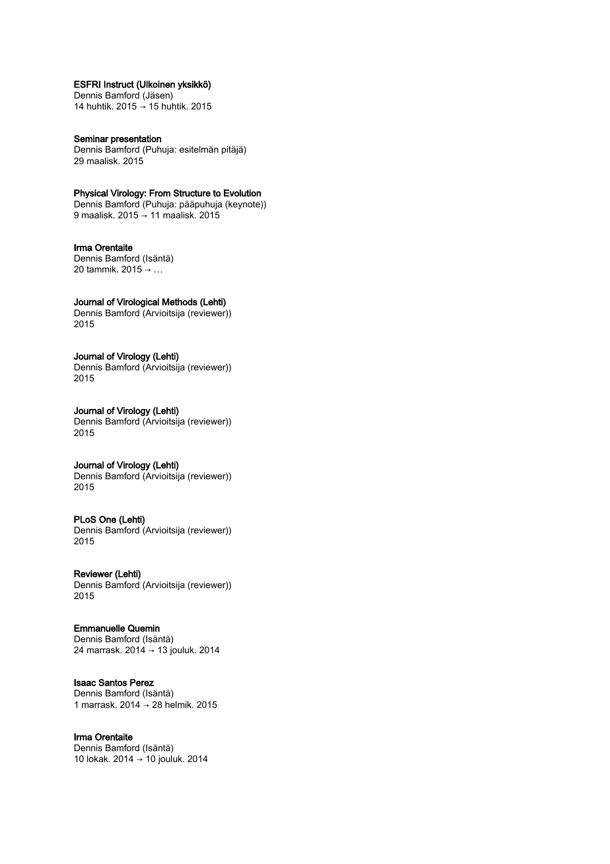# ESFRI Instruct (Ulkoinen yksikkö)

Dennis Bamford (Jäsen) 14 huhtik. 2015 → 15 huhtik. 2015

Seminar presentation Dennis Bamford (Puhuja: esitelmän pitäjä) 29 maalisk. 2015

## Physical Virology: From Structure to Evolution

Dennis Bamford (Puhuja: pääpuhuja (keynote)) 9 maalisk. 2015 → 11 maalisk. 2015

Irma Orentaite Dennis Bamford (Isäntä) 20 tammik. 2015 → …

## Journal of Virological Methods (Lehti)

Dennis Bamford (Arvioitsija (reviewer)) 2015

## Journal of Virology (Lehti)

Dennis Bamford (Arvioitsija (reviewer)) 2015

#### Journal of Virology (Lehti) Dennis Bamford (Arvioitsija (reviewer)) 2015

# Journal of Virology (Lehti)

Dennis Bamford (Arvioitsija (reviewer)) 2015

## PLoS One (Lehti)

Dennis Bamford (Arvioitsija (reviewer)) 2015

# Reviewer (Lehti)

Dennis Bamford (Arvioitsija (reviewer)) 2015

# Emmanuelle Quemin

Dennis Bamford (Isäntä) 24 marrask. 2014 → 13 jouluk. 2014

# Isaac Santos Perez

Dennis Bamford (Isäntä) 1 marrask. 2014 → 28 helmik. 2015

# Irma Orentaite

Dennis Bamford (Isäntä) 10 lokak. 2014 → 10 jouluk. 2014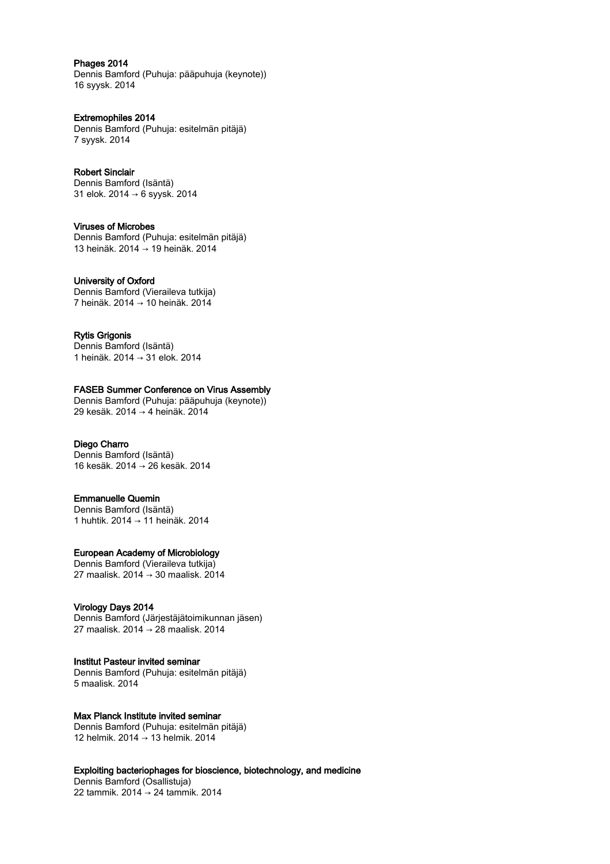Phages 2014

Dennis Bamford (Puhuja: pääpuhuja (keynote)) 16 syysk. 2014

Extremophiles 2014 Dennis Bamford (Puhuja: esitelmän pitäjä) 7 syysk. 2014

Robert Sinclair Dennis Bamford (Isäntä) 31 elok. 2014 → 6 syysk. 2014

Viruses of Microbes Dennis Bamford (Puhuja: esitelmän pitäjä) 13 heinäk. 2014 → 19 heinäk. 2014

University of Oxford Dennis Bamford (Vieraileva tutkija) 7 heinäk. 2014 → 10 heinäk. 2014

Rytis Grigonis Dennis Bamford (Isäntä) 1 heinäk. 2014 → 31 elok. 2014

FASEB Summer Conference on Virus Assembly Dennis Bamford (Puhuja: pääpuhuja (keynote)) 29 kesäk. 2014 → 4 heinäk. 2014

# Diego Charro

Dennis Bamford (Isäntä) 16 kesäk. 2014 → 26 kesäk. 2014

## Emmanuelle Quemin

Dennis Bamford (Isäntä) 1 huhtik. 2014 → 11 heinäk. 2014

## European Academy of Microbiology

Dennis Bamford (Vieraileva tutkija) 27 maalisk. 2014 → 30 maalisk. 2014

## Virology Days 2014

Dennis Bamford (Järjestäjätoimikunnan jäsen) 27 maalisk. 2014 → 28 maalisk. 2014

## Institut Pasteur invited seminar

Dennis Bamford (Puhuja: esitelmän pitäjä) 5 maalisk. 2014

# Max Planck Institute invited seminar

Dennis Bamford (Puhuja: esitelmän pitäjä) 12 helmik. 2014 → 13 helmik. 2014

Exploiting bacteriophages for bioscience, biotechnology, and medicine

Dennis Bamford (Osallistuja) 22 tammik. 2014 → 24 tammik. 2014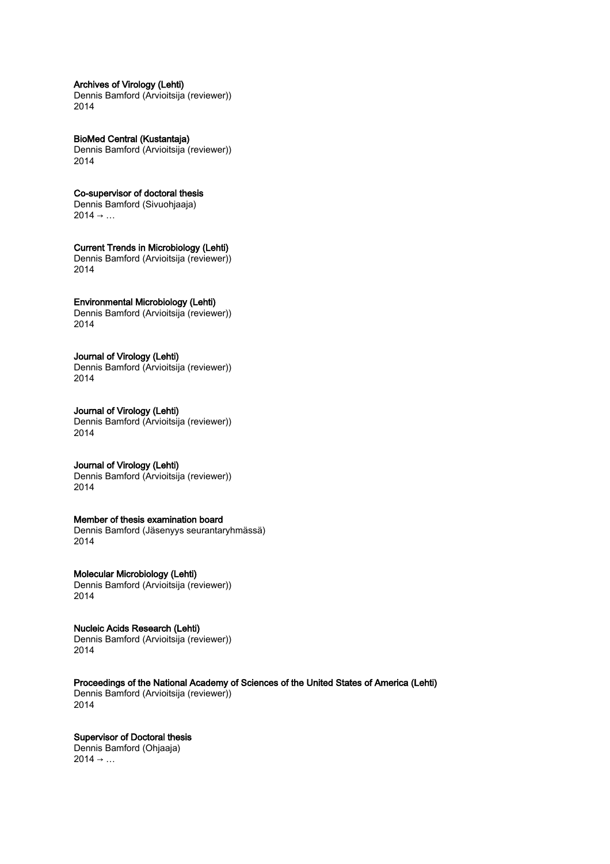## Archives of Virology (Lehti)

Dennis Bamford (Arvioitsija (reviewer)) 2014

BioMed Central (Kustantaja) Dennis Bamford (Arvioitsija (reviewer)) 2014

# Co-supervisor of doctoral thesis

Dennis Bamford (Sivuohjaaja)  $2014 \rightarrow ...$ 

## Current Trends in Microbiology (Lehti)

Dennis Bamford (Arvioitsija (reviewer)) 2014

# Environmental Microbiology (Lehti)

Dennis Bamford (Arvioitsija (reviewer)) 2014

## Journal of Virology (Lehti)

Dennis Bamford (Arvioitsija (reviewer)) 2014

## Journal of Virology (Lehti) Dennis Bamford (Arvioitsija (reviewer)) 2014

# Journal of Virology (Lehti)

Dennis Bamford (Arvioitsija (reviewer)) 2014

# Member of thesis examination board

Dennis Bamford (Jäsenyys seurantaryhmässä) 2014

# Molecular Microbiology (Lehti)

Dennis Bamford (Arvioitsija (reviewer)) 2014

# Nucleic Acids Research (Lehti) Dennis Bamford (Arvioitsija (reviewer))

2014

Proceedings of the National Academy of Sciences of the United States of America (Lehti)

Dennis Bamford (Arvioitsija (reviewer)) 2014

# Supervisor of Doctoral thesis

Dennis Bamford (Ohjaaja)  $2014 \rightarrow ...$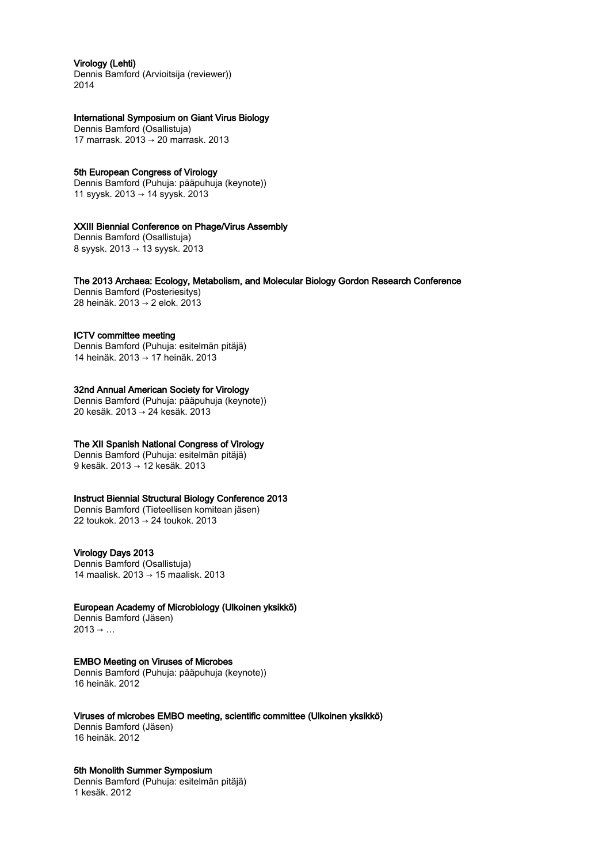# Virology (Lehti)

Dennis Bamford (Arvioitsija (reviewer)) 2014

# International Symposium on Giant Virus Biology

Dennis Bamford (Osallistuja) 17 marrask. 2013 → 20 marrask. 2013

## 5th European Congress of Virology

Dennis Bamford (Puhuja: pääpuhuja (keynote)) 11 syysk. 2013 → 14 syysk. 2013

## XXIII Biennial Conference on Phage/Virus Assembly

Dennis Bamford (Osallistuja) 8 syysk. 2013 → 13 syysk. 2013

The 2013 Archaea: Ecology, Metabolism, and Molecular Biology Gordon Research Conference

Dennis Bamford (Posteriesitys) 28 heinäk. 2013 → 2 elok. 2013

## ICTV committee meeting

Dennis Bamford (Puhuja: esitelmän pitäjä) 14 heinäk. 2013 → 17 heinäk. 2013

# 32nd Annual American Society for Virology

Dennis Bamford (Puhuja: pääpuhuja (keynote)) 20 kesäk. 2013 → 24 kesäk. 2013

## The XII Spanish National Congress of Virology

Dennis Bamford (Puhuja: esitelmän pitäjä) 9 kesäk. 2013 → 12 kesäk. 2013

## Instruct Biennial Structural Biology Conference 2013

Dennis Bamford (Tieteellisen komitean jäsen) 22 toukok. 2013 → 24 toukok. 2013

# Virology Days 2013

Dennis Bamford (Osallistuja) 14 maalisk. 2013 → 15 maalisk. 2013

## European Academy of Microbiology (Ulkoinen yksikkö)

Dennis Bamford (Jäsen)  $2013 \rightarrow ...$ 

# EMBO Meeting on Viruses of Microbes

Dennis Bamford (Puhuja: pääpuhuja (keynote)) 16 heinäk. 2012

## Viruses of microbes EMBO meeting, scientific committee (Ulkoinen yksikkö)

Dennis Bamford (Jäsen) 16 heinäk. 2012

# 5th Monolith Summer Symposium

Dennis Bamford (Puhuja: esitelmän pitäjä) 1 kesäk. 2012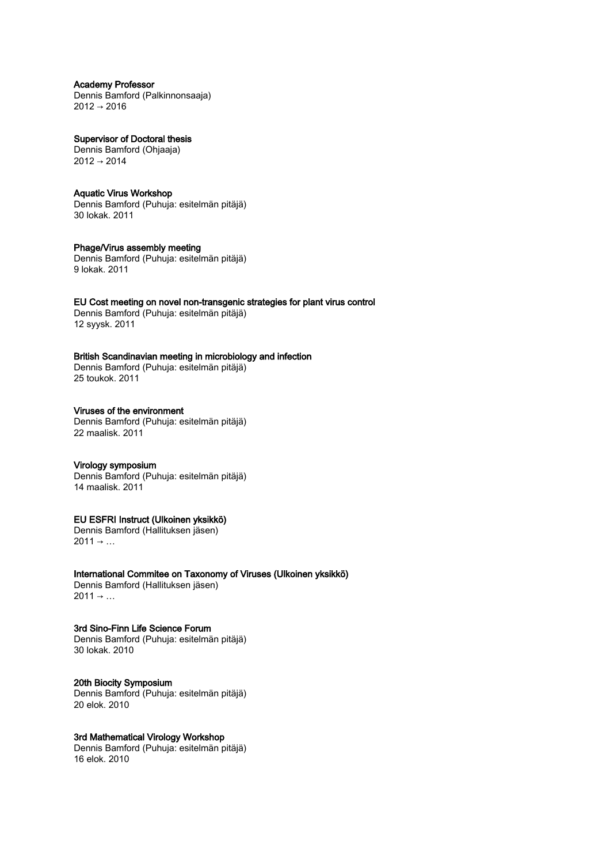Academy Professor Dennis Bamford (Palkinnonsaaja) 2012 → 2016

Supervisor of Doctoral thesis Dennis Bamford (Ohjaaja)  $2012 \rightarrow 2014$ 

# Aquatic Virus Workshop

Dennis Bamford (Puhuja: esitelmän pitäjä) 30 lokak. 2011

# Phage/Virus assembly meeting

Dennis Bamford (Puhuja: esitelmän pitäjä) 9 lokak. 2011

## EU Cost meeting on novel non-transgenic strategies for plant virus control

Dennis Bamford (Puhuja: esitelmän pitäjä) 12 syysk. 2011

# British Scandinavian meeting in microbiology and infection

Dennis Bamford (Puhuja: esitelmän pitäjä) 25 toukok. 2011

# Viruses of the environment

Dennis Bamford (Puhuja: esitelmän pitäjä) 22 maalisk. 2011

## Virology symposium

Dennis Bamford (Puhuja: esitelmän pitäjä) 14 maalisk. 2011

# EU ESFRI Instruct (Ulkoinen yksikkö)

Dennis Bamford (Hallituksen jäsen)  $2011 \rightarrow ...$ 

International Commitee on Taxonomy of Viruses (Ulkoinen yksikkö) Dennis Bamford (Hallituksen jäsen)  $2011 \rightarrow ...$ 

3rd Sino-Finn Life Science Forum Dennis Bamford (Puhuja: esitelmän pitäjä) 30 lokak. 2010

20th Biocity Symposium Dennis Bamford (Puhuja: esitelmän pitäjä) 20 elok. 2010

3rd Mathematical Virology Workshop Dennis Bamford (Puhuja: esitelmän pitäjä) 16 elok. 2010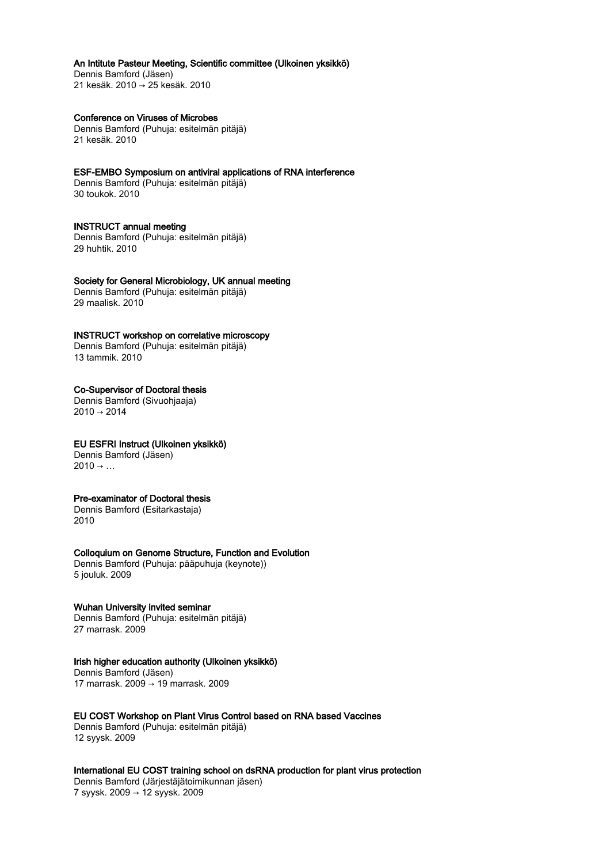## An Intitute Pasteur Meeting, Scientific committee (Ulkoinen yksikkö)

Dennis Bamford (Jäsen) 21 kesäk. 2010 → 25 kesäk. 2010

## Conference on Viruses of Microbes

Dennis Bamford (Puhuja: esitelmän pitäjä) 21 kesäk. 2010

## ESF-EMBO Symposium on antiviral applications of RNA interference

Dennis Bamford (Puhuja: esitelmän pitäjä) 30 toukok. 2010

# INSTRUCT annual meeting

Dennis Bamford (Puhuja: esitelmän pitäjä) 29 huhtik. 2010

## Society for General Microbiology, UK annual meeting

Dennis Bamford (Puhuja: esitelmän pitäjä) 29 maalisk. 2010

## INSTRUCT workshop on correlative microscopy

Dennis Bamford (Puhuja: esitelmän pitäjä) 13 tammik. 2010

## Co-Supervisor of Doctoral thesis

Dennis Bamford (Sivuohjaaja)  $2010 \rightarrow 2014$ 

# EU ESFRI Instruct (Ulkoinen yksikkö)

Dennis Bamford (Jäsen)  $2010 \rightarrow ...$ 

## Pre-examinator of Doctoral thesis

Dennis Bamford (Esitarkastaja) 2010

## Colloquium on Genome Structure, Function and Evolution

Dennis Bamford (Puhuja: pääpuhuja (keynote)) 5 jouluk. 2009

## Wuhan University invited seminar

Dennis Bamford (Puhuja: esitelmän pitäjä) 27 marrask. 2009

# Irish higher education authority (Ulkoinen yksikkö)

Dennis Bamford (Jäsen) 17 marrask. 2009 → 19 marrask. 2009

# EU COST Workshop on Plant Virus Control based on RNA based Vaccines

Dennis Bamford (Puhuja: esitelmän pitäjä) 12 syysk. 2009

# International EU COST training school on dsRNA production for plant virus protection

Dennis Bamford (Järjestäjätoimikunnan jäsen) 7 syysk. 2009 → 12 syysk. 2009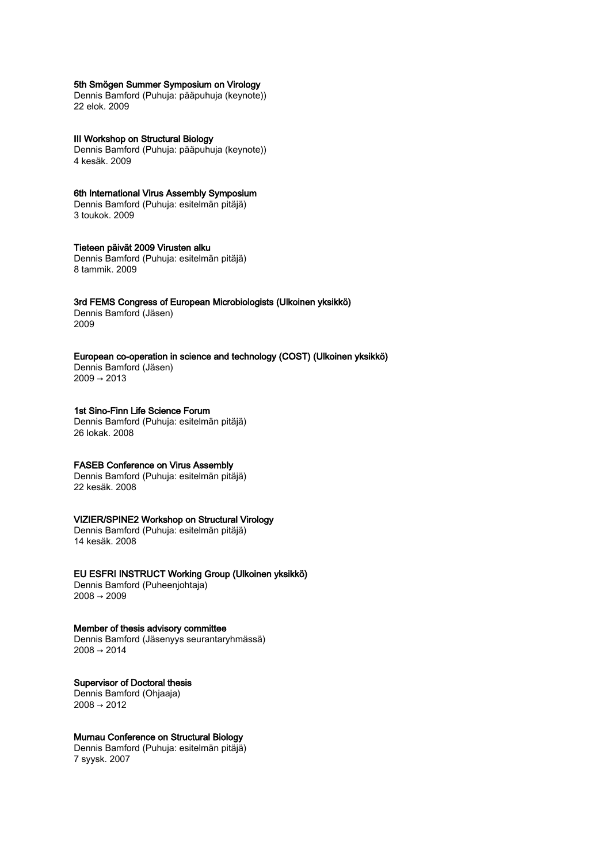## 5th Smögen Summer Symposium on Virology

Dennis Bamford (Puhuja: pääpuhuja (keynote)) 22 elok. 2009

III Workshop on Structural Biology Dennis Bamford (Puhuja: pääpuhuja (keynote)) 4 kesäk. 2009

6th International Virus Assembly Symposium Dennis Bamford (Puhuja: esitelmän pitäjä) 3 toukok. 2009

## Tieteen päivät 2009 Virusten alku

Dennis Bamford (Puhuja: esitelmän pitäjä) 8 tammik. 2009

# 3rd FEMS Congress of European Microbiologists (Ulkoinen yksikkö)

Dennis Bamford (Jäsen) 2009

# European co-operation in science and technology (COST) (Ulkoinen yksikkö)

Dennis Bamford (Jäsen)  $2009 \rightarrow 2013$ 

#### 1st Sino-Finn Life Science Forum

Dennis Bamford (Puhuja: esitelmän pitäjä) 26 lokak. 2008

# FASEB Conference on Virus Assembly

Dennis Bamford (Puhuja: esitelmän pitäjä) 22 kesäk. 2008

# VIZIER/SPINE2 Workshop on Structural Virology

Dennis Bamford (Puhuja: esitelmän pitäjä) 14 kesäk. 2008

## EU ESFRI INSTRUCT Working Group (Ulkoinen yksikkö)

Dennis Bamford (Puheenjohtaja) 2008 → 2009

Member of thesis advisory committee

Dennis Bamford (Jäsenyys seurantaryhmässä)  $2008 \rightarrow 2014$ 

# Supervisor of Doctoral thesis

Dennis Bamford (Ohjaaja)  $2008 \rightarrow 2012$ 

# Murnau Conference on Structural Biology

Dennis Bamford (Puhuja: esitelmän pitäjä) 7 syysk. 2007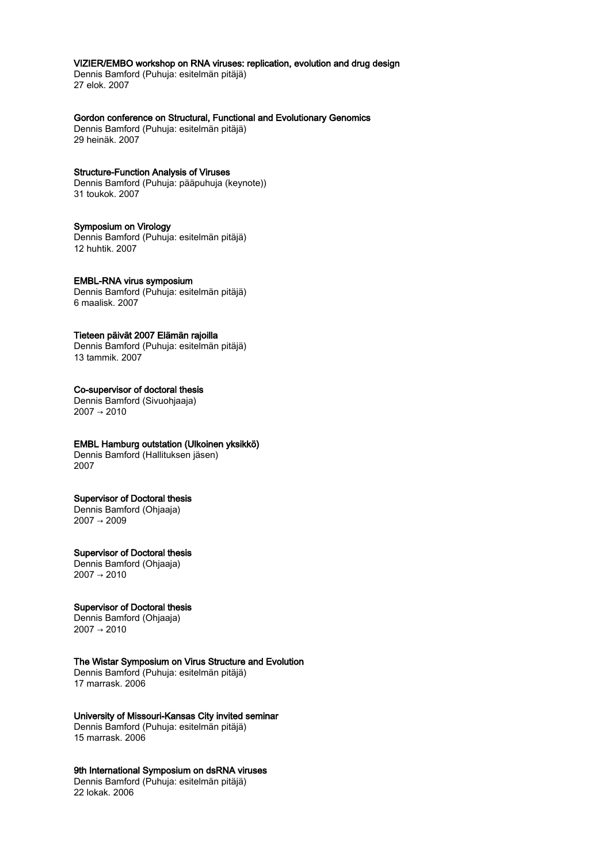# VIZIER/EMBO workshop on RNA viruses: replication, evolution and drug design

Dennis Bamford (Puhuja: esitelmän pitäjä) 27 elok. 2007

## Gordon conference on Structural, Functional and Evolutionary Genomics

Dennis Bamford (Puhuja: esitelmän pitäjä) 29 heinäk. 2007

#### Structure-Function Analysis of Viruses

Dennis Bamford (Puhuja: pääpuhuja (keynote)) 31 toukok. 2007

## Symposium on Virology

Dennis Bamford (Puhuja: esitelmän pitäjä) 12 huhtik. 2007

# EMBL-RNA virus symposium

Dennis Bamford (Puhuja: esitelmän pitäjä) 6 maalisk. 2007

## Tieteen päivät 2007 Elämän rajoilla

Dennis Bamford (Puhuja: esitelmän pitäjä) 13 tammik. 2007

## Co-supervisor of doctoral thesis

Dennis Bamford (Sivuohjaaja)  $2007 \rightarrow 2010$ 

# EMBL Hamburg outstation (Ulkoinen yksikkö)

Dennis Bamford (Hallituksen jäsen) 2007

# Supervisor of Doctoral thesis

Dennis Bamford (Ohjaaja) 2007 → 2009

## Supervisor of Doctoral thesis

Dennis Bamford (Ohjaaja)  $2007 \rightarrow 2010$ 

## Supervisor of Doctoral thesis

Dennis Bamford (Ohjaaja) 2007 → 2010

# The Wistar Symposium on Virus Structure and Evolution

Dennis Bamford (Puhuja: esitelmän pitäjä) 17 marrask. 2006

# University of Missouri-Kansas City invited seminar

Dennis Bamford (Puhuja: esitelmän pitäjä) 15 marrask. 2006

# 9th International Symposium on dsRNA viruses

Dennis Bamford (Puhuja: esitelmän pitäjä) 22 lokak. 2006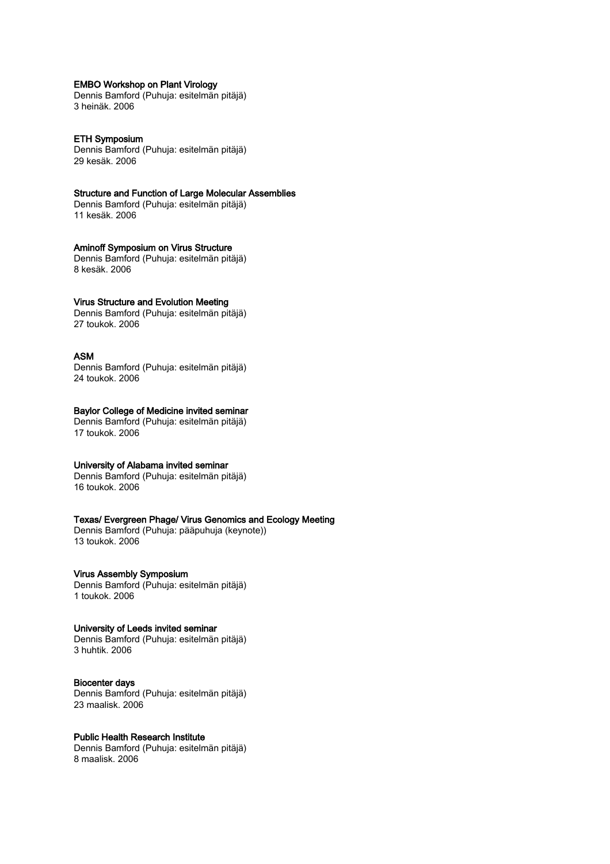## EMBO Workshop on Plant Virology

Dennis Bamford (Puhuja: esitelmän pitäjä) 3 heinäk. 2006

#### ETH Symposium

Dennis Bamford (Puhuja: esitelmän pitäjä) 29 kesäk. 2006

### Structure and Function of Large Molecular Assemblies

Dennis Bamford (Puhuja: esitelmän pitäjä) 11 kesäk. 2006

## Aminoff Symposium on Virus Structure

Dennis Bamford (Puhuja: esitelmän pitäjä) 8 kesäk. 2006

## Virus Structure and Evolution Meeting

Dennis Bamford (Puhuja: esitelmän pitäjä) 27 toukok. 2006

## ASM

Dennis Bamford (Puhuja: esitelmän pitäjä) 24 toukok. 2006

## Baylor College of Medicine invited seminar

Dennis Bamford (Puhuja: esitelmän pitäjä) 17 toukok. 2006

## University of Alabama invited seminar

Dennis Bamford (Puhuja: esitelmän pitäjä) 16 toukok. 2006

# Texas/ Evergreen Phage/ Virus Genomics and Ecology Meeting

Dennis Bamford (Puhuja: pääpuhuja (keynote)) 13 toukok. 2006

## Virus Assembly Symposium

Dennis Bamford (Puhuja: esitelmän pitäjä) 1 toukok. 2006

## University of Leeds invited seminar

Dennis Bamford (Puhuja: esitelmän pitäjä) 3 huhtik. 2006

#### Biocenter days

Dennis Bamford (Puhuja: esitelmän pitäjä) 23 maalisk. 2006

# Public Health Research Institute

Dennis Bamford (Puhuja: esitelmän pitäjä) 8 maalisk. 2006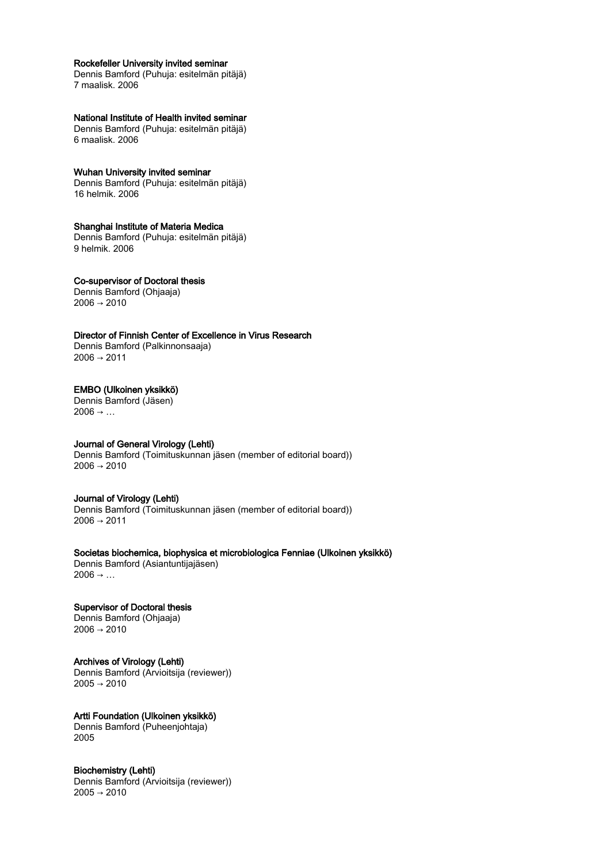## Rockefeller University invited seminar

Dennis Bamford (Puhuja: esitelmän pitäjä) 7 maalisk. 2006

## National Institute of Health invited seminar

Dennis Bamford (Puhuja: esitelmän pitäjä) 6 maalisk. 2006

## Wuhan University invited seminar

Dennis Bamford (Puhuja: esitelmän pitäjä) 16 helmik. 2006

## Shanghai Institute of Materia Medica

Dennis Bamford (Puhuja: esitelmän pitäjä) 9 helmik. 2006

# Co-supervisor of Doctoral thesis

Dennis Bamford (Ohjaaja)  $2006 \rightarrow 2010$ 

# Director of Finnish Center of Excellence in Virus Research

Dennis Bamford (Palkinnonsaaja)  $2006 \rightarrow 2011$ 

## EMBO (Ulkoinen yksikkö)

Dennis Bamford (Jäsen)  $2006 \rightarrow ...$ 

# Journal of General Virology (Lehti)

Dennis Bamford (Toimituskunnan jäsen (member of editorial board))  $2006 \rightarrow 2010$ 

## Journal of Virology (Lehti)

Dennis Bamford (Toimituskunnan jäsen (member of editorial board))  $2006 \rightarrow 2011$ 

Societas biochemica, biophysica et microbiologica Fenniae (Ulkoinen yksikkö) Dennis Bamford (Asiantuntijajäsen)  $2006 \rightarrow ...$ 

Supervisor of Doctoral thesis Dennis Bamford (Ohjaaja)  $2006 \rightarrow 2010$ 

# Archives of Virology (Lehti) Dennis Bamford (Arvioitsija (reviewer))

 $2005 \rightarrow 2010$ 

Artti Foundation (Ulkoinen yksikkö) Dennis Bamford (Puheenjohtaja) 2005

## Biochemistry (Lehti)

Dennis Bamford (Arvioitsija (reviewer))  $2005 \rightarrow 2010$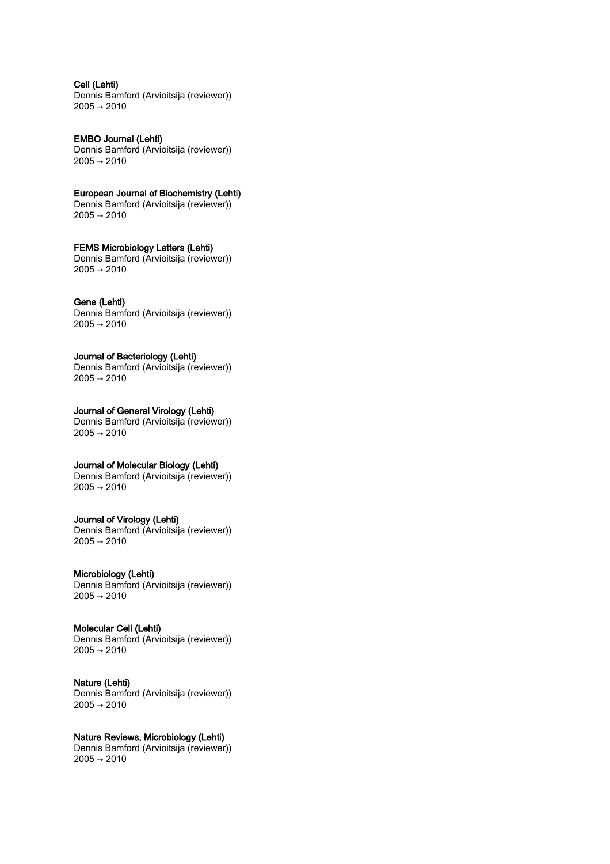Cell (Lehti) Dennis Bamford (Arvioitsija (reviewer)) 2005 → 2010

EMBO Journal (Lehti) Dennis Bamford (Arvioitsija (reviewer))  $2005 \rightarrow 2010$ 

European Journal of Biochemistry (Lehti) Dennis Bamford (Arvioitsija (reviewer)) 2005 → 2010

FEMS Microbiology Letters (Lehti) Dennis Bamford (Arvioitsija (reviewer))  $2005 \rightarrow 2010$ 

# Gene (Lehti)

Dennis Bamford (Arvioitsija (reviewer))  $2005 \rightarrow 2010$ 

# Journal of Bacteriology (Lehti)

Dennis Bamford (Arvioitsija (reviewer))  $2005 \rightarrow 2010$ 

#### Journal of General Virology (Lehti)

Dennis Bamford (Arvioitsija (reviewer))  $2005 \rightarrow 2010$ 

# Journal of Molecular Biology (Lehti)

Dennis Bamford (Arvioitsija (reviewer))  $2005 \rightarrow 2010$ 

## Journal of Virology (Lehti)

Dennis Bamford (Arvioitsija (reviewer)) 2005 → 2010

## Microbiology (Lehti)

Dennis Bamford (Arvioitsija (reviewer))  $2005 \rightarrow 2010$ 

## Molecular Cell (Lehti)

Dennis Bamford (Arvioitsija (reviewer))  $2005 \to 2010$ 

Nature (Lehti)

Dennis Bamford (Arvioitsija (reviewer))  $2005 \to 2010$ 

Nature Reviews, Microbiology (Lehti)

Dennis Bamford (Arvioitsija (reviewer))  $2005 \rightarrow 2010$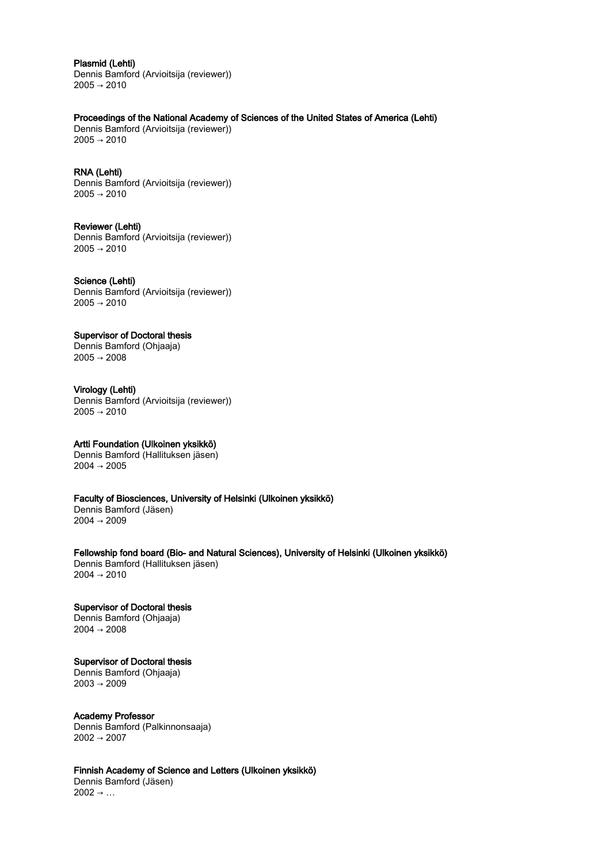## Plasmid (Lehti)

Dennis Bamford (Arvioitsija (reviewer))  $2005 \rightarrow 2010$ 

## Proceedings of the National Academy of Sciences of the United States of America (Lehti)

Dennis Bamford (Arvioitsija (reviewer))  $2005 \rightarrow 2010$ 

## RNA (Lehti)

Dennis Bamford (Arvioitsija (reviewer))  $2005 \rightarrow 2010$ 

## Reviewer (Lehti)

Dennis Bamford (Arvioitsija (reviewer))  $2005 \rightarrow 2010$ 

## Science (Lehti)

Dennis Bamford (Arvioitsija (reviewer))  $2005 \rightarrow 2010$ 

# Supervisor of Doctoral thesis

Dennis Bamford (Ohjaaja)  $2005 \rightarrow 2008$ 

## Virology (Lehti)

Dennis Bamford (Arvioitsija (reviewer))  $2005 \rightarrow 2010$ 

# Artti Foundation (Ulkoinen yksikkö)

Dennis Bamford (Hallituksen jäsen)  $2004 \rightarrow 2005$ 

# Faculty of Biosciences, University of Helsinki (Ulkoinen yksikkö)

Dennis Bamford (Jäsen) 2004 → 2009

Fellowship fond board (Bio- and Natural Sciences), University of Helsinki (Ulkoinen yksikkö) Dennis Bamford (Hallituksen jäsen)  $2004 \rightarrow 2010$ 

# Supervisor of Doctoral thesis Dennis Bamford (Ohjaaja)

2004 → 2008

# Supervisor of Doctoral thesis

Dennis Bamford (Ohjaaja)  $2003 \rightarrow 2009$ 

# Academy Professor

Dennis Bamford (Palkinnonsaaja) 2002 → 2007

# Finnish Academy of Science and Letters (Ulkoinen yksikkö)

Dennis Bamford (Jäsen)  $2002 \rightarrow \ldots$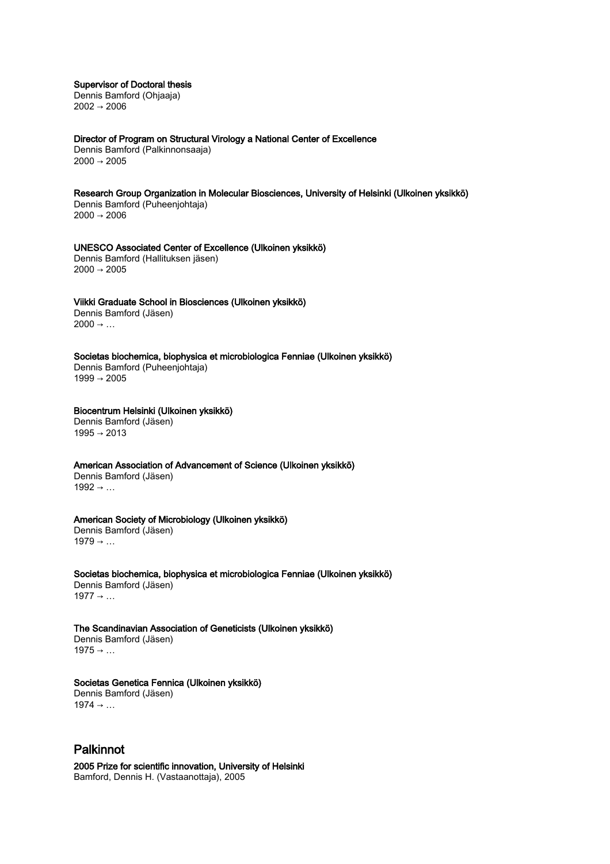Supervisor of Doctoral thesis

Dennis Bamford (Ohjaaja) 2002 → 2006

Director of Program on Structural Virology a National Center of Excellence Dennis Bamford (Palkinnonsaaja)  $2000 \rightarrow 2005$ 

Research Group Organization in Molecular Biosciences, University of Helsinki (Ulkoinen yksikkö) Dennis Bamford (Puheenjohtaja) 2000 → 2006

UNESCO Associated Center of Excellence (Ulkoinen yksikkö) Dennis Bamford (Hallituksen jäsen)  $2000 \rightarrow 2005$ 

## Viikki Graduate School in Biosciences (Ulkoinen yksikkö)

Dennis Bamford (Jäsen)  $2000 \rightarrow ...$ 

Societas biochemica, biophysica et microbiologica Fenniae (Ulkoinen yksikkö) Dennis Bamford (Puheenjohtaja)

 $1999 \rightarrow 2005$ 

# Biocentrum Helsinki (Ulkoinen yksikkö)

Dennis Bamford (Jäsen)  $1995 \rightarrow 2013$ 

American Association of Advancement of Science (Ulkoinen yksikkö)

Dennis Bamford (Jäsen)  $1992 \rightarrow ...$ 

# American Society of Microbiology (Ulkoinen yksikkö)

Dennis Bamford (Jäsen)  $1979 \rightarrow \ldots$ 

Societas biochemica, biophysica et microbiologica Fenniae (Ulkoinen yksikkö) Dennis Bamford (Jäsen)  $1977 \rightarrow \dots$ 

The Scandinavian Association of Geneticists (Ulkoinen yksikkö) Dennis Bamford (Jäsen)

 $1975 → ...$ 

# Societas Genetica Fennica (Ulkoinen yksikkö)

Dennis Bamford (Jäsen)  $1974 - ...$ 

# Palkinnot

2005 Prize for scientific innovation, University of Helsinki Bamford, Dennis H. (Vastaanottaja), 2005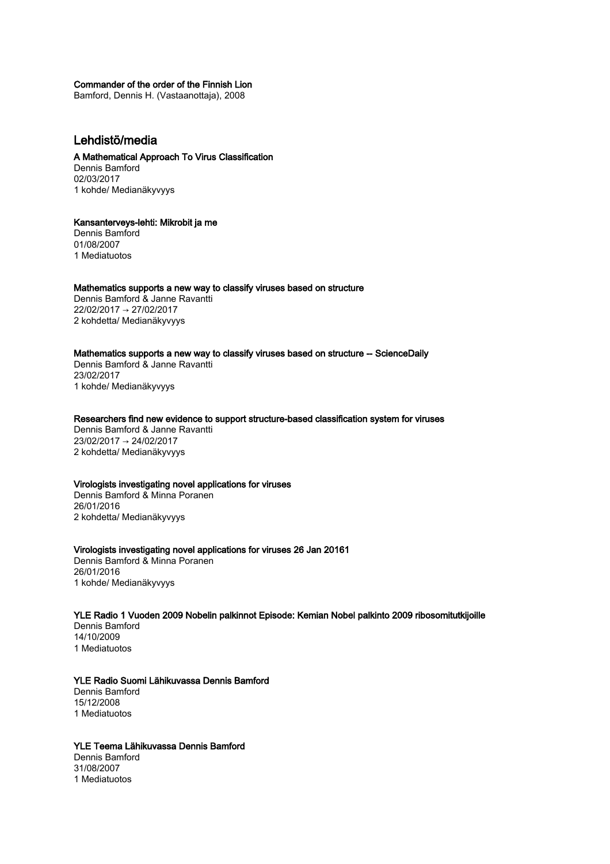## Commander of the order of the Finnish Lion

Bamford, Dennis H. (Vastaanottaja), 2008

# Lehdistö/media

# A Mathematical Approach To Virus Classification

Dennis Bamford 02/03/2017 1 kohde/ Medianäkyvyys

## Kansanterveys-lehti: Mikrobit ja me

Dennis Bamford 01/08/2007 1 Mediatuotos

## Mathematics supports a new way to classify viruses based on structure

Dennis Bamford & Janne Ravantti 22/02/2017 → 27/02/2017 2 kohdetta/ Medianäkyvyys

# Mathematics supports a new way to classify viruses based on structure -- ScienceDaily

Dennis Bamford & Janne Ravantti 23/02/2017 1 kohde/ Medianäkyvyys

## Researchers find new evidence to support structure-based classification system for viruses

Dennis Bamford & Janne Ravantti 23/02/2017 → 24/02/2017 2 kohdetta/ Medianäkyvyys

#### Virologists investigating novel applications for viruses

Dennis Bamford & Minna Poranen 26/01/2016 2 kohdetta/ Medianäkyvyys

## Virologists investigating novel applications for viruses 26 Jan 20161

Dennis Bamford & Minna Poranen 26/01/2016 1 kohde/ Medianäkyvyys

## YLE Radio 1 Vuoden 2009 Nobelin palkinnot Episode: Kemian Nobel palkinto 2009 ribosomitutkijoille

Dennis Bamford 14/10/2009 1 Mediatuotos

# YLE Radio Suomi Lähikuvassa Dennis Bamford

Dennis Bamford 15/12/2008 1 Mediatuotos

# YLE Teema Lähikuvassa Dennis Bamford

Dennis Bamford 31/08/2007 1 Mediatuotos